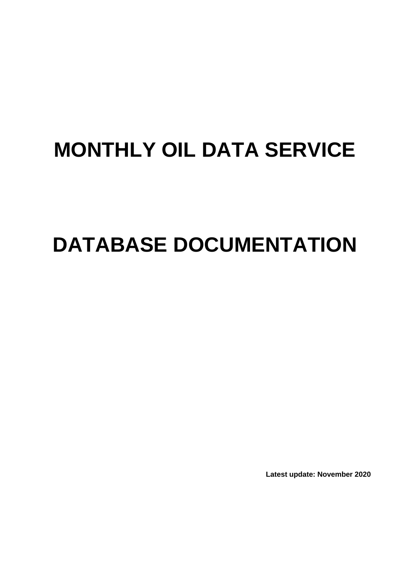# **MONTHLY OIL DATA SERVICE**

# **DATABASE DOCUMENTATION**

**Latest update: November 2020**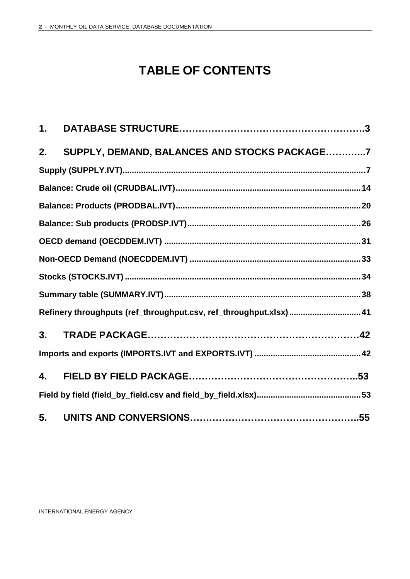### **TABLE OF CONTENTS**

| 1. |                                                                  |  |
|----|------------------------------------------------------------------|--|
| 2. | SUPPLY, DEMAND, BALANCES AND STOCKS PACKAGE7                     |  |
|    |                                                                  |  |
|    |                                                                  |  |
|    |                                                                  |  |
|    |                                                                  |  |
|    |                                                                  |  |
|    |                                                                  |  |
|    |                                                                  |  |
|    |                                                                  |  |
|    | Refinery throughputs (ref_throughput.csv, ref_throughput.xlsx)41 |  |
| 3. |                                                                  |  |
|    |                                                                  |  |
| 4. |                                                                  |  |
|    |                                                                  |  |
| 5. |                                                                  |  |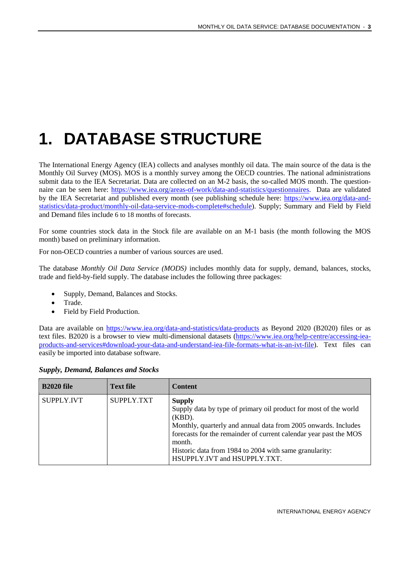## <span id="page-2-0"></span>**1. DATABASE STRUCTURE**

The International Energy Agency (IEA) collects and analyses monthly oil data. The main source of the data is the Monthly Oil Survey (MOS). MOS is a monthly survey among the OECD countries. The national administrations submit data to the IEA Secretariat. Data are collected on an M-2 basis, the so-called MOS month. The questionnaire can be seen here: [https://www.iea.org/areas-of-work/data-and-statistics/questionnaires.](https://www.iea.org/areas-of-work/data-and-statistics/questionnaires) Data are validated by the IEA Secretariat and published every month (see publishing schedule here: [https://www.iea.org/data-and](https://www.iea.org/data-and-statistics/data-product/monthly-oil-data-service-mods-complete#schedule)[statistics/data-product/monthly-oil-data-service-mods-complete#schedule\)](https://www.iea.org/data-and-statistics/data-product/monthly-oil-data-service-mods-complete#schedule). Supply; Summary and Field by Field and Demand files include 6 to 18 months of forecasts.

For some countries stock data in the Stock file are available on an M-1 basis (the month following the MOS month) based on preliminary information.

For non-OECD countries a number of various sources are used.

The database *Monthly Oil Data Service (MODS)* includes monthly data for supply, demand, balances, stocks, trade and field-by-field supply. The database includes the following three packages:

- Supply, Demand, Balances and Stocks.
- Trade.
- Field by Field Production.

Data are available on<https://www.iea.org/data-and-statistics/data-products> as Beyond 2020 (B2020) files or as text files. B2020 is a browser to view multi-dimensional datasets [\(https://www.iea.org/help-centre/accessing-iea](https://www.iea.org/help-centre/accessing-iea-products-and-services#download-your-data-and-understand-iea-file-formats-what-is-an-ivt-file)[products-and-services#download-your-data-and-understand-iea-file-formats-what-is-an-ivt-file\)](https://www.iea.org/help-centre/accessing-iea-products-and-services#download-your-data-and-understand-iea-file-formats-what-is-an-ivt-file). Text files can easily be imported into database software.

| <b>B2020 file</b> | <b>Text file</b> | <b>Content</b>                                                                                                                                                                                                                                                                                                                            |
|-------------------|------------------|-------------------------------------------------------------------------------------------------------------------------------------------------------------------------------------------------------------------------------------------------------------------------------------------------------------------------------------------|
| <b>SUPPLY.IVT</b> | SUPPLY TXT       | <b>Supply</b><br>Supply data by type of primary oil product for most of the world<br>$(KBD)$ .<br>Monthly, quarterly and annual data from 2005 onwards. Includes<br>forecasts for the remainder of current calendar year past the MOS<br>month.<br>Historic data from 1984 to 2004 with same granularity:<br>HSUPPLY.IVT and HSUPPLY.TXT. |

|  |  | <b>Supply, Demand, Balances and Stocks</b> |  |  |
|--|--|--------------------------------------------|--|--|
|--|--|--------------------------------------------|--|--|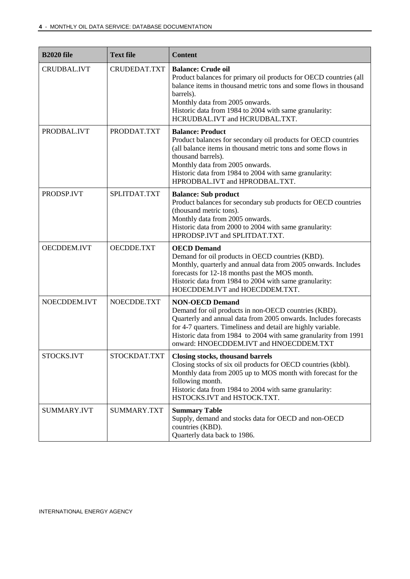| <b>B2020 file</b>  | <b>Text file</b> | <b>Content</b>                                                                                                                                                                                                                                                                                                                  |
|--------------------|------------------|---------------------------------------------------------------------------------------------------------------------------------------------------------------------------------------------------------------------------------------------------------------------------------------------------------------------------------|
| <b>CRUDBAL.IVT</b> | CRUDEDAT.TXT     | <b>Balance: Crude oil</b><br>Product balances for primary oil products for OECD countries (all<br>balance items in thousand metric tons and some flows in thousand<br>barrels).<br>Monthly data from 2005 onwards.<br>Historic data from 1984 to 2004 with same granularity:<br>HCRUDBAL.IVT and HCRUDBAL.TXT.                  |
| PRODBAL.IVT        | PRODDAT.TXT      | <b>Balance: Product</b><br>Product balances for secondary oil products for OECD countries<br>(all balance items in thousand metric tons and some flows in<br>thousand barrels).<br>Monthly data from 2005 onwards.<br>Historic data from 1984 to 2004 with same granularity:<br>HPRODBAL.IVT and HPRODBAL.TXT.                  |
| PRODSP.IVT         | SPLITDAT.TXT     | <b>Balance: Sub product</b><br>Product balances for secondary sub products for OECD countries<br>(thousand metric tons).<br>Monthly data from 2005 onwards.<br>Historic data from 2000 to 2004 with same granularity:<br>HPRODSP.IVT and SPLITDAT.TXT.                                                                          |
| OECDDEM.IVT        | OECDDE.TXT       | <b>OECD Demand</b><br>Demand for oil products in OECD countries (KBD).<br>Monthly, quarterly and annual data from 2005 onwards. Includes<br>forecasts for 12-18 months past the MOS month.<br>Historic data from 1984 to 2004 with same granularity:<br>HOECDDEM.IVT and HOECDDEM.TXT.                                          |
| NOECDDEM.IVT       | NOECDDE.TXT      | <b>NON-OECD Demand</b><br>Demand for oil products in non-OECD countries (KBD).<br>Quarterly and annual data from 2005 onwards. Includes forecasts<br>for 4-7 quarters. Timeliness and detail are highly variable.<br>Historic data from 1984 to 2004 with same granularity from 1991<br>onward: HNOECDDEM.IVT and HNOECDDEM.TXT |
| STOCKS.IVT         | STOCKDAT.TXT     | Closing stocks, thousand barrels<br>Closing stocks of six oil products for OECD countries (kbbl).<br>Monthly data from 2005 up to MOS month with forecast for the<br>following month.<br>Historic data from 1984 to 2004 with same granularity:<br>HSTOCKS.IVT and HSTOCK.TXT.                                                  |
| SUMMARY.IVT        | SUMMARY.TXT      | <b>Summary Table</b><br>Supply, demand and stocks data for OECD and non-OECD<br>countries (KBD).<br>Quarterly data back to 1986.                                                                                                                                                                                                |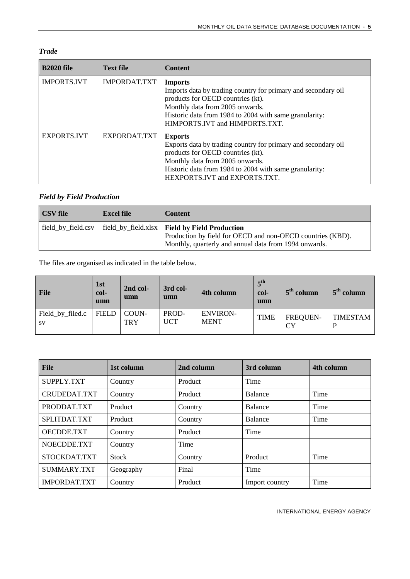| <b>B2020 file</b>  | <b>Text file</b>    | <b>Content</b>                                                                                                                                                                                                                                      |
|--------------------|---------------------|-----------------------------------------------------------------------------------------------------------------------------------------------------------------------------------------------------------------------------------------------------|
| <b>IMPORTS.IVT</b> | <b>IMPORDAT.TXT</b> | <b>Imports</b><br>Imports data by trading country for primary and secondary oil<br>products for OECD countries (kt).<br>Monthly data from 2005 onwards.<br>Historic data from 1984 to 2004 with same granularity:<br>HIMPORTS.IVT and HIMPORTS.TXT. |
| <b>EXPORTS.IVT</b> | EXPORDAT.TXT        | <b>Exports</b><br>Exports data by trading country for primary and secondary oil<br>products for OECD countries (kt).<br>Monthly data from 2005 onwards.<br>Historic data from 1984 to 2004 with same granularity:<br>HEXPORTS.IVT and EXPORTS.TXT.  |

#### *Field by Field Production*

| <b>CSV</b> file    | <b>Excel file</b> | <b>Content</b>                                                                                                                                                         |
|--------------------|-------------------|------------------------------------------------------------------------------------------------------------------------------------------------------------------------|
| field by field.csv |                   | field_by_field.xlsx   Field by Field Production<br>Production by field for OECD and non-OECD countries (KBD).<br>Monthly, quarterly and annual data from 1994 onwards. |

The files are organised as indicated in the table below.

| <b>File</b>                   | 1st<br>col-<br>umn | 2nd col-<br>umn     | 3rd col-<br>umn     | 4th column                     | $\boldsymbol{z}^{\text{th}}$<br>col-<br>umn | $5th$ column                 | $5th$ column |
|-------------------------------|--------------------|---------------------|---------------------|--------------------------------|---------------------------------------------|------------------------------|--------------|
| Field_by_filed.c<br><b>SV</b> | <b>FIELD</b>       | COUN-<br><b>TRY</b> | PROD-<br><b>UCT</b> | <b>ENVIRON-</b><br><b>MENT</b> | <b>TIME</b>                                 | <b>FREQUEN-</b><br><b>CY</b> | TIMESTAM     |

| <b>File</b>       | 1st column   | 2nd column | 3rd column     | 4th column |
|-------------------|--------------|------------|----------------|------------|
| SUPPLY.TXT        | Country      | Product    | Time           |            |
| CRUDEDAT.TXT      | Country      | Product    | <b>Balance</b> | Time       |
| PRODDAT.TXT       | Product      | Country    | Balance        | Time       |
| SPLITDAT.TXT      | Product      | Country    | <b>Balance</b> | Time       |
| <b>OECDDE.TXT</b> | Country      | Product    | Time           |            |
| NOECDDE.TXT       | Country      | Time       |                |            |
| STOCKDAT.TXT      | <b>Stock</b> | Country    | Product        | Time       |
| SUMMARY.TXT       | Geography    | Final      | Time           |            |
| IMPORDAT.TXT      | Country      | Product    | Import country | Time       |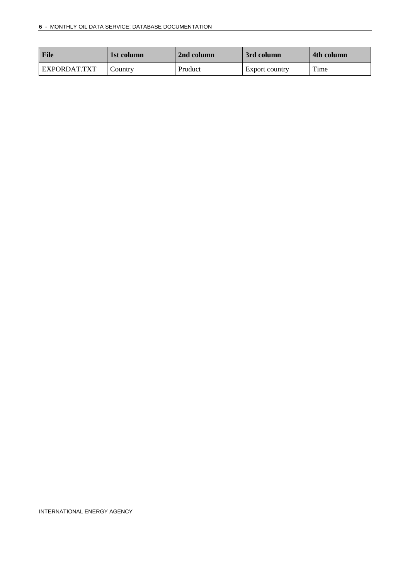| File         | 1st column | 2nd column | 3rd column     | 4th column |
|--------------|------------|------------|----------------|------------|
| EXPORDAT.TXT | Country    | Product    | Export country | Time       |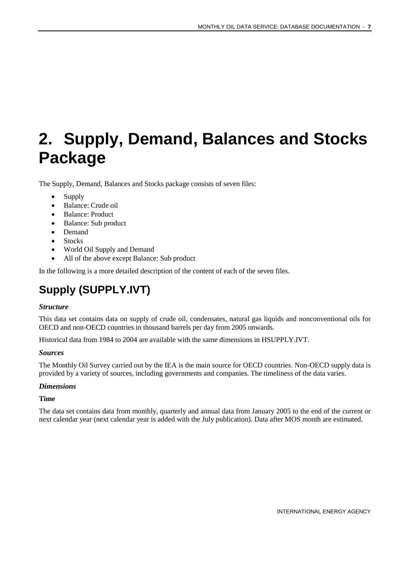## <span id="page-6-0"></span>**2. Supply, Demand, Balances and Stocks Package**

The Supply, Demand, Balances and Stocks package consists of seven files:

- Supply
- Balance: Crude oil
- Balance: Product
- Balance: Sub product
- Demand
- Stocks
- World Oil Supply and Demand
- All of the above except Balance: Sub product

In the following is a more detailed description of the content of each of the seven files.

### <span id="page-6-1"></span>**Supply (SUPPLY.IVT)**

#### *Structure*

This data set contains data on supply of crude oil, condensates, natural gas liquids and nonconventional oils for OECD and non-OECD countries in thousand barrels per day from 2005 onwards.

Historical data from 1984 to 2004 are available with the same dimensions in HSUPPLY.IVT.

#### *Sources*

The Monthly Oil Survey carried out by the IEA is the main source for OECD countries. Non-OECD supply data is provided by a variety of sources, including governments and companies. The timeliness of the data varies.

#### *Dimensions*

#### **Time**

The data set contains data from monthly, quarterly and annual data from January 2005 to the end of the current or next calendar year (next calendar year is added with the July publication). Data after MOS month are estimated.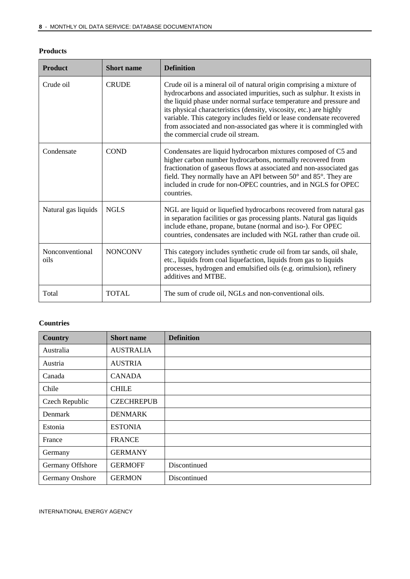| <b>Products</b> |
|-----------------|
|-----------------|

| <b>Product</b>          | <b>Short name</b> | <b>Definition</b>                                                                                                                                                                                                                                                                                                                                                                                                                                                           |
|-------------------------|-------------------|-----------------------------------------------------------------------------------------------------------------------------------------------------------------------------------------------------------------------------------------------------------------------------------------------------------------------------------------------------------------------------------------------------------------------------------------------------------------------------|
| Crude oil               | <b>CRUDE</b>      | Crude oil is a mineral oil of natural origin comprising a mixture of<br>hydrocarbons and associated impurities, such as sulphur. It exists in<br>the liquid phase under normal surface temperature and pressure and<br>its physical characteristics (density, viscosity, etc.) are highly<br>variable. This category includes field or lease condensate recovered<br>from associated and non-associated gas where it is commingled with<br>the commercial crude oil stream. |
| Condensate              | <b>COND</b>       | Condensates are liquid hydrocarbon mixtures composed of C5 and<br>higher carbon number hydrocarbons, normally recovered from<br>fractionation of gaseous flows at associated and non-associated gas<br>field. They normally have an API between 50° and 85°. They are<br>included in crude for non-OPEC countries, and in NGLS for OPEC<br>countries.                                                                                                                       |
| Natural gas liquids     | <b>NGLS</b>       | NGL are liquid or liquefied hydrocarbons recovered from natural gas<br>in separation facilities or gas processing plants. Natural gas liquids<br>include ethane, propane, butane (normal and iso-). For OPEC<br>countries, condensates are included with NGL rather than crude oil.                                                                                                                                                                                         |
| Nonconventional<br>oils | <b>NONCONV</b>    | This category includes synthetic crude oil from tar sands, oil shale,<br>etc., liquids from coal liquefaction, liquids from gas to liquids<br>processes, hydrogen and emulsified oils (e.g. orimulsion), refinery<br>additives and MTBE.                                                                                                                                                                                                                                    |
| Total                   | <b>TOTAL</b>      | The sum of crude oil, NGLs and non-conventional oils.                                                                                                                                                                                                                                                                                                                                                                                                                       |

#### **Countries**

| Country          | <b>Short name</b> | <b>Definition</b> |
|------------------|-------------------|-------------------|
| Australia        | <b>AUSTRALIA</b>  |                   |
| Austria          | <b>AUSTRIA</b>    |                   |
| Canada           | <b>CANADA</b>     |                   |
| Chile            | <b>CHILE</b>      |                   |
| Czech Republic   | <b>CZECHREPUB</b> |                   |
| Denmark          | <b>DENMARK</b>    |                   |
| Estonia          | <b>ESTONIA</b>    |                   |
| France           | <b>FRANCE</b>     |                   |
| Germany          | <b>GERMANY</b>    |                   |
| Germany Offshore | <b>GERMOFF</b>    | Discontinued      |
| Germany Onshore  | <b>GERMON</b>     | Discontinued      |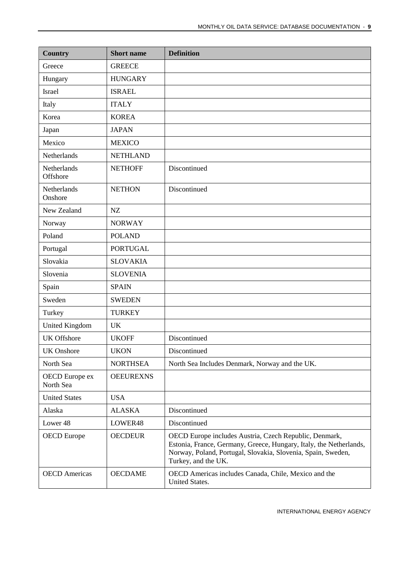| <b>Country</b>              | <b>Short name</b> | <b>Definition</b>                                                                                                                                                                                                   |
|-----------------------------|-------------------|---------------------------------------------------------------------------------------------------------------------------------------------------------------------------------------------------------------------|
| Greece                      | <b>GREECE</b>     |                                                                                                                                                                                                                     |
| Hungary                     | <b>HUNGARY</b>    |                                                                                                                                                                                                                     |
| <b>Israel</b>               | <b>ISRAEL</b>     |                                                                                                                                                                                                                     |
| Italy                       | <b>ITALY</b>      |                                                                                                                                                                                                                     |
| Korea                       | <b>KOREA</b>      |                                                                                                                                                                                                                     |
| Japan                       | <b>JAPAN</b>      |                                                                                                                                                                                                                     |
| Mexico                      | <b>MEXICO</b>     |                                                                                                                                                                                                                     |
| Netherlands                 | <b>NETHLAND</b>   |                                                                                                                                                                                                                     |
| Netherlands<br>Offshore     | <b>NETHOFF</b>    | Discontinued                                                                                                                                                                                                        |
| Netherlands<br>Onshore      | <b>NETHON</b>     | Discontinued                                                                                                                                                                                                        |
| New Zealand                 | NZ                |                                                                                                                                                                                                                     |
| Norway                      | <b>NORWAY</b>     |                                                                                                                                                                                                                     |
| Poland                      | <b>POLAND</b>     |                                                                                                                                                                                                                     |
| Portugal                    | <b>PORTUGAL</b>   |                                                                                                                                                                                                                     |
| Slovakia                    | <b>SLOVAKIA</b>   |                                                                                                                                                                                                                     |
| Slovenia                    | <b>SLOVENIA</b>   |                                                                                                                                                                                                                     |
| Spain                       | <b>SPAIN</b>      |                                                                                                                                                                                                                     |
| Sweden                      | <b>SWEDEN</b>     |                                                                                                                                                                                                                     |
| Turkey                      | <b>TURKEY</b>     |                                                                                                                                                                                                                     |
| <b>United Kingdom</b>       | <b>UK</b>         |                                                                                                                                                                                                                     |
| <b>UK Offshore</b>          | <b>UKOFF</b>      | Discontinued                                                                                                                                                                                                        |
| <b>UK</b> Onshore           | <b>UKON</b>       | Discontinued                                                                                                                                                                                                        |
| North Sea                   | <b>NORTHSEA</b>   | North Sea Includes Denmark, Norway and the UK.                                                                                                                                                                      |
| OECD Europe ex<br>North Sea | <b>OEEUREXNS</b>  |                                                                                                                                                                                                                     |
| <b>United States</b>        | <b>USA</b>        |                                                                                                                                                                                                                     |
| Alaska                      | <b>ALASKA</b>     | Discontinued                                                                                                                                                                                                        |
| Lower 48                    | LOWER48           | Discontinued                                                                                                                                                                                                        |
| <b>OECD</b> Europe          | <b>OECDEUR</b>    | OECD Europe includes Austria, Czech Republic, Denmark,<br>Estonia, France, Germany, Greece, Hungary, Italy, the Netherlands,<br>Norway, Poland, Portugal, Slovakia, Slovenia, Spain, Sweden,<br>Turkey, and the UK. |
| <b>OECD</b> Americas        | <b>OECDAME</b>    | OECD Americas includes Canada, Chile, Mexico and the<br>United States.                                                                                                                                              |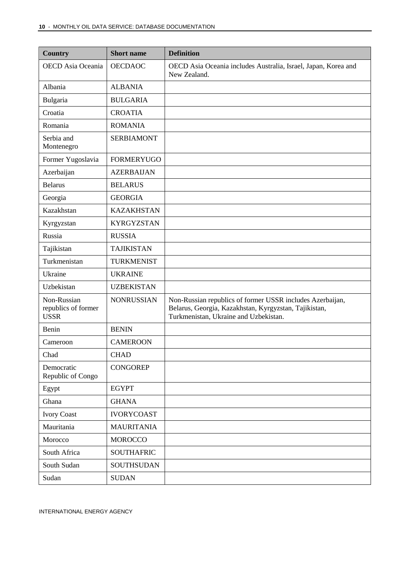| <b>Country</b>                                    | <b>Short name</b> | <b>Definition</b>                                                                                                                                           |
|---------------------------------------------------|-------------------|-------------------------------------------------------------------------------------------------------------------------------------------------------------|
| <b>OECD</b> Asia Oceania                          | <b>OECDAOC</b>    | OECD Asia Oceania includes Australia, Israel, Japan, Korea and<br>New Zealand.                                                                              |
| Albania                                           | <b>ALBANIA</b>    |                                                                                                                                                             |
| Bulgaria                                          | <b>BULGARIA</b>   |                                                                                                                                                             |
| Croatia                                           | <b>CROATIA</b>    |                                                                                                                                                             |
| Romania                                           | <b>ROMANIA</b>    |                                                                                                                                                             |
| Serbia and<br>Montenegro                          | <b>SERBIAMONT</b> |                                                                                                                                                             |
| Former Yugoslavia                                 | <b>FORMERYUGO</b> |                                                                                                                                                             |
| Azerbaijan                                        | <b>AZERBAIJAN</b> |                                                                                                                                                             |
| <b>Belarus</b>                                    | <b>BELARUS</b>    |                                                                                                                                                             |
| Georgia                                           | <b>GEORGIA</b>    |                                                                                                                                                             |
| Kazakhstan                                        | <b>KAZAKHSTAN</b> |                                                                                                                                                             |
| Kyrgyzstan                                        | <b>KYRGYZSTAN</b> |                                                                                                                                                             |
| Russia                                            | <b>RUSSIA</b>     |                                                                                                                                                             |
| Tajikistan                                        | <b>TAJIKISTAN</b> |                                                                                                                                                             |
| Turkmenistan                                      | <b>TURKMENIST</b> |                                                                                                                                                             |
| Ukraine                                           | <b>UKRAINE</b>    |                                                                                                                                                             |
| Uzbekistan                                        | <b>UZBEKISTAN</b> |                                                                                                                                                             |
| Non-Russian<br>republics of former<br><b>USSR</b> | <b>NONRUSSIAN</b> | Non-Russian republics of former USSR includes Azerbaijan,<br>Belarus, Georgia, Kazakhstan, Kyrgyzstan, Tajikistan,<br>Turkmenistan, Ukraine and Uzbekistan. |
| Benin                                             | <b>BENIN</b>      |                                                                                                                                                             |
| Cameroon                                          | <b>CAMEROON</b>   |                                                                                                                                                             |
| Chad                                              | <b>CHAD</b>       |                                                                                                                                                             |
| Democratic<br>Republic of Congo                   | <b>CONGOREP</b>   |                                                                                                                                                             |
| Egypt                                             | <b>EGYPT</b>      |                                                                                                                                                             |
| Ghana                                             | <b>GHANA</b>      |                                                                                                                                                             |
| <b>Ivory Coast</b>                                | <b>IVORYCOAST</b> |                                                                                                                                                             |
| Mauritania                                        | <b>MAURITANIA</b> |                                                                                                                                                             |
| Morocco                                           | <b>MOROCCO</b>    |                                                                                                                                                             |
| South Africa                                      | <b>SOUTHAFRIC</b> |                                                                                                                                                             |
| South Sudan                                       | <b>SOUTHSUDAN</b> |                                                                                                                                                             |
| Sudan                                             | <b>SUDAN</b>      |                                                                                                                                                             |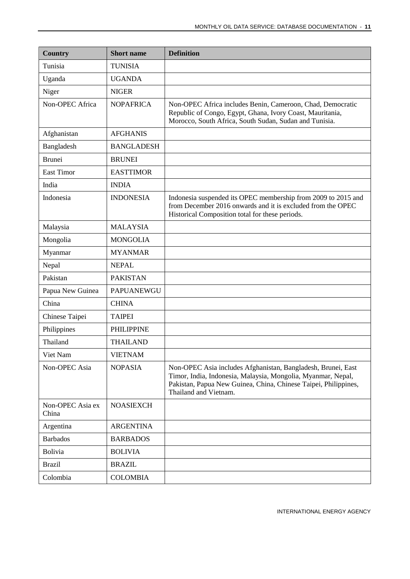| <b>Country</b>            | <b>Short name</b> | <b>Definition</b>                                                                                                                                                                                                        |
|---------------------------|-------------------|--------------------------------------------------------------------------------------------------------------------------------------------------------------------------------------------------------------------------|
| Tunisia                   | <b>TUNISIA</b>    |                                                                                                                                                                                                                          |
| Uganda                    | <b>UGANDA</b>     |                                                                                                                                                                                                                          |
| Niger                     | <b>NIGER</b>      |                                                                                                                                                                                                                          |
| Non-OPEC Africa           | <b>NOPAFRICA</b>  | Non-OPEC Africa includes Benin, Cameroon, Chad, Democratic<br>Republic of Congo, Egypt, Ghana, Ivory Coast, Mauritania,<br>Morocco, South Africa, South Sudan, Sudan and Tunisia.                                        |
| Afghanistan               | <b>AFGHANIS</b>   |                                                                                                                                                                                                                          |
| Bangladesh                | <b>BANGLADESH</b> |                                                                                                                                                                                                                          |
| <b>Brunei</b>             | <b>BRUNEI</b>     |                                                                                                                                                                                                                          |
| <b>East Timor</b>         | <b>EASTTIMOR</b>  |                                                                                                                                                                                                                          |
| India                     | <b>INDIA</b>      |                                                                                                                                                                                                                          |
| Indonesia                 | <b>INDONESIA</b>  | Indonesia suspended its OPEC membership from 2009 to 2015 and<br>from December 2016 onwards and it is excluded from the OPEC<br>Historical Composition total for these periods.                                          |
| Malaysia                  | <b>MALAYSIA</b>   |                                                                                                                                                                                                                          |
| Mongolia                  | <b>MONGOLIA</b>   |                                                                                                                                                                                                                          |
| Myanmar                   | <b>MYANMAR</b>    |                                                                                                                                                                                                                          |
| Nepal                     | <b>NEPAL</b>      |                                                                                                                                                                                                                          |
| Pakistan                  | <b>PAKISTAN</b>   |                                                                                                                                                                                                                          |
| Papua New Guinea          | <b>PAPUANEWGU</b> |                                                                                                                                                                                                                          |
| China                     | <b>CHINA</b>      |                                                                                                                                                                                                                          |
| Chinese Taipei            | <b>TAIPEI</b>     |                                                                                                                                                                                                                          |
| Philippines               | <b>PHILIPPINE</b> |                                                                                                                                                                                                                          |
| Thailand                  | <b>THAILAND</b>   |                                                                                                                                                                                                                          |
| Viet Nam                  | <b>VIETNAM</b>    |                                                                                                                                                                                                                          |
| Non-OPEC Asia             | <b>NOPASIA</b>    | Non-OPEC Asia includes Afghanistan, Bangladesh, Brunei, East<br>Timor, India, Indonesia, Malaysia, Mongolia, Myanmar, Nepal,<br>Pakistan, Papua New Guinea, China, Chinese Taipei, Philippines,<br>Thailand and Vietnam. |
| Non-OPEC Asia ex<br>China | <b>NOASIEXCH</b>  |                                                                                                                                                                                                                          |
| Argentina                 | <b>ARGENTINA</b>  |                                                                                                                                                                                                                          |
| <b>Barbados</b>           | <b>BARBADOS</b>   |                                                                                                                                                                                                                          |
| <b>Bolivia</b>            | <b>BOLIVIA</b>    |                                                                                                                                                                                                                          |
| <b>Brazil</b>             | <b>BRAZIL</b>     |                                                                                                                                                                                                                          |
| Colombia                  | <b>COLOMBIA</b>   |                                                                                                                                                                                                                          |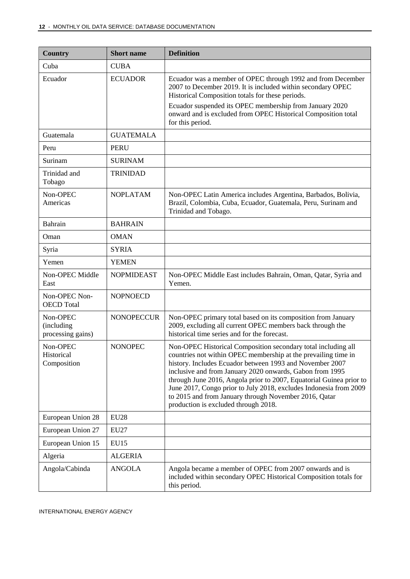| <b>Country</b>                              | <b>Short name</b> | <b>Definition</b>                                                                                                                                                                                                                                                                                                                                                                                                                                                                                    |
|---------------------------------------------|-------------------|------------------------------------------------------------------------------------------------------------------------------------------------------------------------------------------------------------------------------------------------------------------------------------------------------------------------------------------------------------------------------------------------------------------------------------------------------------------------------------------------------|
| Cuba                                        | <b>CUBA</b>       |                                                                                                                                                                                                                                                                                                                                                                                                                                                                                                      |
| Ecuador                                     | <b>ECUADOR</b>    | Ecuador was a member of OPEC through 1992 and from December<br>2007 to December 2019. It is included within secondary OPEC<br>Historical Composition totals for these periods.<br>Ecuador suspended its OPEC membership from January 2020<br>onward and is excluded from OPEC Historical Composition total<br>for this period.                                                                                                                                                                       |
| Guatemala                                   | <b>GUATEMALA</b>  |                                                                                                                                                                                                                                                                                                                                                                                                                                                                                                      |
| Peru                                        | PERU              |                                                                                                                                                                                                                                                                                                                                                                                                                                                                                                      |
| Surinam                                     | <b>SURINAM</b>    |                                                                                                                                                                                                                                                                                                                                                                                                                                                                                                      |
| Trinidad and<br>Tobago                      | <b>TRINIDAD</b>   |                                                                                                                                                                                                                                                                                                                                                                                                                                                                                                      |
| Non-OPEC<br>Americas                        | <b>NOPLATAM</b>   | Non-OPEC Latin America includes Argentina, Barbados, Bolivia,<br>Brazil, Colombia, Cuba, Ecuador, Guatemala, Peru, Surinam and<br>Trinidad and Tobago.                                                                                                                                                                                                                                                                                                                                               |
| Bahrain                                     | <b>BAHRAIN</b>    |                                                                                                                                                                                                                                                                                                                                                                                                                                                                                                      |
| Oman                                        | <b>OMAN</b>       |                                                                                                                                                                                                                                                                                                                                                                                                                                                                                                      |
| Syria                                       | <b>SYRIA</b>      |                                                                                                                                                                                                                                                                                                                                                                                                                                                                                                      |
| Yemen                                       | <b>YEMEN</b>      |                                                                                                                                                                                                                                                                                                                                                                                                                                                                                                      |
| Non-OPEC Middle<br>East                     | <b>NOPMIDEAST</b> | Non-OPEC Middle East includes Bahrain, Oman, Qatar, Syria and<br>Yemen.                                                                                                                                                                                                                                                                                                                                                                                                                              |
| Non-OPEC Non-<br><b>OECD</b> Total          | <b>NOPNOECD</b>   |                                                                                                                                                                                                                                                                                                                                                                                                                                                                                                      |
| Non-OPEC<br>(including<br>processing gains) | <b>NONOPECCUR</b> | Non-OPEC primary total based on its composition from January<br>2009, excluding all current OPEC members back through the<br>historical time series and for the forecast.                                                                                                                                                                                                                                                                                                                            |
| Non-OPEC<br>Historical<br>Composition       | <b>NONOPEC</b>    | Non-OPEC Historical Composition secondary total including all<br>countries not within OPEC membership at the prevailing time in<br>history. Includes Ecuador between 1993 and November 2007<br>inclusive and from January 2020 onwards, Gabon from 1995<br>through June 2016, Angola prior to 2007, Equatorial Guinea prior to<br>June 2017, Congo prior to July 2018, excludes Indonesia from 2009<br>to 2015 and from January through November 2016, Qatar<br>production is excluded through 2018. |
| European Union 28                           | <b>EU28</b>       |                                                                                                                                                                                                                                                                                                                                                                                                                                                                                                      |
| European Union 27                           | <b>EU27</b>       |                                                                                                                                                                                                                                                                                                                                                                                                                                                                                                      |
| European Union 15                           | <b>EU15</b>       |                                                                                                                                                                                                                                                                                                                                                                                                                                                                                                      |
| Algeria                                     | <b>ALGERIA</b>    |                                                                                                                                                                                                                                                                                                                                                                                                                                                                                                      |
| Angola/Cabinda                              | <b>ANGOLA</b>     | Angola became a member of OPEC from 2007 onwards and is<br>included within secondary OPEC Historical Composition totals for<br>this period.                                                                                                                                                                                                                                                                                                                                                          |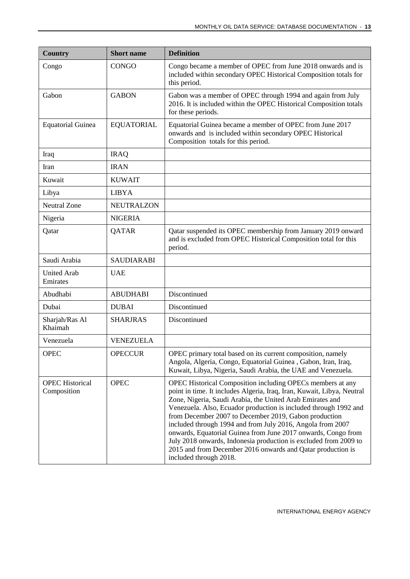| <b>Country</b>                        | <b>Short name</b> | <b>Definition</b>                                                                                                                                                                                                                                                                                                                                                                                                                                                                                                                                                                                                          |
|---------------------------------------|-------------------|----------------------------------------------------------------------------------------------------------------------------------------------------------------------------------------------------------------------------------------------------------------------------------------------------------------------------------------------------------------------------------------------------------------------------------------------------------------------------------------------------------------------------------------------------------------------------------------------------------------------------|
| Congo                                 | <b>CONGO</b>      | Congo became a member of OPEC from June 2018 onwards and is<br>included within secondary OPEC Historical Composition totals for<br>this period.                                                                                                                                                                                                                                                                                                                                                                                                                                                                            |
| Gabon                                 | <b>GABON</b>      | Gabon was a member of OPEC through 1994 and again from July<br>2016. It is included within the OPEC Historical Composition totals<br>for these periods.                                                                                                                                                                                                                                                                                                                                                                                                                                                                    |
| <b>Equatorial Guinea</b>              | <b>EQUATORIAL</b> | Equatorial Guinea became a member of OPEC from June 2017<br>onwards and is included within secondary OPEC Historical<br>Composition totals for this period.                                                                                                                                                                                                                                                                                                                                                                                                                                                                |
| Iraq                                  | <b>IRAQ</b>       |                                                                                                                                                                                                                                                                                                                                                                                                                                                                                                                                                                                                                            |
| Iran                                  | <b>IRAN</b>       |                                                                                                                                                                                                                                                                                                                                                                                                                                                                                                                                                                                                                            |
| Kuwait                                | <b>KUWAIT</b>     |                                                                                                                                                                                                                                                                                                                                                                                                                                                                                                                                                                                                                            |
| Libya                                 | <b>LIBYA</b>      |                                                                                                                                                                                                                                                                                                                                                                                                                                                                                                                                                                                                                            |
| <b>Neutral Zone</b>                   | <b>NEUTRALZON</b> |                                                                                                                                                                                                                                                                                                                                                                                                                                                                                                                                                                                                                            |
| Nigeria                               | <b>NIGERIA</b>    |                                                                                                                                                                                                                                                                                                                                                                                                                                                                                                                                                                                                                            |
| Qatar                                 | QATAR             | Qatar suspended its OPEC membership from January 2019 onward<br>and is excluded from OPEC Historical Composition total for this<br>period.                                                                                                                                                                                                                                                                                                                                                                                                                                                                                 |
| Saudi Arabia                          | <b>SAUDIARABI</b> |                                                                                                                                                                                                                                                                                                                                                                                                                                                                                                                                                                                                                            |
| <b>United Arab</b><br>Emirates        | <b>UAE</b>        |                                                                                                                                                                                                                                                                                                                                                                                                                                                                                                                                                                                                                            |
| Abudhabi                              | <b>ABUDHABI</b>   | Discontinued                                                                                                                                                                                                                                                                                                                                                                                                                                                                                                                                                                                                               |
| Dubai                                 | <b>DUBAI</b>      | Discontinued                                                                                                                                                                                                                                                                                                                                                                                                                                                                                                                                                                                                               |
| Sharjah/Ras Al<br>Khaimah             | <b>SHARJRAS</b>   | Discontinued                                                                                                                                                                                                                                                                                                                                                                                                                                                                                                                                                                                                               |
| Venezuela                             | <b>VENEZUELA</b>  |                                                                                                                                                                                                                                                                                                                                                                                                                                                                                                                                                                                                                            |
| <b>OPEC</b>                           | <b>OPECCUR</b>    | OPEC primary total based on its current composition, namely<br>Angola, Algeria, Congo, Equatorial Guinea, Gabon, Iran, Iraq,<br>Kuwait, Libya, Nigeria, Saudi Arabia, the UAE and Venezuela.                                                                                                                                                                                                                                                                                                                                                                                                                               |
| <b>OPEC Historical</b><br>Composition | <b>OPEC</b>       | OPEC Historical Composition including OPECs members at any<br>point in time. It includes Algeria, Iraq, Iran, Kuwait, Libya, Neutral<br>Zone, Nigeria, Saudi Arabia, the United Arab Emirates and<br>Venezuela. Also, Ecuador production is included through 1992 and<br>from December 2007 to December 2019, Gabon production<br>included through 1994 and from July 2016, Angola from 2007<br>onwards, Equatorial Guinea from June 2017 onwards, Congo from<br>July 2018 onwards, Indonesia production is excluded from 2009 to<br>2015 and from December 2016 onwards and Qatar production is<br>included through 2018. |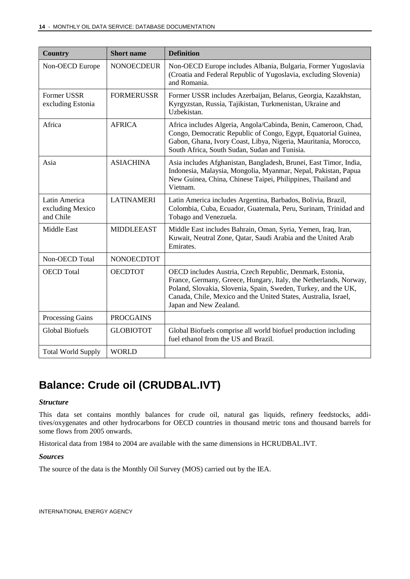| <b>Country</b>                                 | <b>Short</b> name | <b>Definition</b>                                                                                                                                                                                                                                                                            |
|------------------------------------------------|-------------------|----------------------------------------------------------------------------------------------------------------------------------------------------------------------------------------------------------------------------------------------------------------------------------------------|
| Non-OECD Europe                                | <b>NONOECDEUR</b> | Non-OECD Europe includes Albania, Bulgaria, Former Yugoslavia<br>(Croatia and Federal Republic of Yugoslavia, excluding Slovenia)<br>and Romania.                                                                                                                                            |
| Former USSR<br>excluding Estonia               | <b>FORMERUSSR</b> | Former USSR includes Azerbaijan, Belarus, Georgia, Kazakhstan,<br>Kyrgyzstan, Russia, Tajikistan, Turkmenistan, Ukraine and<br>Uzbekistan.                                                                                                                                                   |
| Africa                                         | <b>AFRICA</b>     | Africa includes Algeria, Angola/Cabinda, Benin, Cameroon, Chad,<br>Congo, Democratic Republic of Congo, Egypt, Equatorial Guinea,<br>Gabon, Ghana, Ivory Coast, Libya, Nigeria, Mauritania, Morocco,<br>South Africa, South Sudan, Sudan and Tunisia.                                        |
| Asia                                           | <b>ASIACHINA</b>  | Asia includes Afghanistan, Bangladesh, Brunei, East Timor, India,<br>Indonesia, Malaysia, Mongolia, Myanmar, Nepal, Pakistan, Papua<br>New Guinea, China, Chinese Taipei, Philippines, Thailand and<br>Vietnam.                                                                              |
| Latin America<br>excluding Mexico<br>and Chile | <b>LATINAMERI</b> | Latin America includes Argentina, Barbados, Bolivia, Brazil,<br>Colombia, Cuba, Ecuador, Guatemala, Peru, Surinam, Trinidad and<br>Tobago and Venezuela.                                                                                                                                     |
| <b>Middle East</b>                             | <b>MIDDLEEAST</b> | Middle East includes Bahrain, Oman, Syria, Yemen, Iraq, Iran,<br>Kuwait, Neutral Zone, Qatar, Saudi Arabia and the United Arab<br>Emirates.                                                                                                                                                  |
| Non-OECD Total                                 | <b>NONOECDTOT</b> |                                                                                                                                                                                                                                                                                              |
| <b>OECD</b> Total                              | <b>OECDTOT</b>    | OECD includes Austria, Czech Republic, Denmark, Estonia,<br>France, Germany, Greece, Hungary, Italy, the Netherlands, Norway,<br>Poland, Slovakia, Slovenia, Spain, Sweden, Turkey, and the UK,<br>Canada, Chile, Mexico and the United States, Australia, Israel,<br>Japan and New Zealand. |
| <b>Processing Gains</b>                        | <b>PROCGAINS</b>  |                                                                                                                                                                                                                                                                                              |
| <b>Global Biofuels</b>                         | <b>GLOBIOTOT</b>  | Global Biofuels comprise all world biofuel production including<br>fuel ethanol from the US and Brazil.                                                                                                                                                                                      |
| <b>Total World Supply</b>                      | <b>WORLD</b>      |                                                                                                                                                                                                                                                                                              |

### <span id="page-13-0"></span>**Balance: Crude oil (CRUDBAL.IVT)**

#### *Structure*

This data set contains monthly balances for crude oil, natural gas liquids, refinery feedstocks, additives/oxygenates and other hydrocarbons for OECD countries in thousand metric tons and thousand barrels for some flows from 2005 onwards.

Historical data from 1984 to 2004 are available with the same dimensions in HCRUDBAL.IVT.

#### *Sources*

The source of the data is the Monthly Oil Survey (MOS) carried out by the IEA.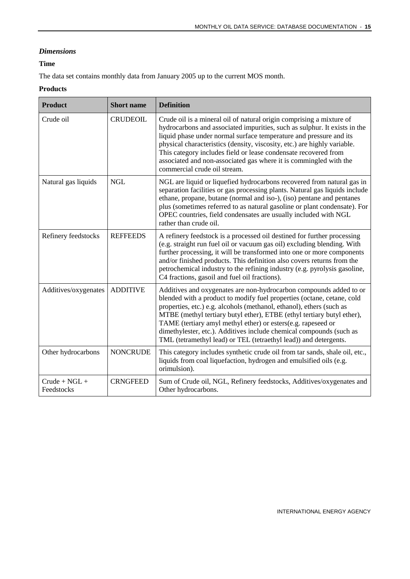#### *Dimensions*

#### **Time**

The data set contains monthly data from January 2005 up to the current MOS month.

#### **Products**

| <b>Product</b>                | <b>Short name</b> | <b>Definition</b>                                                                                                                                                                                                                                                                                                                                                                                                                                                                                         |
|-------------------------------|-------------------|-----------------------------------------------------------------------------------------------------------------------------------------------------------------------------------------------------------------------------------------------------------------------------------------------------------------------------------------------------------------------------------------------------------------------------------------------------------------------------------------------------------|
| Crude oil                     | <b>CRUDEOIL</b>   | Crude oil is a mineral oil of natural origin comprising a mixture of<br>hydrocarbons and associated impurities, such as sulphur. It exists in the<br>liquid phase under normal surface temperature and pressure and its<br>physical characteristics (density, viscosity, etc.) are highly variable.<br>This category includes field or lease condensate recovered from<br>associated and non-associated gas where it is commingled with the<br>commercial crude oil stream.                               |
| Natural gas liquids           | <b>NGL</b>        | NGL are liquid or liquefied hydrocarbons recovered from natural gas in<br>separation facilities or gas processing plants. Natural gas liquids include<br>ethane, propane, butane (normal and iso-), (iso) pentane and pentanes<br>plus (sometimes referred to as natural gasoline or plant condensate). For<br>OPEC countries, field condensates are usually included with NGL<br>rather than crude oil.                                                                                                  |
| Refinery feedstocks           | <b>REFFEEDS</b>   | A refinery feedstock is a processed oil destined for further processing<br>(e.g. straight run fuel oil or vacuum gas oil) excluding blending. With<br>further processing, it will be transformed into one or more components<br>and/or finished products. This definition also covers returns from the<br>petrochemical industry to the refining industry (e.g. pyrolysis gasoline,<br>C4 fractions, gasoil and fuel oil fractions).                                                                      |
| Additives/oxygenates          | <b>ADDITIVE</b>   | Additives and oxygenates are non-hydrocarbon compounds added to or<br>blended with a product to modify fuel properties (octane, cetane, cold<br>properties, etc.) e.g. alcohols (methanol, ethanol), ethers (such as<br>MTBE (methyl tertiary butyl ether), ETBE (ethyl tertiary butyl ether),<br>TAME (tertiary amyl methyl ether) or esters(e.g. rapeseed or<br>dimethylester, etc.). Additives include chemical compounds (such as<br>TML (tetramethyl lead) or TEL (tetraethyl lead)) and detergents. |
| Other hydrocarbons            | <b>NONCRUDE</b>   | This category includes synthetic crude oil from tar sands, shale oil, etc.,<br>liquids from coal liquefaction, hydrogen and emulsified oils (e.g.<br>orimulsion).                                                                                                                                                                                                                                                                                                                                         |
| $Crude + NGL +$<br>Feedstocks | <b>CRNGFEED</b>   | Sum of Crude oil, NGL, Refinery feedstocks, Additives/oxygenates and<br>Other hydrocarbons.                                                                                                                                                                                                                                                                                                                                                                                                               |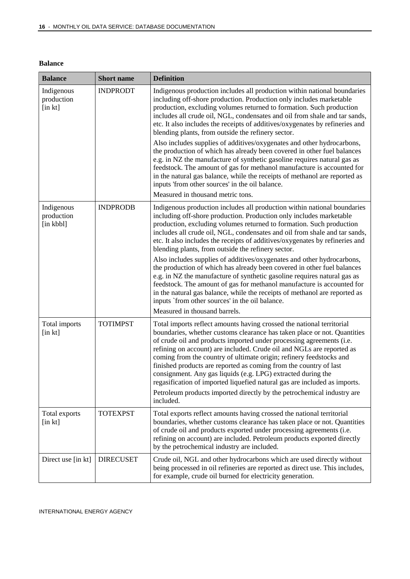| <b>Balance</b>                           | <b>Short name</b> | <b>Definition</b>                                                                                                                                                                                                                                                                                                                                                                                                                                                                                                                                                                                                                                                                  |
|------------------------------------------|-------------------|------------------------------------------------------------------------------------------------------------------------------------------------------------------------------------------------------------------------------------------------------------------------------------------------------------------------------------------------------------------------------------------------------------------------------------------------------------------------------------------------------------------------------------------------------------------------------------------------------------------------------------------------------------------------------------|
| Indigenous<br>production<br>$[$ in $kt]$ | <b>INDPRODT</b>   | Indigenous production includes all production within national boundaries<br>including off-shore production. Production only includes marketable<br>production, excluding volumes returned to formation. Such production<br>includes all crude oil, NGL, condensates and oil from shale and tar sands,<br>etc. It also includes the receipts of additives/oxygenates by refineries and<br>blending plants, from outside the refinery sector.                                                                                                                                                                                                                                        |
|                                          |                   | Also includes supplies of additives/oxygenates and other hydrocarbons,<br>the production of which has already been covered in other fuel balances<br>e.g. in NZ the manufacture of synthetic gasoline requires natural gas as<br>feedstock. The amount of gas for methanol manufacture is accounted for<br>in the natural gas balance, while the receipts of methanol are reported as<br>inputs 'from other sources' in the oil balance.                                                                                                                                                                                                                                           |
|                                          |                   | Measured in thousand metric tons.                                                                                                                                                                                                                                                                                                                                                                                                                                                                                                                                                                                                                                                  |
| Indigenous<br>production<br>[in kbbl]    | <b>INDPRODB</b>   | Indigenous production includes all production within national boundaries<br>including off-shore production. Production only includes marketable<br>production, excluding volumes returned to formation. Such production<br>includes all crude oil, NGL, condensates and oil from shale and tar sands,<br>etc. It also includes the receipts of additives/oxygenates by refineries and<br>blending plants, from outside the refinery sector.                                                                                                                                                                                                                                        |
|                                          |                   | Also includes supplies of additives/oxygenates and other hydrocarbons,<br>the production of which has already been covered in other fuel balances<br>e.g. in NZ the manufacture of synthetic gasoline requires natural gas as<br>feedstock. The amount of gas for methanol manufacture is accounted for<br>in the natural gas balance, while the receipts of methanol are reported as<br>inputs 'from other sources' in the oil balance.                                                                                                                                                                                                                                           |
|                                          |                   | Measured in thousand barrels.                                                                                                                                                                                                                                                                                                                                                                                                                                                                                                                                                                                                                                                      |
| Total imports<br>[in kt]                 | <b>TOTIMPST</b>   | Total imports reflect amounts having crossed the national territorial<br>boundaries, whether customs clearance has taken place or not. Quantities<br>of crude oil and products imported under processing agreements (i.e.<br>refining on account) are included. Crude oil and NGLs are reported as<br>coming from the country of ultimate origin; refinery feedstocks and<br>finished products are reported as coming from the country of last<br>consignment. Any gas liquids (e.g. LPG) extracted during the<br>regasification of imported liquefied natural gas are included as imports.<br>Petroleum products imported directly by the petrochemical industry are<br>included. |
| Total exports<br>$[$ in $kt]$            | <b>TOTEXPST</b>   | Total exports reflect amounts having crossed the national territorial<br>boundaries, whether customs clearance has taken place or not. Quantities<br>of crude oil and products exported under processing agreements (i.e.<br>refining on account) are included. Petroleum products exported directly<br>by the petrochemical industry are included.                                                                                                                                                                                                                                                                                                                                |
| Direct use [in kt]                       | <b>DIRECUSET</b>  | Crude oil, NGL and other hydrocarbons which are used directly without<br>being processed in oil refineries are reported as direct use. This includes,<br>for example, crude oil burned for electricity generation.                                                                                                                                                                                                                                                                                                                                                                                                                                                                 |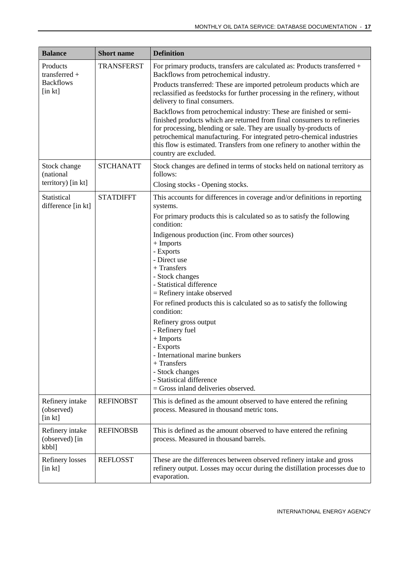| <b>Balance</b>                                  | <b>Short name</b> | <b>Definition</b>                                                                                                                                                                                                                                                                                                                                                                                 |
|-------------------------------------------------|-------------------|---------------------------------------------------------------------------------------------------------------------------------------------------------------------------------------------------------------------------------------------------------------------------------------------------------------------------------------------------------------------------------------------------|
| Products<br>transferred +                       | <b>TRANSFERST</b> | For primary products, transfers are calculated as: Products transferred +<br>Backflows from petrochemical industry.                                                                                                                                                                                                                                                                               |
| <b>Backflows</b><br>$[$ in $kt]$                |                   | Products transferred: These are imported petroleum products which are<br>reclassified as feedstocks for further processing in the refinery, without<br>delivery to final consumers.                                                                                                                                                                                                               |
|                                                 |                   | Backflows from petrochemical industry: These are finished or semi-<br>finished products which are returned from final consumers to refineries<br>for processing, blending or sale. They are usually by-products of<br>petrochemical manufacturing. For integrated petro-chemical industries<br>this flow is estimated. Transfers from one refinery to another within the<br>country are excluded. |
| Stock change<br>(national<br>territory) [in kt] | <b>STCHANATT</b>  | Stock changes are defined in terms of stocks held on national territory as<br>follows:<br>Closing stocks - Opening stocks.                                                                                                                                                                                                                                                                        |
| Statistical                                     | <b>STATDIFFT</b>  | This accounts for differences in coverage and/or definitions in reporting                                                                                                                                                                                                                                                                                                                         |
| difference [in kt]                              |                   | systems.<br>For primary products this is calculated so as to satisfy the following<br>condition:                                                                                                                                                                                                                                                                                                  |
|                                                 |                   | Indigenous production (inc. From other sources)<br>$+$ Imports<br>- Exports<br>- Direct use<br>$+$ Transfers<br>- Stock changes<br>- Statistical difference<br>$=$ Refinery intake observed                                                                                                                                                                                                       |
|                                                 |                   | For refined products this is calculated so as to satisfy the following<br>condition:                                                                                                                                                                                                                                                                                                              |
|                                                 |                   | Refinery gross output<br>- Refinery fuel<br>$+$ Imports<br>- Exports<br>- International marine bunkers<br>$+$ Transfers<br>- Stock changes<br>- Statistical difference<br>$=$ Gross inland deliveries observed.                                                                                                                                                                                   |
| Refinery intake<br>(observed)<br>[in kt]        | <b>REFINOBST</b>  | This is defined as the amount observed to have entered the refining<br>process. Measured in thousand metric tons.                                                                                                                                                                                                                                                                                 |
| Refinery intake<br>(observed) [in<br>kbbl]      | <b>REFINOBSB</b>  | This is defined as the amount observed to have entered the refining<br>process. Measured in thousand barrels.                                                                                                                                                                                                                                                                                     |
| Refinery losses<br>$[$ in $kt]$                 | <b>REFLOSST</b>   | These are the differences between observed refinery intake and gross<br>refinery output. Losses may occur during the distillation processes due to<br>evaporation.                                                                                                                                                                                                                                |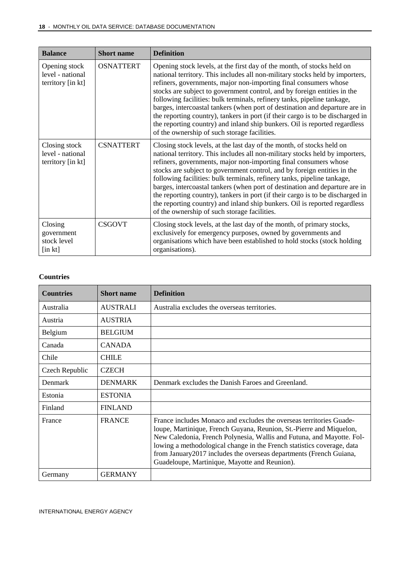| <b>Balance</b>                                                      | <b>Short name</b> | <b>Definition</b>                                                                                                                                                                                                                                                                                                                                                                                                                                                                                                                                                                                                                                                                |
|---------------------------------------------------------------------|-------------------|----------------------------------------------------------------------------------------------------------------------------------------------------------------------------------------------------------------------------------------------------------------------------------------------------------------------------------------------------------------------------------------------------------------------------------------------------------------------------------------------------------------------------------------------------------------------------------------------------------------------------------------------------------------------------------|
| Opening stock<br>level - national<br>territory [in kt]              | <b>OSNATTERT</b>  | Opening stock levels, at the first day of the month, of stocks held on<br>national territory. This includes all non-military stocks held by importers,<br>refiners, governments, major non-importing final consumers whose<br>stocks are subject to government control, and by foreign entities in the<br>following facilities: bulk terminals, refinery tanks, pipeline tankage,<br>barges, intercoastal tankers (when port of destination and departure are in<br>the reporting country), tankers in port (if their cargo is to be discharged in<br>the reporting country) and inland ship bunkers. Oil is reported regardless<br>of the ownership of such storage facilities. |
| Closing stock<br>level - national<br>territory [in kt]              | <b>CSNATTERT</b>  | Closing stock levels, at the last day of the month, of stocks held on<br>national territory. This includes all non-military stocks held by importers,<br>refiners, governments, major non-importing final consumers whose<br>stocks are subject to government control, and by foreign entities in the<br>following facilities: bulk terminals, refinery tanks, pipeline tankage,<br>barges, intercoastal tankers (when port of destination and departure are in<br>the reporting country), tankers in port (if their cargo is to be discharged in<br>the reporting country) and inland ship bunkers. Oil is reported regardless<br>of the ownership of such storage facilities.  |
| Closing<br>government<br>stock level<br>$\left[\text{in } k\right]$ | <b>CSGOVT</b>     | Closing stock levels, at the last day of the month, of primary stocks,<br>exclusively for emergency purposes, owned by governments and<br>organisations which have been established to hold stocks (stock holding<br>organisations).                                                                                                                                                                                                                                                                                                                                                                                                                                             |

#### **Countries**

| <b>Countries</b> | <b>Short name</b> | <b>Definition</b>                                                                                                                                                                                                                                                                                                                                                                                                     |
|------------------|-------------------|-----------------------------------------------------------------------------------------------------------------------------------------------------------------------------------------------------------------------------------------------------------------------------------------------------------------------------------------------------------------------------------------------------------------------|
| Australia        | <b>AUSTRALI</b>   | Australia excludes the overseas territories.                                                                                                                                                                                                                                                                                                                                                                          |
| Austria          | <b>AUSTRIA</b>    |                                                                                                                                                                                                                                                                                                                                                                                                                       |
| Belgium          | <b>BELGIUM</b>    |                                                                                                                                                                                                                                                                                                                                                                                                                       |
| Canada           | <b>CANADA</b>     |                                                                                                                                                                                                                                                                                                                                                                                                                       |
| Chile            | <b>CHILE</b>      |                                                                                                                                                                                                                                                                                                                                                                                                                       |
| Czech Republic   | <b>CZECH</b>      |                                                                                                                                                                                                                                                                                                                                                                                                                       |
| Denmark          | <b>DENMARK</b>    | Denmark excludes the Danish Faroes and Greenland.                                                                                                                                                                                                                                                                                                                                                                     |
| Estonia          | <b>ESTONIA</b>    |                                                                                                                                                                                                                                                                                                                                                                                                                       |
| Finland          | <b>FINLAND</b>    |                                                                                                                                                                                                                                                                                                                                                                                                                       |
| France           | <b>FRANCE</b>     | France includes Monaco and excludes the overseas territories Guade-<br>loupe, Martinique, French Guyana, Reunion, St.-Pierre and Miquelon,<br>New Caledonia, French Polynesia, Wallis and Futuna, and Mayotte. Fol-<br>lowing a methodological change in the French statistics coverage, data<br>from January 2017 includes the overseas departments (French Guiana,<br>Guadeloupe, Martinique, Mayotte and Reunion). |
| Germany          | <b>GERMANY</b>    |                                                                                                                                                                                                                                                                                                                                                                                                                       |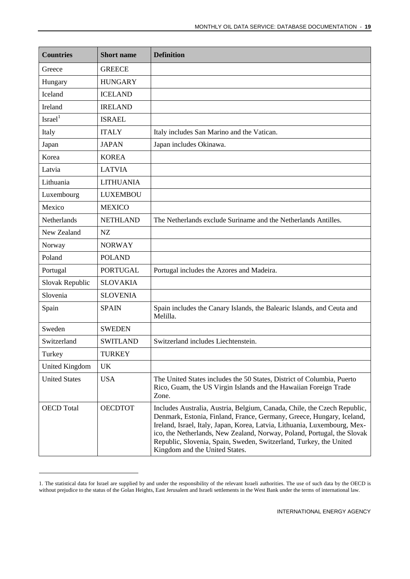| <b>Countries</b>     | <b>Short name</b> | <b>Definition</b>                                                                                                                                                                                                                                                                                                                                                                                                 |
|----------------------|-------------------|-------------------------------------------------------------------------------------------------------------------------------------------------------------------------------------------------------------------------------------------------------------------------------------------------------------------------------------------------------------------------------------------------------------------|
| Greece               | <b>GREECE</b>     |                                                                                                                                                                                                                                                                                                                                                                                                                   |
| Hungary              | <b>HUNGARY</b>    |                                                                                                                                                                                                                                                                                                                                                                                                                   |
| Iceland              | <b>ICELAND</b>    |                                                                                                                                                                                                                                                                                                                                                                                                                   |
| Ireland              | <b>IRELAND</b>    |                                                                                                                                                                                                                                                                                                                                                                                                                   |
| Israel <sup>1</sup>  | <b>ISRAEL</b>     |                                                                                                                                                                                                                                                                                                                                                                                                                   |
| Italy                | <b>ITALY</b>      | Italy includes San Marino and the Vatican.                                                                                                                                                                                                                                                                                                                                                                        |
| Japan                | <b>JAPAN</b>      | Japan includes Okinawa.                                                                                                                                                                                                                                                                                                                                                                                           |
| Korea                | <b>KOREA</b>      |                                                                                                                                                                                                                                                                                                                                                                                                                   |
| Latvia               | <b>LATVIA</b>     |                                                                                                                                                                                                                                                                                                                                                                                                                   |
| Lithuania            | <b>LITHUANIA</b>  |                                                                                                                                                                                                                                                                                                                                                                                                                   |
| Luxembourg           | <b>LUXEMBOU</b>   |                                                                                                                                                                                                                                                                                                                                                                                                                   |
| Mexico               | <b>MEXICO</b>     |                                                                                                                                                                                                                                                                                                                                                                                                                   |
| Netherlands          | <b>NETHLAND</b>   | The Netherlands exclude Suriname and the Netherlands Antilles.                                                                                                                                                                                                                                                                                                                                                    |
| New Zealand          | NZ                |                                                                                                                                                                                                                                                                                                                                                                                                                   |
| Norway               | <b>NORWAY</b>     |                                                                                                                                                                                                                                                                                                                                                                                                                   |
| Poland               | <b>POLAND</b>     |                                                                                                                                                                                                                                                                                                                                                                                                                   |
| Portugal             | <b>PORTUGAL</b>   | Portugal includes the Azores and Madeira.                                                                                                                                                                                                                                                                                                                                                                         |
| Slovak Republic      | <b>SLOVAKIA</b>   |                                                                                                                                                                                                                                                                                                                                                                                                                   |
| Slovenia             | <b>SLOVENIA</b>   |                                                                                                                                                                                                                                                                                                                                                                                                                   |
| Spain                | <b>SPAIN</b>      | Spain includes the Canary Islands, the Balearic Islands, and Ceuta and<br>Melilla.                                                                                                                                                                                                                                                                                                                                |
| Sweden               | <b>SWEDEN</b>     |                                                                                                                                                                                                                                                                                                                                                                                                                   |
| Switzerland          | <b>SWITLAND</b>   | Switzerland includes Liechtenstein.                                                                                                                                                                                                                                                                                                                                                                               |
| Turkey               | <b>TURKEY</b>     |                                                                                                                                                                                                                                                                                                                                                                                                                   |
| United Kingdom       | UK.               |                                                                                                                                                                                                                                                                                                                                                                                                                   |
| <b>United States</b> | <b>USA</b>        | The United States includes the 50 States, District of Columbia, Puerto<br>Rico, Guam, the US Virgin Islands and the Hawaiian Foreign Trade<br>Zone.                                                                                                                                                                                                                                                               |
| <b>OECD</b> Total    | <b>OECDTOT</b>    | Includes Australia, Austria, Belgium, Canada, Chile, the Czech Republic,<br>Denmark, Estonia, Finland, France, Germany, Greece, Hungary, Iceland,<br>Ireland, Israel, Italy, Japan, Korea, Latvia, Lithuania, Luxembourg, Mex-<br>ico, the Netherlands, New Zealand, Norway, Poland, Portugal, the Slovak<br>Republic, Slovenia, Spain, Sweden, Switzerland, Turkey, the United<br>Kingdom and the United States. |

<sup>1.</sup> The statistical data for Israel are supplied by and under the responsibility of the relevant Israeli authorities. The use of such data by the OECD is without prejudice to the status of the Golan Heights, East Jerusalem and Israeli settlements in the West Bank under the terms of international law.

-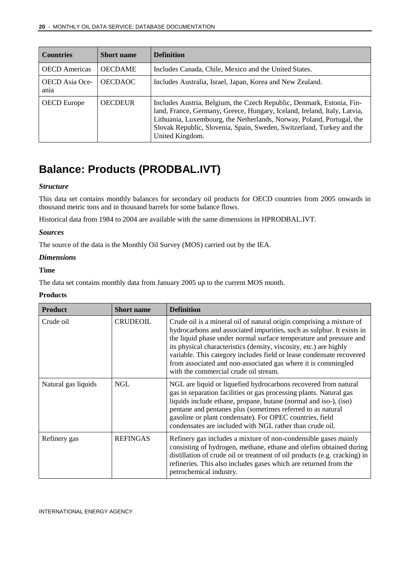| <b>Countries</b>              | <b>Short name</b> | <b>Definition</b>                                                                                                                                                                                                                                                                                                      |
|-------------------------------|-------------------|------------------------------------------------------------------------------------------------------------------------------------------------------------------------------------------------------------------------------------------------------------------------------------------------------------------------|
| <b>OECD</b> Americas          | <b>OECDAME</b>    | Includes Canada, Chile, Mexico and the United States.                                                                                                                                                                                                                                                                  |
| <b>OECD</b> Asia Oce-<br>ania | <b>OECDAOC</b>    | Includes Australia, Israel, Japan, Korea and New Zealand.                                                                                                                                                                                                                                                              |
| <b>OECD</b> Europe            | <b>OECDEUR</b>    | Includes Austria, Belgium, the Czech Republic, Denmark, Estonia, Fin-<br>land, France, Germany, Greece, Hungary, Iceland, Ireland, Italy, Latvia,<br>Lithuania, Luxembourg, the Netherlands, Norway, Poland, Portugal, the<br>Slovak Republic, Slovenia, Spain, Sweden, Switzerland, Turkey and the<br>United Kingdom. |

### <span id="page-19-0"></span>**Balance: Products (PRODBAL.IVT)**

#### *Structure*

This data set contains monthly balances for secondary oil products for OECD countries from 2005 onwards in thousand metric tons and in thousand barrels for some balance flows.

Historical data from 1984 to 2004 are available with the same dimensions in HPRODBAL.IVT.

#### *Sources*

The source of the data is the Monthly Oil Survey (MOS) carried out by the IEA.

#### *Dimensions*

#### **Time**

The data set contains monthly data from January 2005 up to the current MOS month.

#### **Products**

| <b>Product</b>      | <b>Short name</b> | <b>Definition</b>                                                                                                                                                                                                                                                                                                                                                                                                                                                           |
|---------------------|-------------------|-----------------------------------------------------------------------------------------------------------------------------------------------------------------------------------------------------------------------------------------------------------------------------------------------------------------------------------------------------------------------------------------------------------------------------------------------------------------------------|
| Crude oil           | <b>CRUDEOIL</b>   | Crude oil is a mineral oil of natural origin comprising a mixture of<br>hydrocarbons and associated impurities, such as sulphur. It exists in<br>the liquid phase under normal surface temperature and pressure and<br>its physical characteristics (density, viscosity, etc.) are highly<br>variable. This category includes field or lease condensate recovered<br>from associated and non-associated gas where it is commingled<br>with the commercial crude oil stream. |
| Natural gas liquids | <b>NGL</b>        | NGL are liquid or liquefied hydrocarbons recovered from natural<br>gas in separation facilities or gas processing plants. Natural gas<br>liquids include ethane, propane, butane (normal and iso-), (iso)<br>pentane and pentanes plus (sometimes referred to as natural<br>gasoline or plant condensate). For OPEC countries, field<br>condensates are included with NGL rather than crude oil.                                                                            |
| Refinery gas        | <b>REFINGAS</b>   | Refinery gas includes a mixture of non-condensible gases mainly<br>consisting of hydrogen, methane, ethane and olefins obtained during<br>distillation of crude oil or treatment of oil products (e.g. cracking) in<br>refineries. This also includes gases which are returned from the<br>petrochemical industry.                                                                                                                                                          |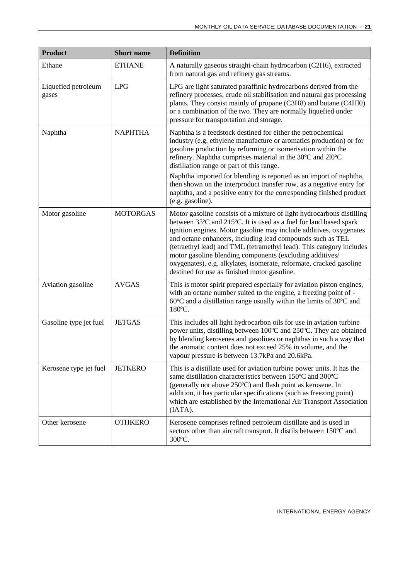| <b>Product</b>               | <b>Short name</b> | <b>Definition</b>                                                                                                                                                                                                                                                                                                                                                                                                                                                                                                                                        |
|------------------------------|-------------------|----------------------------------------------------------------------------------------------------------------------------------------------------------------------------------------------------------------------------------------------------------------------------------------------------------------------------------------------------------------------------------------------------------------------------------------------------------------------------------------------------------------------------------------------------------|
| Ethane                       | <b>ETHANE</b>     | A naturally gaseous straight-chain hydrocarbon (C2H6), extracted<br>from natural gas and refinery gas streams.                                                                                                                                                                                                                                                                                                                                                                                                                                           |
| Liquefied petroleum<br>gases | <b>LPG</b>        | LPG are light saturated paraffinic hydrocarbons derived from the<br>refinery processes, crude oil stabilisation and natural gas processing<br>plants. They consist mainly of propane (C3H8) and butane (C4H10)<br>or a combination of the two. They are normally liquefied under<br>pressure for transportation and storage.                                                                                                                                                                                                                             |
| Naphtha                      | <b>NAPHTHA</b>    | Naphtha is a feedstock destined for either the petrochemical<br>industry (e.g. ethylene manufacture or aromatics production) or for<br>gasoline production by reforming or isomerisation within the<br>refinery. Naphtha comprises material in the 30°C and 210°C<br>distillation range or part of this range.<br>Naphtha imported for blending is reported as an import of naphtha,<br>then shown on the interproduct transfer row, as a negative entry for<br>naphtha, and a positive entry for the corresponding finished product<br>(e.g. gasoline). |
| Motor gasoline               | <b>MOTORGAS</b>   | Motor gasoline consists of a mixture of light hydrocarbons distilling<br>between 35°C and 215°C. It is used as a fuel for land based spark<br>ignition engines. Motor gasoline may include additives, oxygenates<br>and octane enhancers, including lead compounds such as TEL<br>(tetraethyl lead) and TML (tetramethyl lead). This category includes<br>motor gasoline blending components (excluding additives/<br>oxygenates), e.g. alkylates, isomerate, reformate, cracked gasoline<br>destined for use as finished motor gasoline.                |
| Aviation gasoline            | <b>AVGAS</b>      | This is motor spirit prepared especially for aviation piston engines,<br>with an octane number suited to the engine, a freezing point of -<br>$60^{\circ}$ C and a distillation range usually within the limits of 30 $^{\circ}$ C and<br>180°C.                                                                                                                                                                                                                                                                                                         |
| Gasoline type jet fuel       | <b>JETGAS</b>     | This includes all light hydrocarbon oils for use in aviation turbine<br>power units, distilling between 100°C and 250°C. They are obtained<br>by blending kerosenes and gasolines or naphthas in such a way that<br>the aromatic content does not exceed 25% in volume, and the<br>vapour pressure is between 13.7kPa and 20.6kPa.                                                                                                                                                                                                                       |
| Kerosene type jet fuel       | <b>JETKERO</b>    | This is a distillate used for aviation turbine power units. It has the<br>same distillation characteristics between 150°C and 300°C<br>(generally not above 250°C) and flash point as kerosene. In<br>addition, it has particular specifications (such as freezing point)<br>which are established by the International Air Transport Association<br>(IATA).                                                                                                                                                                                             |
| Other kerosene               | <b>OTHKERO</b>    | Kerosene comprises refined petroleum distillate and is used in<br>sectors other than aircraft transport. It distils between 150°C and<br>300°C.                                                                                                                                                                                                                                                                                                                                                                                                          |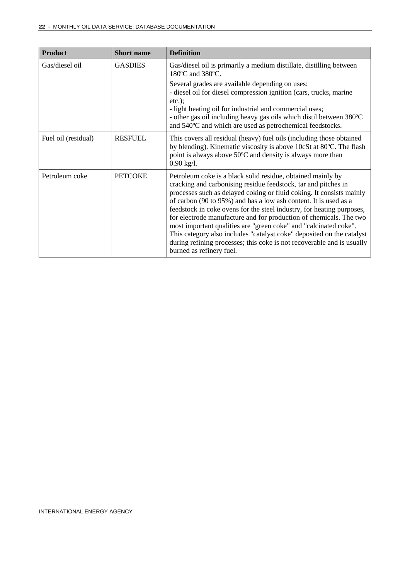| <b>Product</b>      | <b>Short name</b> | <b>Definition</b>                                                                                                                                                                                                                                                                                                                                                                                                                                                                                                                                                                                                                                                           |
|---------------------|-------------------|-----------------------------------------------------------------------------------------------------------------------------------------------------------------------------------------------------------------------------------------------------------------------------------------------------------------------------------------------------------------------------------------------------------------------------------------------------------------------------------------------------------------------------------------------------------------------------------------------------------------------------------------------------------------------------|
| Gas/diesel oil      | <b>GASDIES</b>    | Gas/diesel oil is primarily a medium distillate, distilling between<br>180°C and 380°C.                                                                                                                                                                                                                                                                                                                                                                                                                                                                                                                                                                                     |
|                     |                   | Several grades are available depending on uses:<br>- diesel oil for diesel compression ignition (cars, trucks, marine<br>$etc.$ );<br>- light heating oil for industrial and commercial uses;<br>- other gas oil including heavy gas oils which distil between 380°C<br>and 540°C and which are used as petrochemical feedstocks.                                                                                                                                                                                                                                                                                                                                           |
| Fuel oil (residual) | <b>RESFUEL</b>    | This covers all residual (heavy) fuel oils (including those obtained<br>by blending). Kinematic viscosity is above 10cSt at 80°C. The flash<br>point is always above 50°C and density is always more than<br>$0.90$ kg/l.                                                                                                                                                                                                                                                                                                                                                                                                                                                   |
| Petroleum coke      | <b>PETCOKE</b>    | Petroleum coke is a black solid residue, obtained mainly by<br>cracking and carbonising residue feedstock, tar and pitches in<br>processes such as delayed coking or fluid coking. It consists mainly<br>of carbon (90 to 95%) and has a low ash content. It is used as a<br>feedstock in coke ovens for the steel industry, for heating purposes,<br>for electrode manufacture and for production of chemicals. The two<br>most important qualities are "green coke" and "calcinated coke".<br>This category also includes "catalyst coke" deposited on the catalyst<br>during refining processes; this coke is not recoverable and is usually<br>burned as refinery fuel. |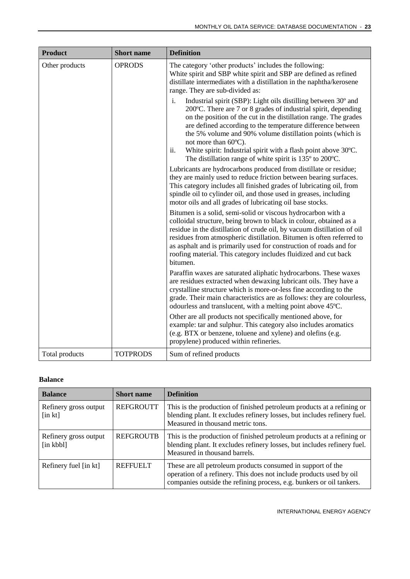| <b>Product</b> | <b>Short name</b> | <b>Definition</b>                                                                                                                                                                                                                                                                                                                                                                                                                                                                                                       |
|----------------|-------------------|-------------------------------------------------------------------------------------------------------------------------------------------------------------------------------------------------------------------------------------------------------------------------------------------------------------------------------------------------------------------------------------------------------------------------------------------------------------------------------------------------------------------------|
| Other products | <b>OPRODS</b>     | The category 'other products' includes the following:<br>White spirit and SBP white spirit and SBP are defined as refined<br>distillate intermediates with a distillation in the naphtha/kerosene<br>range. They are sub-divided as:                                                                                                                                                                                                                                                                                    |
|                |                   | Industrial spirit (SBP): Light oils distilling between 30° and<br>i.<br>200°C. There are 7 or 8 grades of industrial spirit, depending<br>on the position of the cut in the distillation range. The grades<br>are defined according to the temperature difference between<br>the 5% volume and 90% volume distillation points (which is<br>not more than 60°C).<br>White spirit: Industrial spirit with a flash point above 30°C.<br>ii.<br>The distillation range of white spirit is $135^{\circ}$ to $200^{\circ}$ C. |
|                |                   | Lubricants are hydrocarbons produced from distillate or residue;<br>they are mainly used to reduce friction between bearing surfaces.<br>This category includes all finished grades of lubricating oil, from<br>spindle oil to cylinder oil, and those used in greases, including<br>motor oils and all grades of lubricating oil base stocks.                                                                                                                                                                          |
|                |                   | Bitumen is a solid, semi-solid or viscous hydrocarbon with a<br>colloidal structure, being brown to black in colour, obtained as a<br>residue in the distillation of crude oil, by vacuum distillation of oil<br>residues from atmospheric distillation. Bitumen is often referred to<br>as asphalt and is primarily used for construction of roads and for<br>roofing material. This category includes fluidized and cut back<br>bitumen.                                                                              |
|                |                   | Paraffin waxes are saturated aliphatic hydrocarbons. These waxes<br>are residues extracted when dewaxing lubricant oils. They have a<br>crystalline structure which is more-or-less fine according to the<br>grade. Their main characteristics are as follows: they are colourless,<br>odourless and translucent, with a melting point above 45°C.                                                                                                                                                                      |
|                |                   | Other are all products not specifically mentioned above, for<br>example: tar and sulphur. This category also includes aromatics<br>(e.g. BTX or benzene, toluene and xylene) and olefins (e.g.<br>propylene) produced within refineries.                                                                                                                                                                                                                                                                                |
| Total products | <b>TOTPRODS</b>   | Sum of refined products                                                                                                                                                                                                                                                                                                                                                                                                                                                                                                 |

#### **Balance**

| <b>Balance</b>                                           | <b>Short name</b> | <b>Definition</b>                                                                                                                                                                                          |
|----------------------------------------------------------|-------------------|------------------------------------------------------------------------------------------------------------------------------------------------------------------------------------------------------------|
| Refinery gross output<br>$\left[\text{in } k\right]$     | <b>REFGROUTT</b>  | This is the production of finished petroleum products at a refining or<br>blending plant. It excludes refinery losses, but includes refinery fuel.<br>Measured in thousand metric tons.                    |
| Refinery gross output<br>$\left[ \text{in kbbl} \right]$ | <b>REFGROUTB</b>  | This is the production of finished petroleum products at a refining or<br>blending plant. It excludes refinery losses, but includes refinery fuel.<br>Measured in thousand barrels.                        |
| Refinery fuel [in kt]                                    | <b>REFFUELT</b>   | These are all petroleum products consumed in support of the<br>operation of a refinery. This does not include products used by oil<br>companies outside the refining process, e.g. bunkers or oil tankers. |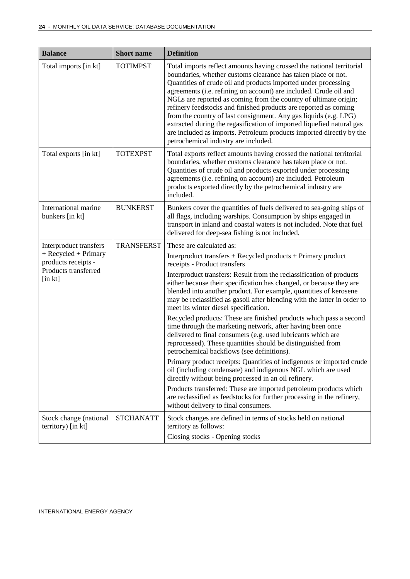| <b>Balance</b>                                                                      | <b>Short</b> name | <b>Definition</b>                                                                                                                                                                                                                                                                                                                                                                                                                                                                                                                                                                                                                                                                  |
|-------------------------------------------------------------------------------------|-------------------|------------------------------------------------------------------------------------------------------------------------------------------------------------------------------------------------------------------------------------------------------------------------------------------------------------------------------------------------------------------------------------------------------------------------------------------------------------------------------------------------------------------------------------------------------------------------------------------------------------------------------------------------------------------------------------|
| Total imports [in kt]                                                               | <b>TOTIMPST</b>   | Total imports reflect amounts having crossed the national territorial<br>boundaries, whether customs clearance has taken place or not.<br>Quantities of crude oil and products imported under processing<br>agreements (i.e. refining on account) are included. Crude oil and<br>NGLs are reported as coming from the country of ultimate origin;<br>refinery feedstocks and finished products are reported as coming<br>from the country of last consignment. Any gas liquids (e.g. LPG)<br>extracted during the regasification of imported liquefied natural gas<br>are included as imports. Petroleum products imported directly by the<br>petrochemical industry are included. |
| Total exports [in kt]                                                               | <b>TOTEXPST</b>   | Total exports reflect amounts having crossed the national territorial<br>boundaries, whether customs clearance has taken place or not.<br>Quantities of crude oil and products exported under processing<br>agreements (i.e. refining on account) are included. Petroleum<br>products exported directly by the petrochemical industry are<br>included.                                                                                                                                                                                                                                                                                                                             |
| International marine<br>bunkers [in kt]                                             | <b>BUNKERST</b>   | Bunkers cover the quantities of fuels delivered to sea-going ships of<br>all flags, including warships. Consumption by ships engaged in<br>transport in inland and coastal waters is not included. Note that fuel<br>delivered for deep-sea fishing is not included.                                                                                                                                                                                                                                                                                                                                                                                                               |
| Interproduct transfers                                                              | <b>TRANSFERST</b> | These are calculated as:                                                                                                                                                                                                                                                                                                                                                                                                                                                                                                                                                                                                                                                           |
| + Recycled + Primary<br>products receipts -<br>Products transferred<br>$[$ in $kt]$ |                   | Interproduct transfers + Recycled products + Primary product<br>receipts - Product transfers                                                                                                                                                                                                                                                                                                                                                                                                                                                                                                                                                                                       |
|                                                                                     |                   | Interproduct transfers: Result from the reclassification of products<br>either because their specification has changed, or because they are<br>blended into another product. For example, quantities of kerosene<br>may be reclassified as gasoil after blending with the latter in order to<br>meet its winter diesel specification.                                                                                                                                                                                                                                                                                                                                              |
|                                                                                     |                   | Recycled products: These are finished products which pass a second<br>time through the marketing network, after having been once<br>delivered to final consumers (e.g. used lubricants which are<br>reprocessed). These quantities should be distinguished from<br>petrochemical backflows (see definitions).                                                                                                                                                                                                                                                                                                                                                                      |
|                                                                                     |                   | Primary product receipts: Quantities of indigenous or imported crude<br>oil (including condensate) and indigenous NGL which are used<br>directly without being processed in an oil refinery.                                                                                                                                                                                                                                                                                                                                                                                                                                                                                       |
|                                                                                     |                   | Products transferred: These are imported petroleum products which<br>are reclassified as feedstocks for further processing in the refinery,<br>without delivery to final consumers.                                                                                                                                                                                                                                                                                                                                                                                                                                                                                                |
| Stock change (national<br>territory) [in kt]                                        | <b>STCHANATT</b>  | Stock changes are defined in terms of stocks held on national<br>territory as follows:                                                                                                                                                                                                                                                                                                                                                                                                                                                                                                                                                                                             |
|                                                                                     |                   | Closing stocks - Opening stocks                                                                                                                                                                                                                                                                                                                                                                                                                                                                                                                                                                                                                                                    |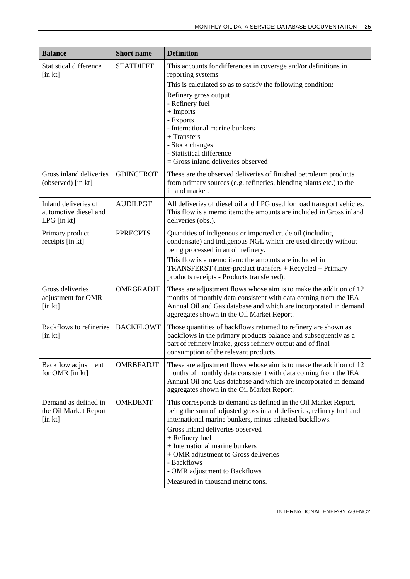| <b>Balance</b>                                                    | <b>Short name</b> | <b>Definition</b>                                                                                                                                                                                                                                                                                                                                                                                                        |
|-------------------------------------------------------------------|-------------------|--------------------------------------------------------------------------------------------------------------------------------------------------------------------------------------------------------------------------------------------------------------------------------------------------------------------------------------------------------------------------------------------------------------------------|
| <b>Statistical difference</b><br>$[$ in $kt]$                     | <b>STATDIFFT</b>  | This accounts for differences in coverage and/or definitions in<br>reporting systems<br>This is calculated so as to satisfy the following condition:<br>Refinery gross output<br>- Refinery fuel<br>+ Imports<br>- Exports<br>- International marine bunkers<br>+ Transfers<br>- Stock changes<br>- Statistical difference<br>$=$ Gross inland deliveries observed                                                       |
| Gross inland deliveries<br>(observed) [in kt]                     | <b>GDINCTROT</b>  | These are the observed deliveries of finished petroleum products<br>from primary sources (e.g. refineries, blending plants etc.) to the<br>inland market.                                                                                                                                                                                                                                                                |
| Inland deliveries of<br>automotive diesel and<br>$LPG$ [in $kt$ ] | <b>AUDILPGT</b>   | All deliveries of diesel oil and LPG used for road transport vehicles.<br>This flow is a memo item: the amounts are included in Gross inland<br>deliveries (obs.).                                                                                                                                                                                                                                                       |
| Primary product<br>receipts [in kt]                               | <b>PPRECPTS</b>   | Quantities of indigenous or imported crude oil (including<br>condensate) and indigenous NGL which are used directly without<br>being processed in an oil refinery.<br>This flow is a memo item: the amounts are included in<br>TRANSFERST (Inter-product transfers + Recycled + Primary<br>products receipts - Products transferred).                                                                                    |
| Gross deliveries<br>adjustment for OMR<br>[in kt]                 | OMRGRADJT         | These are adjustment flows whose aim is to make the addition of 12<br>months of monthly data consistent with data coming from the IEA<br>Annual Oil and Gas database and which are incorporated in demand<br>aggregates shown in the Oil Market Report.                                                                                                                                                                  |
| <b>Backflows to refineries</b><br>$[$ in $kt]$                    | <b>BACKFLOWT</b>  | Those quantities of backflows returned to refinery are shown as<br>backflows in the primary products balance and subsequently as a<br>part of refinery intake, gross refinery output and of final<br>consumption of the relevant products.                                                                                                                                                                               |
| <b>Backflow adjustment</b><br>for OMR [in kt]                     | <b>OMRBFADJT</b>  | These are adjustment flows whose aim is to make the addition of 12<br>months of monthly data consistent with data coming from the IEA<br>Annual Oil and Gas database and which are incorporated in demand<br>aggregates shown in the Oil Market Report.                                                                                                                                                                  |
| Demand as defined in<br>the Oil Market Report<br>$[$ in $kt]$     | <b>OMRDEMT</b>    | This corresponds to demand as defined in the Oil Market Report,<br>being the sum of adjusted gross inland deliveries, refinery fuel and<br>international marine bunkers, minus adjusted backflows.<br>Gross inland deliveries observed<br>+ Refinery fuel<br>+ International marine bunkers<br>+ OMR adjustment to Gross deliveries<br>- Backflows<br>- OMR adjustment to Backflows<br>Measured in thousand metric tons. |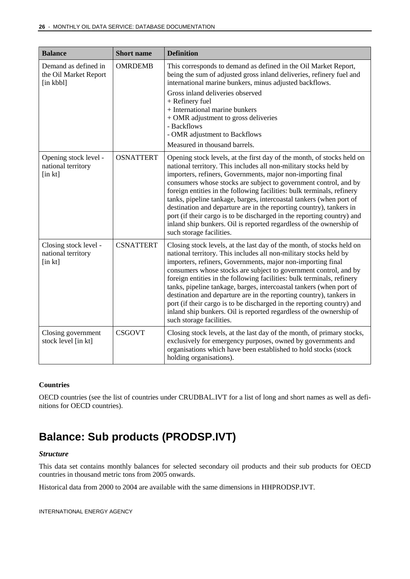| <b>Balance</b>                                              | <b>Short name</b> | <b>Definition</b>                                                                                                                                                                                                                                                                                                                                                                                                                                                                                                                                                                                                                                                                   |
|-------------------------------------------------------------|-------------------|-------------------------------------------------------------------------------------------------------------------------------------------------------------------------------------------------------------------------------------------------------------------------------------------------------------------------------------------------------------------------------------------------------------------------------------------------------------------------------------------------------------------------------------------------------------------------------------------------------------------------------------------------------------------------------------|
| Demand as defined in<br>the Oil Market Report<br>[in kbbl]  | <b>OMRDEMB</b>    | This corresponds to demand as defined in the Oil Market Report,<br>being the sum of adjusted gross inland deliveries, refinery fuel and<br>international marine bunkers, minus adjusted backflows.<br>Gross inland deliveries observed<br>+ Refinery fuel<br>+ International marine bunkers<br>+ OMR adjustment to gross deliveries<br>- Backflows<br>- OMR adjustment to Backflows<br>Measured in thousand barrels.                                                                                                                                                                                                                                                                |
| Opening stock level -<br>national territory<br>$[$ in $kt]$ | <b>OSNATTERT</b>  | Opening stock levels, at the first day of the month, of stocks held on<br>national territory. This includes all non-military stocks held by<br>importers, refiners, Governments, major non-importing final<br>consumers whose stocks are subject to government control, and by<br>foreign entities in the following facilities: bulk terminals, refinery<br>tanks, pipeline tankage, barges, intercoastal tankers (when port of<br>destination and departure are in the reporting country), tankers in<br>port (if their cargo is to be discharged in the reporting country) and<br>inland ship bunkers. Oil is reported regardless of the ownership of<br>such storage facilities. |
| Closing stock level -<br>national territory<br>[in kt]      | <b>CSNATTERT</b>  | Closing stock levels, at the last day of the month, of stocks held on<br>national territory. This includes all non-military stocks held by<br>importers, refiners, Governments, major non-importing final<br>consumers whose stocks are subject to government control, and by<br>foreign entities in the following facilities: bulk terminals, refinery<br>tanks, pipeline tankage, barges, intercoastal tankers (when port of<br>destination and departure are in the reporting country), tankers in<br>port (if their cargo is to be discharged in the reporting country) and<br>inland ship bunkers. Oil is reported regardless of the ownership of<br>such storage facilities.  |
| Closing government<br>stock level [in kt]                   | <b>CSGOVT</b>     | Closing stock levels, at the last day of the month, of primary stocks,<br>exclusively for emergency purposes, owned by governments and<br>organisations which have been established to hold stocks (stock<br>holding organisations).                                                                                                                                                                                                                                                                                                                                                                                                                                                |

#### **Countries**

OECD countries (see the list of countries under CRUDBAL.IVT for a list of long and short names as well as definitions for OECD countries).

### <span id="page-25-0"></span>**Balance: Sub products (PRODSP.IVT)**

#### *Structure*

This data set contains monthly balances for selected secondary oil products and their sub products for OECD countries in thousand metric tons from 2005 onwards.

Historical data from 2000 to 2004 are available with the same dimensions in HHPRODSP.IVT.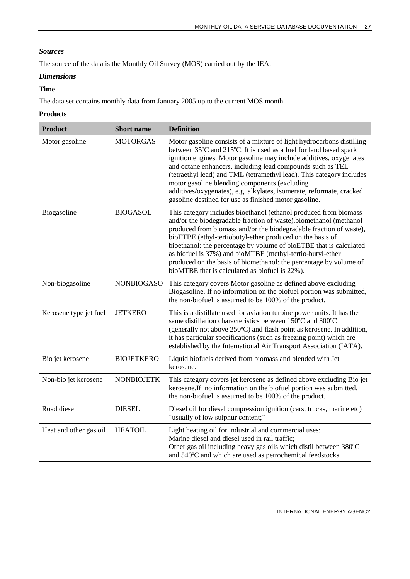#### *Sources*

The source of the data is the Monthly Oil Survey (MOS) carried out by the IEA.

#### *Dimensions*

#### **Time**

The data set contains monthly data from January 2005 up to the current MOS month.

#### **Products**

| <b>Product</b>         | <b>Short</b> name | <b>Definition</b>                                                                                                                                                                                                                                                                                                                                                                                                                                                                                                                        |
|------------------------|-------------------|------------------------------------------------------------------------------------------------------------------------------------------------------------------------------------------------------------------------------------------------------------------------------------------------------------------------------------------------------------------------------------------------------------------------------------------------------------------------------------------------------------------------------------------|
| Motor gasoline         | <b>MOTORGAS</b>   | Motor gasoline consists of a mixture of light hydrocarbons distilling<br>between 35°C and 215°C. It is used as a fuel for land based spark<br>ignition engines. Motor gasoline may include additives, oxygenates<br>and octane enhancers, including lead compounds such as TEL<br>(tetraethyl lead) and TML (tetramethyl lead). This category includes<br>motor gasoline blending components (excluding<br>additives/oxygenates), e.g. alkylates, isomerate, reformate, cracked<br>gasoline destined for use as finished motor gasoline. |
| Biogasoline            | <b>BIOGASOL</b>   | This category includes bioethanol (ethanol produced from biomass<br>and/or the biodegradable fraction of waste), biomethanol (methanol<br>produced from biomass and/or the biodegradable fraction of waste),<br>bioETBE (ethyl-tertiobutyl-ether produced on the basis of<br>bioethanol: the percentage by volume of bioETBE that is calculated<br>as biofuel is 37%) and bioMTBE (methyl-tertio-butyl-ether<br>produced on the basis of biomethanol: the percentage by volume of<br>bioMTBE that is calculated as biofuel is 22%).      |
| Non-biogasoline        | <b>NONBIOGASO</b> | This category covers Motor gasoline as defined above excluding<br>Biogasoline. If no information on the biofuel portion was submitted,<br>the non-biofuel is assumed to be 100% of the product.                                                                                                                                                                                                                                                                                                                                          |
| Kerosene type jet fuel | <b>JETKERO</b>    | This is a distillate used for aviation turbine power units. It has the<br>same distillation characteristics between 150°C and 300°C<br>(generally not above 250°C) and flash point as kerosene. In addition,<br>it has particular specifications (such as freezing point) which are<br>established by the International Air Transport Association (IATA).                                                                                                                                                                                |
| Bio jet kerosene       | <b>BIOJETKERO</b> | Liquid biofuels derived from biomass and blended with Jet<br>kerosene.                                                                                                                                                                                                                                                                                                                                                                                                                                                                   |
| Non-bio jet kerosene   | <b>NONBIOJETK</b> | This category covers jet kerosene as defined above excluding Bio jet<br>kerosene.If no information on the biofuel portion was submitted,<br>the non-biofuel is assumed to be 100% of the product.                                                                                                                                                                                                                                                                                                                                        |
| Road diesel            | <b>DIESEL</b>     | Diesel oil for diesel compression ignition (cars, trucks, marine etc)<br>"usually of low sulphur content;"                                                                                                                                                                                                                                                                                                                                                                                                                               |
| Heat and other gas oil | <b>HEATOIL</b>    | Light heating oil for industrial and commercial uses;<br>Marine diesel and diesel used in rail traffic;<br>Other gas oil including heavy gas oils which distil between 380°C<br>and 540°C and which are used as petrochemical feedstocks.                                                                                                                                                                                                                                                                                                |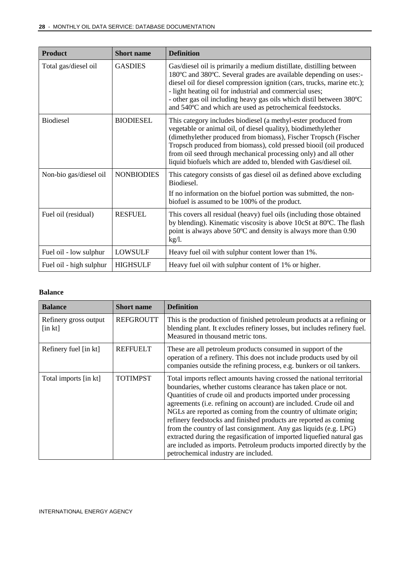| <b>Product</b>          | <b>Short name</b> | <b>Definition</b>                                                                                                                                                                                                                                                                                                                                                                                                  |
|-------------------------|-------------------|--------------------------------------------------------------------------------------------------------------------------------------------------------------------------------------------------------------------------------------------------------------------------------------------------------------------------------------------------------------------------------------------------------------------|
| Total gas/diesel oil    | <b>GASDIES</b>    | Gas/diesel oil is primarily a medium distillate, distilling between<br>180°C and 380°C. Several grades are available depending on uses:-<br>diesel oil for diesel compression ignition (cars, trucks, marine etc.);<br>- light heating oil for industrial and commercial uses;<br>- other gas oil including heavy gas oils which distil between 380°C<br>and 540°C and which are used as petrochemical feedstocks. |
| <b>Biodiesel</b>        | <b>BIODIESEL</b>  | This category includes biodiesel (a methyl-ester produced from<br>vegetable or animal oil, of diesel quality), biodimethylether<br>(dimethylether produced from biomass), Fischer Tropsch (Fischer<br>Tropsch produced from biomass), cold pressed biooil (oil produced<br>from oil seed through mechanical processing only) and all other<br>liquid biofuels which are added to, blended with Gas/diesel oil.     |
| Non-bio gas/diesel oil  | <b>NONBIODIES</b> | This category consists of gas diesel oil as defined above excluding<br>Biodiesel.<br>If no information on the biofuel portion was submitted, the non-<br>biofuel is assumed to be 100% of the product.                                                                                                                                                                                                             |
|                         |                   |                                                                                                                                                                                                                                                                                                                                                                                                                    |
| Fuel oil (residual)     | <b>RESFUEL</b>    | This covers all residual (heavy) fuel oils (including those obtained<br>by blending). Kinematic viscosity is above 10cSt at 80°C. The flash<br>point is always above 50°C and density is always more than 0.90<br>$kg/l$ .                                                                                                                                                                                         |
| Fuel oil - low sulphur  | LOWSULF           | Heavy fuel oil with sulphur content lower than 1%.                                                                                                                                                                                                                                                                                                                                                                 |
| Fuel oil - high sulphur | <b>HIGHSULF</b>   | Heavy fuel oil with sulphur content of 1% or higher.                                                                                                                                                                                                                                                                                                                                                               |

#### **Balance**

| <b>Balance</b>                                       | <b>Short name</b> | <b>Definition</b>                                                                                                                                                                                                                                                                                                                                                                                                                                                                                                                                                                                                                                                                  |
|------------------------------------------------------|-------------------|------------------------------------------------------------------------------------------------------------------------------------------------------------------------------------------------------------------------------------------------------------------------------------------------------------------------------------------------------------------------------------------------------------------------------------------------------------------------------------------------------------------------------------------------------------------------------------------------------------------------------------------------------------------------------------|
| Refinery gross output<br>$\left[\text{in } k\right]$ | <b>REFGROUTT</b>  | This is the production of finished petroleum products at a refining or<br>blending plant. It excludes refinery losses, but includes refinery fuel.<br>Measured in thousand metric tons.                                                                                                                                                                                                                                                                                                                                                                                                                                                                                            |
| Refinery fuel [in kt]                                | <b>REFFUELT</b>   | These are all petroleum products consumed in support of the<br>operation of a refinery. This does not include products used by oil<br>companies outside the refining process, e.g. bunkers or oil tankers.                                                                                                                                                                                                                                                                                                                                                                                                                                                                         |
| Total imports [in kt]                                | <b>TOTIMPST</b>   | Total imports reflect amounts having crossed the national territorial<br>boundaries, whether customs clearance has taken place or not.<br>Quantities of crude oil and products imported under processing<br>agreements (i.e. refining on account) are included. Crude oil and<br>NGLs are reported as coming from the country of ultimate origin;<br>refinery feedstocks and finished products are reported as coming<br>from the country of last consignment. Any gas liquids (e.g. LPG)<br>extracted during the regasification of imported liquefied natural gas<br>are included as imports. Petroleum products imported directly by the<br>petrochemical industry are included. |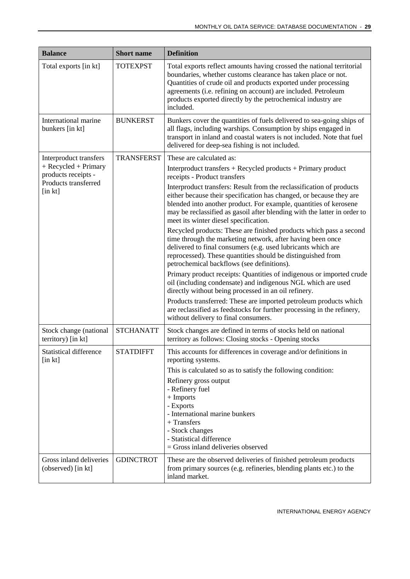| <b>Balance</b>                                | <b>Short</b> name | <b>Definition</b>                                                                                                                                                                                                                                                                                                                                                   |
|-----------------------------------------------|-------------------|---------------------------------------------------------------------------------------------------------------------------------------------------------------------------------------------------------------------------------------------------------------------------------------------------------------------------------------------------------------------|
| Total exports [in kt]                         | <b>TOTEXPST</b>   | Total exports reflect amounts having crossed the national territorial<br>boundaries, whether customs clearance has taken place or not.<br>Quantities of crude oil and products exported under processing<br>agreements (i.e. refining on account) are included. Petroleum<br>products exported directly by the petrochemical industry are<br>included.              |
| International marine<br>bunkers [in kt]       | <b>BUNKERST</b>   | Bunkers cover the quantities of fuels delivered to sea-going ships of<br>all flags, including warships. Consumption by ships engaged in<br>transport in inland and coastal waters is not included. Note that fuel<br>delivered for deep-sea fishing is not included.                                                                                                |
| Interproduct transfers                        | <b>TRANSFERST</b> | These are calculated as:                                                                                                                                                                                                                                                                                                                                            |
| + Recycled + Primary<br>products receipts -   |                   | Interproduct transfers + Recycled products + Primary product<br>receipts - Product transfers                                                                                                                                                                                                                                                                        |
| Products transferred<br>$[$ in $kt]$          |                   | Interproduct transfers: Result from the reclassification of products<br>either because their specification has changed, or because they are<br>blended into another product. For example, quantities of kerosene<br>may be reclassified as gasoil after blending with the latter in order to<br>meet its winter diesel specification.                               |
|                                               |                   | Recycled products: These are finished products which pass a second<br>time through the marketing network, after having been once<br>delivered to final consumers (e.g. used lubricants which are<br>reprocessed). These quantities should be distinguished from<br>petrochemical backflows (see definitions).                                                       |
|                                               |                   | Primary product receipts: Quantities of indigenous or imported crude<br>oil (including condensate) and indigenous NGL which are used<br>directly without being processed in an oil refinery.                                                                                                                                                                        |
|                                               |                   | Products transferred: These are imported petroleum products which<br>are reclassified as feedstocks for further processing in the refinery,<br>without delivery to final consumers.                                                                                                                                                                                 |
| Stock change (national<br>territory) [in kt]  | <b>STCHANATT</b>  | Stock changes are defined in terms of stocks held on national<br>territory as follows: Closing stocks - Opening stocks                                                                                                                                                                                                                                              |
| <b>Statistical difference</b><br>$[$ in $kt]$ | <b>STATDIFFT</b>  | This accounts for differences in coverage and/or definitions in<br>reporting systems.<br>This is calculated so as to satisfy the following condition:<br>Refinery gross output<br>- Refinery fuel<br>+ Imports<br>- Exports<br>- International marine bunkers<br>$+$ Transfers<br>- Stock changes<br>- Statistical difference<br>= Gross inland deliveries observed |
| Gross inland deliveries<br>(observed) [in kt] | <b>GDINCTROT</b>  | These are the observed deliveries of finished petroleum products<br>from primary sources (e.g. refineries, blending plants etc.) to the<br>inland market.                                                                                                                                                                                                           |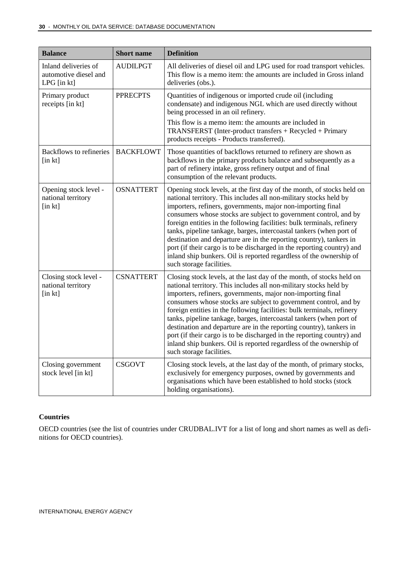| <b>Balance</b>                                                    | <b>Short name</b> | <b>Definition</b>                                                                                                                                                                                                                                                                                                                                                                                                                                                                                                                                                                                                                                                                   |
|-------------------------------------------------------------------|-------------------|-------------------------------------------------------------------------------------------------------------------------------------------------------------------------------------------------------------------------------------------------------------------------------------------------------------------------------------------------------------------------------------------------------------------------------------------------------------------------------------------------------------------------------------------------------------------------------------------------------------------------------------------------------------------------------------|
| Inland deliveries of<br>automotive diesel and<br>$LPG$ [in $kt$ ] | <b>AUDILPGT</b>   | All deliveries of diesel oil and LPG used for road transport vehicles.<br>This flow is a memo item: the amounts are included in Gross inland<br>deliveries (obs.).                                                                                                                                                                                                                                                                                                                                                                                                                                                                                                                  |
| Primary product<br>receipts [in kt]                               | <b>PPRECPTS</b>   | Quantities of indigenous or imported crude oil (including<br>condensate) and indigenous NGL which are used directly without<br>being processed in an oil refinery.<br>This flow is a memo item: the amounts are included in<br>TRANSFERST (Inter-product transfers + Recycled + Primary                                                                                                                                                                                                                                                                                                                                                                                             |
|                                                                   |                   | products receipts - Products transferred).                                                                                                                                                                                                                                                                                                                                                                                                                                                                                                                                                                                                                                          |
| <b>Backflows to refineries</b><br>$[$ in $kt]$                    | <b>BACKFLOWT</b>  | Those quantities of backflows returned to refinery are shown as<br>backflows in the primary products balance and subsequently as a<br>part of refinery intake, gross refinery output and of final<br>consumption of the relevant products.                                                                                                                                                                                                                                                                                                                                                                                                                                          |
| Opening stock level -<br>national territory<br>$[$ in $kt]$       | <b>OSNATTERT</b>  | Opening stock levels, at the first day of the month, of stocks held on<br>national territory. This includes all non-military stocks held by<br>importers, refiners, governments, major non-importing final<br>consumers whose stocks are subject to government control, and by<br>foreign entities in the following facilities: bulk terminals, refinery<br>tanks, pipeline tankage, barges, intercoastal tankers (when port of<br>destination and departure are in the reporting country), tankers in<br>port (if their cargo is to be discharged in the reporting country) and<br>inland ship bunkers. Oil is reported regardless of the ownership of<br>such storage facilities. |
| Closing stock level -<br>national territory<br>[in kt]            | <b>CSNATTERT</b>  | Closing stock levels, at the last day of the month, of stocks held on<br>national territory. This includes all non-military stocks held by<br>importers, refiners, governments, major non-importing final<br>consumers whose stocks are subject to government control, and by<br>foreign entities in the following facilities: bulk terminals, refinery<br>tanks, pipeline tankage, barges, intercoastal tankers (when port of<br>destination and departure are in the reporting country), tankers in<br>port (if their cargo is to be discharged in the reporting country) and<br>inland ship bunkers. Oil is reported regardless of the ownership of<br>such storage facilities.  |
| Closing government<br>stock level [in kt]                         | <b>CSGOVT</b>     | Closing stock levels, at the last day of the month, of primary stocks,<br>exclusively for emergency purposes, owned by governments and<br>organisations which have been established to hold stocks (stock<br>holding organisations).                                                                                                                                                                                                                                                                                                                                                                                                                                                |

#### **Countries**

OECD countries (see the list of countries under CRUDBAL.IVT for a list of long and short names as well as definitions for OECD countries).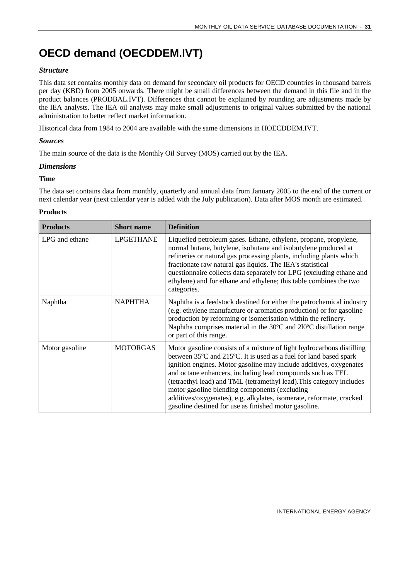### <span id="page-30-0"></span>**OECD demand (OECDDEM.IVT)**

#### *Structure*

This data set contains monthly data on demand for secondary oil products for OECD countries in thousand barrels per day (KBD) from 2005 onwards. There might be small differences between the demand in this file and in the product balances (PRODBAL.IVT). Differences that cannot be explained by rounding are adjustments made by the IEA analysts. The IEA oil analysts may make small adjustments to original values submitted by the national administration to better reflect market information.

Historical data from 1984 to 2004 are available with the same dimensions in HOECDDEM.IVT.

#### *Sources*

The main source of the data is the Monthly Oil Survey (MOS) carried out by the IEA.

#### *Dimensions*

#### **Time**

The data set contains data from monthly, quarterly and annual data from January 2005 to the end of the current or next calendar year (next calendar year is added with the July publication). Data after MOS month are estimated.

#### **Products**

| <b>Products</b> | <b>Short name</b> | <b>Definition</b>                                                                                                                                                                                                                                                                                                                                                                                                                                                                                                                                                  |
|-----------------|-------------------|--------------------------------------------------------------------------------------------------------------------------------------------------------------------------------------------------------------------------------------------------------------------------------------------------------------------------------------------------------------------------------------------------------------------------------------------------------------------------------------------------------------------------------------------------------------------|
| LPG and ethane  | <b>LPGETHANE</b>  | Liquefied petroleum gases. Ethane, ethylene, propane, propylene,<br>normal butane, butylene, isobutane and isobutylene produced at<br>refineries or natural gas processing plants, including plants which<br>fractionate raw natural gas liquids. The IEA's statistical<br>questionnaire collects data separately for LPG (excluding ethane and<br>ethylene) and for ethane and ethylene; this table combines the two<br>categories.                                                                                                                               |
| Naphtha         | <b>NAPHTHA</b>    | Naphtha is a feedstock destined for either the petrochemical industry<br>(e.g. ethylene manufacture or aromatics production) or for gasoline<br>production by reforming or isomerisation within the refinery.<br>Naphtha comprises material in the 30°C and 210°C distillation range<br>or part of this range.                                                                                                                                                                                                                                                     |
| Motor gasoline  | <b>MOTORGAS</b>   | Motor gasoline consists of a mixture of light hydrocarbons distilling<br>between 35 <sup>o</sup> C and 215 <sup>o</sup> C. It is used as a fuel for land based spark<br>ignition engines. Motor gasoline may include additives, oxygenates<br>and octane enhancers, including lead compounds such as TEL<br>(tetraethyl lead) and TML (tetramethyl lead). This category includes<br>motor gasoline blending components (excluding<br>additives/oxygenates), e.g. alkylates, isomerate, reformate, cracked<br>gasoline destined for use as finished motor gasoline. |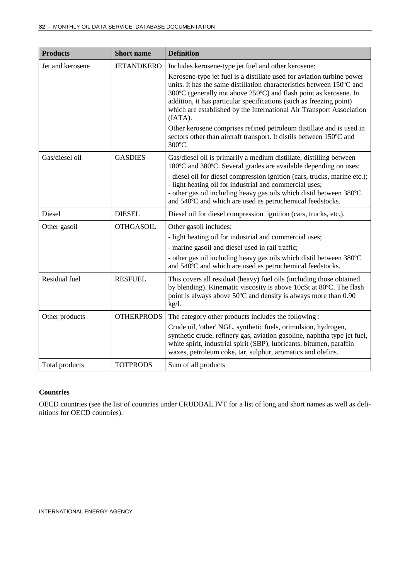| <b>Products</b>  | <b>Short name</b> | <b>Definition</b>                                                                                                                                                                                                                                                                                                                                                                                                                                                                                                                                                                              |  |
|------------------|-------------------|------------------------------------------------------------------------------------------------------------------------------------------------------------------------------------------------------------------------------------------------------------------------------------------------------------------------------------------------------------------------------------------------------------------------------------------------------------------------------------------------------------------------------------------------------------------------------------------------|--|
| Jet and kerosene | <b>JETANDKERO</b> | Includes kerosene-type jet fuel and other kerosene:<br>Kerosene-type jet fuel is a distillate used for aviation turbine power<br>units. It has the same distillation characteristics between 150°C and<br>300°C (generally not above 250°C) and flash point as kerosene. In<br>addition, it has particular specifications (such as freezing point)<br>which are established by the International Air Transport Association<br>(IATA).<br>Other kerosene comprises refined petroleum distillate and is used in<br>sectors other than aircraft transport. It distils between 150°C and<br>300°C. |  |
| Gas/diesel oil   | <b>GASDIES</b>    | Gas/diesel oil is primarily a medium distillate, distilling between<br>180°C and 380°C. Several grades are available depending on uses:<br>- diesel oil for diesel compression ignition (cars, trucks, marine etc.);<br>- light heating oil for industrial and commercial uses;<br>- other gas oil including heavy gas oils which distil between 380°C<br>and 540°C and which are used as petrochemical feedstocks.                                                                                                                                                                            |  |
| Diesel           | <b>DIESEL</b>     | Diesel oil for diesel compression ignition (cars, trucks, etc.).                                                                                                                                                                                                                                                                                                                                                                                                                                                                                                                               |  |
| Other gasoil     | <b>OTHGASOIL</b>  | Other gasoil includes:<br>- light heating oil for industrial and commercial uses;<br>- marine gasoil and diesel used in rail traffic;<br>- other gas oil including heavy gas oils which distil between 380°C<br>and 540°C and which are used as petrochemical feedstocks.                                                                                                                                                                                                                                                                                                                      |  |
| Residual fuel    | <b>RESFUEL</b>    | This covers all residual (heavy) fuel oils (including those obtained<br>by blending). Kinematic viscosity is above 10cSt at 80°C. The flash<br>point is always above 50°C and density is always more than 0.90<br>$kg/l$ .                                                                                                                                                                                                                                                                                                                                                                     |  |
| Other products   | <b>OTHERPRODS</b> | The category other products includes the following:<br>Crude oil, 'other' NGL, synthetic fuels, orimulsion, hydrogen,<br>synthetic crude, refinery gas, aviation gasoline, naphtha type jet fuel,<br>white spirit, industrial spirit (SBP), lubricants, bitumen, paraffin<br>waxes, petroleum coke, tar, sulphur, aromatics and olefins.                                                                                                                                                                                                                                                       |  |
| Total products   | <b>TOTPRODS</b>   | Sum of all products                                                                                                                                                                                                                                                                                                                                                                                                                                                                                                                                                                            |  |

#### **Countries**

OECD countries (see the list of countries under CRUDBAL.IVT for a list of long and short names as well as definitions for OECD countries).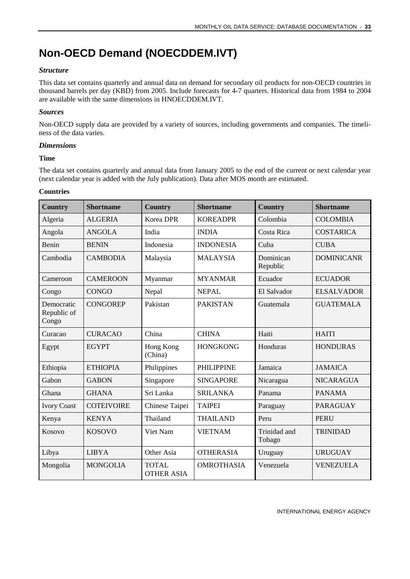### <span id="page-32-0"></span>**Non-OECD Demand (NOECDDEM.IVT)**

#### *Structure*

This data set contains quarterly and annual data on demand for secondary oil products for non-OECD countries in thousand barrels per day (KBD) from 2005. Include forecasts for 4-7 quarters. Historical data from 1984 to 2004 are available with the same dimensions in HNOECDDEM.IVT.

#### *Sources*

Non-OECD supply data are provided by a variety of sources, including governments and companies. The timeliness of the data varies.

#### *Dimensions*

#### **Time**

The data set contains quarterly and annual data from January 2005 to the end of the current or next calendar year (next calendar year is added with the July publication). Data after MOS month are estimated.

#### **Countries**

| <b>Country</b>                     | <b>Shortname</b>  | <b>Country</b>                    | <b>Shortname</b>  | <b>Country</b>         | <b>Shortname</b>  |
|------------------------------------|-------------------|-----------------------------------|-------------------|------------------------|-------------------|
| Algeria                            | <b>ALGERIA</b>    | <b>Korea DPR</b>                  | <b>KOREADPR</b>   | Colombia               | <b>COLOMBIA</b>   |
| Angola                             | <b>ANGOLA</b>     | India                             | <b>INDIA</b>      | Costa Rica             | <b>COSTARICA</b>  |
| Benin                              | <b>BENIN</b>      | Indonesia                         | <b>INDONESIA</b>  | Cuba                   | <b>CUBA</b>       |
| Cambodia                           | <b>CAMBODIA</b>   | Malaysia                          | <b>MALAYSIA</b>   | Dominican<br>Republic  | <b>DOMINICANR</b> |
| Cameroon                           | <b>CAMEROON</b>   | Myanmar                           | <b>MYANMAR</b>    | Ecuador                | <b>ECUADOR</b>    |
| Congo                              | <b>CONGO</b>      | Nepal                             | <b>NEPAL</b>      | El Salvador            | <b>ELSALVADOR</b> |
| Democratic<br>Republic of<br>Congo | <b>CONGOREP</b>   | Pakistan                          | <b>PAKISTAN</b>   | Guatemala              | <b>GUATEMALA</b>  |
| Curacao                            | <b>CURACAO</b>    | China                             | <b>CHINA</b>      | Haiti                  | <b>HAITI</b>      |
| Egypt                              | <b>EGYPT</b>      | Hong Kong<br>(China)              | <b>HONGKONG</b>   | Honduras               | <b>HONDURAS</b>   |
| Ethiopia                           | <b>ETHIOPIA</b>   | Philippines                       | <b>PHILIPPINE</b> | Jamaica                | <b>JAMAICA</b>    |
| Gabon                              | <b>GABON</b>      | Singapore                         | <b>SINGAPORE</b>  | Nicaragua              | <b>NICARAGUA</b>  |
| Ghana                              | <b>GHANA</b>      | Sri Lanka                         | <b>SRILANKA</b>   | Panama                 | <b>PANAMA</b>     |
| <b>Ivory Coast</b>                 | <b>COTEIVOIRE</b> | Chinese Taipei                    | <b>TAIPEI</b>     | Paraguay               | <b>PARAGUAY</b>   |
| Kenya                              | <b>KENYA</b>      | Thailand                          | <b>THAILAND</b>   | Peru                   | <b>PERU</b>       |
| Kosovo                             | <b>KOSOVO</b>     | Viet Nam                          | <b>VIETNAM</b>    | Trinidad and<br>Tobago | <b>TRINIDAD</b>   |
| Libya                              | <b>LIBYA</b>      | Other Asia                        | <b>OTHERASIA</b>  | Uruguay                | <b>URUGUAY</b>    |
| Mongolia                           | <b>MONGOLIA</b>   | <b>TOTAL</b><br><b>OTHER ASIA</b> | <b>OMROTHASIA</b> | Venezuela              | <b>VENEZUELA</b>  |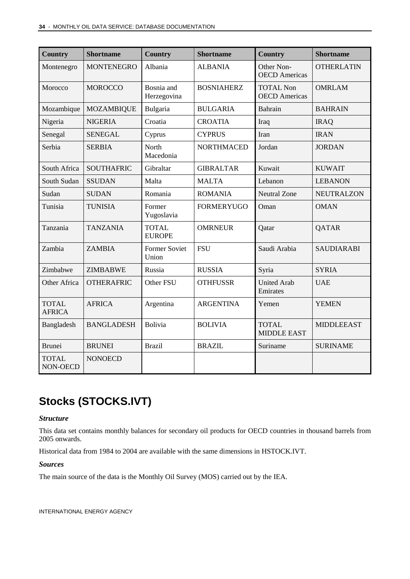| <b>Country</b>                | <b>Shortname</b>  | <b>Country</b>                | <b>Shortname</b>  | <b>Country</b>                           | <b>Shortname</b>  |
|-------------------------------|-------------------|-------------------------------|-------------------|------------------------------------------|-------------------|
| Montenegro                    | <b>MONTENEGRO</b> | Albania                       | <b>ALBANIA</b>    | Other Non-<br><b>OECD</b> Americas       | <b>OTHERLATIN</b> |
| Morocco                       | <b>MOROCCO</b>    | Bosnia and<br>Herzegovina     | <b>BOSNIAHERZ</b> | <b>TOTAL Non</b><br><b>OECD</b> Americas | <b>OMRLAM</b>     |
| Mozambique                    | <b>MOZAMBIQUE</b> | Bulgaria                      | <b>BULGARIA</b>   | Bahrain                                  | <b>BAHRAIN</b>    |
| Nigeria                       | <b>NIGERIA</b>    | Croatia                       | <b>CROATIA</b>    | Iraq                                     | <b>IRAQ</b>       |
| Senegal                       | <b>SENEGAL</b>    | Cyprus                        | <b>CYPRUS</b>     | Iran                                     | <b>IRAN</b>       |
| Serbia                        | <b>SERBIA</b>     | North<br>Macedonia            | <b>NORTHMACED</b> | Jordan                                   | <b>JORDAN</b>     |
| South Africa                  | <b>SOUTHAFRIC</b> | Gibraltar                     | <b>GIBRALTAR</b>  | Kuwait                                   | <b>KUWAIT</b>     |
| South Sudan                   | <b>SSUDAN</b>     | Malta                         | <b>MALTA</b>      | Lebanon                                  | <b>LEBANON</b>    |
| Sudan                         | <b>SUDAN</b>      | Romania                       | <b>ROMANIA</b>    | <b>Neutral Zone</b>                      | <b>NEUTRALZON</b> |
| Tunisia                       | <b>TUNISIA</b>    | Former<br>Yugoslavia          | <b>FORMERYUGO</b> | Oman                                     | <b>OMAN</b>       |
| Tanzania                      | <b>TANZANIA</b>   | <b>TOTAL</b><br><b>EUROPE</b> | <b>OMRNEUR</b>    | Qatar                                    | QATAR             |
| Zambia                        | <b>ZAMBIA</b>     | <b>Former Soviet</b><br>Union | <b>FSU</b>        | Saudi Arabia                             | <b>SAUDIARABI</b> |
| Zimbabwe                      | <b>ZIMBABWE</b>   | Russia                        | <b>RUSSIA</b>     | Syria                                    | <b>SYRIA</b>      |
| Other Africa                  | <b>OTHERAFRIC</b> | Other FSU                     | <b>OTHFUSSR</b>   | <b>United Arab</b><br>Emirates           | <b>UAE</b>        |
| <b>TOTAL</b><br><b>AFRICA</b> | <b>AFRICA</b>     | Argentina                     | <b>ARGENTINA</b>  | Yemen                                    | <b>YEMEN</b>      |
| Bangladesh                    | <b>BANGLADESH</b> | <b>Bolivia</b>                | <b>BOLIVIA</b>    | <b>TOTAL</b><br><b>MIDDLE EAST</b>       | <b>MIDDLEEAST</b> |
| <b>Brunei</b>                 | <b>BRUNEI</b>     | <b>Brazil</b>                 | <b>BRAZIL</b>     | Suriname                                 | <b>SURINAME</b>   |
| <b>TOTAL</b><br>NON-OECD      | <b>NONOECD</b>    |                               |                   |                                          |                   |

### <span id="page-33-0"></span>**Stocks (STOCKS.IVT)**

#### *Structure*

This data set contains monthly balances for secondary oil products for OECD countries in thousand barrels from 2005 onwards.

Historical data from 1984 to 2004 are available with the same dimensions in HSTOCK.IVT.

#### *Sources*

The main source of the data is the Monthly Oil Survey (MOS) carried out by the IEA.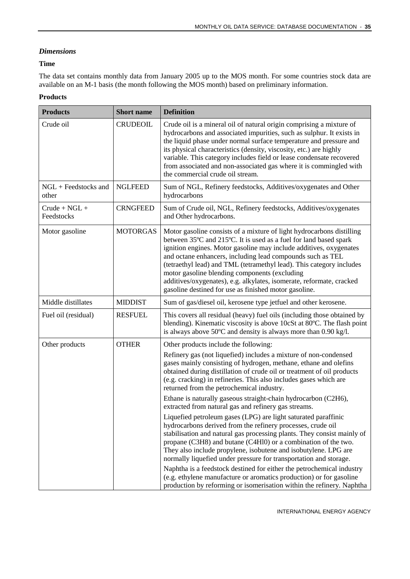#### *Dimensions*

#### **Time**

The data set contains monthly data from January 2005 up to the MOS month. For some countries stock data are available on an M-1 basis (the month following the MOS month) based on preliminary information.

#### **Products**

| <b>Products</b>               | <b>Short name</b> | <b>Definition</b>                                                                                                                                                                                                                                                                                                                                                                                                                                                                                                                        |  |
|-------------------------------|-------------------|------------------------------------------------------------------------------------------------------------------------------------------------------------------------------------------------------------------------------------------------------------------------------------------------------------------------------------------------------------------------------------------------------------------------------------------------------------------------------------------------------------------------------------------|--|
| Crude oil                     | <b>CRUDEOIL</b>   | Crude oil is a mineral oil of natural origin comprising a mixture of<br>hydrocarbons and associated impurities, such as sulphur. It exists in<br>the liquid phase under normal surface temperature and pressure and<br>its physical characteristics (density, viscosity, etc.) are highly<br>variable. This category includes field or lease condensate recovered<br>from associated and non-associated gas where it is commingled with<br>the commercial crude oil stream.                                                              |  |
| NGL + Feedstocks and<br>other | <b>NGLFEED</b>    | Sum of NGL, Refinery feedstocks, Additives/oxygenates and Other<br>hydrocarbons                                                                                                                                                                                                                                                                                                                                                                                                                                                          |  |
| $Crude + NGL +$<br>Feedstocks | <b>CRNGFEED</b>   | Sum of Crude oil, NGL, Refinery feedstocks, Additives/oxygenates<br>and Other hydrocarbons.                                                                                                                                                                                                                                                                                                                                                                                                                                              |  |
| Motor gasoline                | <b>MOTORGAS</b>   | Motor gasoline consists of a mixture of light hydrocarbons distilling<br>between 35°C and 215°C. It is used as a fuel for land based spark<br>ignition engines. Motor gasoline may include additives, oxygenates<br>and octane enhancers, including lead compounds such as TEL<br>(tetraethyl lead) and TML (tetramethyl lead). This category includes<br>motor gasoline blending components (excluding<br>additives/oxygenates), e.g. alkylates, isomerate, reformate, cracked<br>gasoline destined for use as finished motor gasoline. |  |
| Middle distillates            | <b>MIDDIST</b>    | Sum of gas/diesel oil, kerosene type jetfuel and other kerosene.                                                                                                                                                                                                                                                                                                                                                                                                                                                                         |  |
| Fuel oil (residual)           | <b>RESFUEL</b>    | This covers all residual (heavy) fuel oils (including those obtained by<br>blending). Kinematic viscosity is above 10cSt at 80°C. The flash point<br>is always above 50°C and density is always more than 0.90 kg/l.                                                                                                                                                                                                                                                                                                                     |  |
| Other products                | <b>OTHER</b>      | Other products include the following:                                                                                                                                                                                                                                                                                                                                                                                                                                                                                                    |  |
|                               |                   | Refinery gas (not liquefied) includes a mixture of non-condensed<br>gases mainly consisting of hydrogen, methane, ethane and olefins<br>obtained during distillation of crude oil or treatment of oil products<br>(e.g. cracking) in refineries. This also includes gases which are<br>returned from the petrochemical industry.                                                                                                                                                                                                         |  |
|                               |                   | Ethane is naturally gaseous straight-chain hydrocarbon (C2H6),<br>extracted from natural gas and refinery gas streams.                                                                                                                                                                                                                                                                                                                                                                                                                   |  |
|                               |                   | Liquefied petroleum gases (LPG) are light saturated paraffinic<br>hydrocarbons derived from the refinery processes, crude oil<br>stabilisation and natural gas processing plants. They consist mainly of<br>propane (C3H8) and butane (C4H10) or a combination of the two.<br>They also include propylene, isobutene and isobutylene. LPG are<br>normally liquefied under pressure for transportation and storage.                                                                                                                       |  |
|                               |                   | Naphtha is a feedstock destined for either the petrochemical industry<br>(e.g. ethylene manufacture or aromatics production) or for gasoline<br>production by reforming or isomerisation within the refinery. Naphtha                                                                                                                                                                                                                                                                                                                    |  |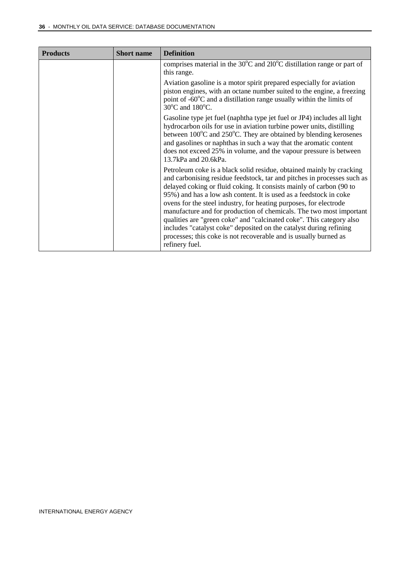| <b>Products</b> | <b>Short name</b> | <b>Definition</b>                                                                                                                                                                                                                                                                                                                                                                                                                                                                                                                                                                                                                                                           |
|-----------------|-------------------|-----------------------------------------------------------------------------------------------------------------------------------------------------------------------------------------------------------------------------------------------------------------------------------------------------------------------------------------------------------------------------------------------------------------------------------------------------------------------------------------------------------------------------------------------------------------------------------------------------------------------------------------------------------------------------|
|                 |                   | comprises material in the $30^{\circ}$ C and $210^{\circ}$ C distillation range or part of<br>this range.                                                                                                                                                                                                                                                                                                                                                                                                                                                                                                                                                                   |
|                 |                   | Aviation gasoline is a motor spirit prepared especially for aviation<br>piston engines, with an octane number suited to the engine, a freezing<br>point of $-60^{\circ}$ C and a distillation range usually within the limits of<br>30°C and 180°C.                                                                                                                                                                                                                                                                                                                                                                                                                         |
|                 |                   | Gasoline type jet fuel (naphtha type jet fuel or JP4) includes all light<br>hydrocarbon oils for use in aviation turbine power units, distilling<br>between 100°C and 250°C. They are obtained by blending kerosenes<br>and gasolines or naphthas in such a way that the aromatic content<br>does not exceed 25% in volume, and the vapour pressure is between<br>13.7kPa and 20.6kPa.                                                                                                                                                                                                                                                                                      |
|                 |                   | Petroleum coke is a black solid residue, obtained mainly by cracking<br>and carbonising residue feedstock, tar and pitches in processes such as<br>delayed coking or fluid coking. It consists mainly of carbon (90 to<br>95%) and has a low ash content. It is used as a feedstock in coke<br>ovens for the steel industry, for heating purposes, for electrode<br>manufacture and for production of chemicals. The two most important<br>qualities are "green coke" and "calcinated coke". This category also<br>includes "catalyst coke" deposited on the catalyst during refining<br>processes; this coke is not recoverable and is usually burned as<br>refinery fuel. |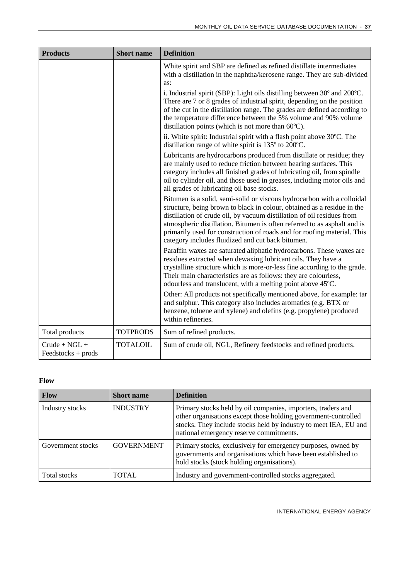| <b>Products</b>                         | <b>Short name</b> | <b>Definition</b>                                                                                                                                                                                                                                                                                                                                                                                                                       |  |
|-----------------------------------------|-------------------|-----------------------------------------------------------------------------------------------------------------------------------------------------------------------------------------------------------------------------------------------------------------------------------------------------------------------------------------------------------------------------------------------------------------------------------------|--|
|                                         |                   | White spirit and SBP are defined as refined distillate intermediates<br>with a distillation in the naphtha/kerosene range. They are sub-divided<br>as:                                                                                                                                                                                                                                                                                  |  |
|                                         |                   | i. Industrial spirit (SBP): Light oils distilling between 30° and 200°C.<br>There are 7 or 8 grades of industrial spirit, depending on the position<br>of the cut in the distillation range. The grades are defined according to<br>the temperature difference between the 5% volume and 90% volume<br>distillation points (which is not more than $60^{\circ}$ C).                                                                     |  |
|                                         |                   | ii. White spirit: Industrial spirit with a flash point above 30°C. The<br>distillation range of white spirit is $135^{\circ}$ to $200^{\circ}$ C.                                                                                                                                                                                                                                                                                       |  |
|                                         |                   | Lubricants are hydrocarbons produced from distillate or residue; they<br>are mainly used to reduce friction between bearing surfaces. This<br>category includes all finished grades of lubricating oil, from spindle<br>oil to cylinder oil, and those used in greases, including motor oils and<br>all grades of lubricating oil base stocks.                                                                                          |  |
|                                         |                   | Bitumen is a solid, semi-solid or viscous hydrocarbon with a colloidal<br>structure, being brown to black in colour, obtained as a residue in the<br>distillation of crude oil, by vacuum distillation of oil residues from<br>atmospheric distillation. Bitumen is often referred to as asphalt and is<br>primarily used for construction of roads and for roofing material. This<br>category includes fluidized and cut back bitumen. |  |
|                                         |                   | Paraffin waxes are saturated aliphatic hydrocarbons. These waxes are<br>residues extracted when dewaxing lubricant oils. They have a<br>crystalline structure which is more-or-less fine according to the grade.<br>Their main characteristics are as follows: they are colourless,<br>odourless and translucent, with a melting point above 45°C.                                                                                      |  |
|                                         |                   | Other: All products not specifically mentioned above, for example: tar<br>and sulphur. This category also includes aromatics (e.g. BTX or<br>benzene, toluene and xylene) and olefins (e.g. propylene) produced<br>within refineries.                                                                                                                                                                                                   |  |
| Total products                          | <b>TOTPRODS</b>   | Sum of refined products.                                                                                                                                                                                                                                                                                                                                                                                                                |  |
| $Crude + NGL +$<br>$Feedstocks + prods$ | <b>TOTALOIL</b>   | Sum of crude oil, NGL, Refinery feedstocks and refined products.                                                                                                                                                                                                                                                                                                                                                                        |  |

#### **Flow**

| <b>Flow</b>       | <b>Short name</b> | <b>Definition</b>                                                                                                                                                                                                                             |
|-------------------|-------------------|-----------------------------------------------------------------------------------------------------------------------------------------------------------------------------------------------------------------------------------------------|
| Industry stocks   | <b>INDUSTRY</b>   | Primary stocks held by oil companies, importers, traders and<br>other organisations except those holding government-controlled<br>stocks. They include stocks held by industry to meet IEA, EU and<br>national emergency reserve commitments. |
| Government stocks | <b>GOVERNMENT</b> | Primary stocks, exclusively for emergency purposes, owned by<br>governments and organisations which have been established to<br>hold stocks (stock holding organisations).                                                                    |
| Total stocks      | <b>TOTAL</b>      | Industry and government-controlled stocks aggregated.                                                                                                                                                                                         |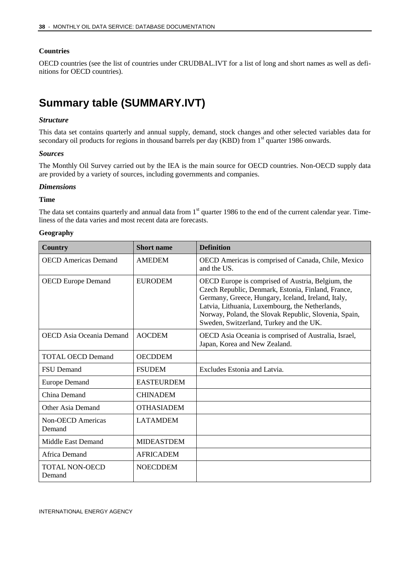#### **Countries**

OECD countries (see the list of countries under CRUDBAL.IVT for a list of long and short names as well as definitions for OECD countries).

### <span id="page-37-0"></span>**Summary table (SUMMARY.IVT)**

#### *Structure*

This data set contains quarterly and annual supply, demand, stock changes and other selected variables data for secondary oil products for regions in thousand barrels per day (KBD) from 1<sup>st</sup> quarter 1986 onwards.

#### *Sources*

The Monthly Oil Survey carried out by the IEA is the main source for OECD countries. Non-OECD supply data are provided by a variety of sources, including governments and companies.

#### *Dimensions*

#### **Time**

The data set contains quarterly and annual data from 1<sup>st</sup> quarter 1986 to the end of the current calendar year. Timeliness of the data varies and most recent data are forecasts.

#### **Geography**

| Country                            | <b>Short name</b> | <b>Definition</b>                                                                                                                                                                                                                                                                                                    |
|------------------------------------|-------------------|----------------------------------------------------------------------------------------------------------------------------------------------------------------------------------------------------------------------------------------------------------------------------------------------------------------------|
| <b>OECD</b> Americas Demand        | <b>AMEDEM</b>     | OECD Americas is comprised of Canada, Chile, Mexico<br>and the US.                                                                                                                                                                                                                                                   |
| <b>OECD</b> Europe Demand          | <b>EURODEM</b>    | OECD Europe is comprised of Austria, Belgium, the<br>Czech Republic, Denmark, Estonia, Finland, France,<br>Germany, Greece, Hungary, Iceland, Ireland, Italy,<br>Latvia, Lithuania, Luxembourg, the Netherlands,<br>Norway, Poland, the Slovak Republic, Slovenia, Spain,<br>Sweden, Switzerland, Turkey and the UK. |
| <b>OECD</b> Asia Oceania Demand    | <b>AOCDEM</b>     | OECD Asia Oceania is comprised of Australia, Israel,<br>Japan, Korea and New Zealand.                                                                                                                                                                                                                                |
| <b>TOTAL OECD Demand</b>           | <b>OECDDEM</b>    |                                                                                                                                                                                                                                                                                                                      |
| <b>FSU</b> Demand                  | <b>FSUDEM</b>     | Excludes Estonia and Latvia.                                                                                                                                                                                                                                                                                         |
| <b>Europe Demand</b>               | <b>EASTEURDEM</b> |                                                                                                                                                                                                                                                                                                                      |
| China Demand                       | <b>CHINADEM</b>   |                                                                                                                                                                                                                                                                                                                      |
| Other Asia Demand                  | <b>OTHASIADEM</b> |                                                                                                                                                                                                                                                                                                                      |
| <b>Non-OECD</b> Americas<br>Demand | <b>LATAMDEM</b>   |                                                                                                                                                                                                                                                                                                                      |
| Middle East Demand                 | <b>MIDEASTDEM</b> |                                                                                                                                                                                                                                                                                                                      |
| Africa Demand                      | <b>AFRICADEM</b>  |                                                                                                                                                                                                                                                                                                                      |
| TOTAL NON-OECD<br>Demand           | <b>NOECDDEM</b>   |                                                                                                                                                                                                                                                                                                                      |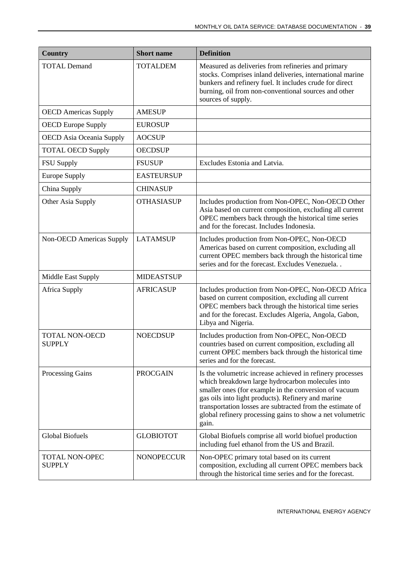| <b>Country</b>                         | <b>Short name</b> | <b>Definition</b>                                                                                                                                                                                                                                                                                                                                               |
|----------------------------------------|-------------------|-----------------------------------------------------------------------------------------------------------------------------------------------------------------------------------------------------------------------------------------------------------------------------------------------------------------------------------------------------------------|
| <b>TOTAL Demand</b>                    | <b>TOTALDEM</b>   | Measured as deliveries from refineries and primary<br>stocks. Comprises inland deliveries, international marine<br>bunkers and refinery fuel. It includes crude for direct<br>burning, oil from non-conventional sources and other<br>sources of supply.                                                                                                        |
| <b>OECD</b> Americas Supply            | <b>AMESUP</b>     |                                                                                                                                                                                                                                                                                                                                                                 |
| <b>OECD Europe Supply</b>              | <b>EUROSUP</b>    |                                                                                                                                                                                                                                                                                                                                                                 |
| <b>OECD</b> Asia Oceania Supply        | <b>AOCSUP</b>     |                                                                                                                                                                                                                                                                                                                                                                 |
| <b>TOTAL OECD Supply</b>               | <b>OECDSUP</b>    |                                                                                                                                                                                                                                                                                                                                                                 |
| <b>FSU Supply</b>                      | <b>FSUSUP</b>     | Excludes Estonia and Latvia.                                                                                                                                                                                                                                                                                                                                    |
| <b>Europe Supply</b>                   | <b>EASTEURSUP</b> |                                                                                                                                                                                                                                                                                                                                                                 |
| China Supply                           | <b>CHINASUP</b>   |                                                                                                                                                                                                                                                                                                                                                                 |
| Other Asia Supply                      | <b>OTHASIASUP</b> | Includes production from Non-OPEC, Non-OECD Other<br>Asia based on current composition, excluding all current<br>OPEC members back through the historical time series<br>and for the forecast. Includes Indonesia.                                                                                                                                              |
| Non-OECD Americas Supply               | <b>LATAMSUP</b>   | Includes production from Non-OPEC, Non-OECD<br>Americas based on current composition, excluding all<br>current OPEC members back through the historical time<br>series and for the forecast. Excludes Venezuela. .                                                                                                                                              |
| <b>Middle East Supply</b>              | <b>MIDEASTSUP</b> |                                                                                                                                                                                                                                                                                                                                                                 |
| <b>Africa Supply</b>                   | <b>AFRICASUP</b>  | Includes production from Non-OPEC, Non-OECD Africa<br>based on current composition, excluding all current<br>OPEC members back through the historical time series<br>and for the forecast. Excludes Algeria, Angola, Gabon,<br>Libya and Nigeria.                                                                                                               |
| <b>TOTAL NON-OECD</b><br><b>SUPPLY</b> | <b>NOECDSUP</b>   | Includes production from Non-OPEC, Non-OECD<br>countries based on current composition, excluding all<br>current OPEC members back through the historical time<br>series and for the forecast.                                                                                                                                                                   |
| Processing Gains                       | <b>PROCGAIN</b>   | Is the volumetric increase achieved in refinery processes<br>which breakdown large hydrocarbon molecules into<br>smaller ones (for example in the conversion of vacuum<br>gas oils into light products). Refinery and marine<br>transportation losses are subtracted from the estimate of<br>global refinery processing gains to show a net volumetric<br>gain. |
| <b>Global Biofuels</b>                 | <b>GLOBIOTOT</b>  | Global Biofuels comprise all world biofuel production<br>including fuel ethanol from the US and Brazil.                                                                                                                                                                                                                                                         |
| <b>TOTAL NON-OPEC</b><br><b>SUPPLY</b> | <b>NONOPECCUR</b> | Non-OPEC primary total based on its current<br>composition, excluding all current OPEC members back<br>through the historical time series and for the forecast.                                                                                                                                                                                                 |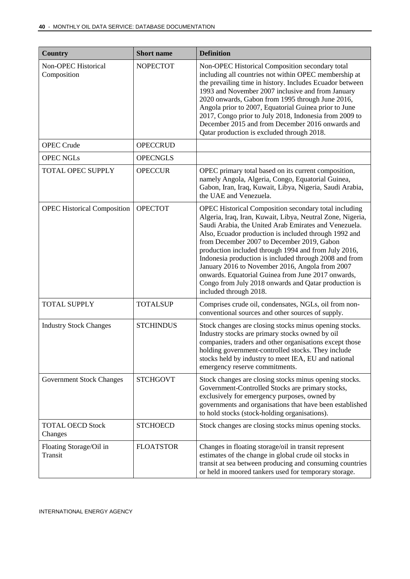| <b>Country</b>                     | <b>Short name</b> | <b>Definition</b>                                                                                                                                                                                                                                                                                                                                                                                                                                                                                                                                                                                |
|------------------------------------|-------------------|--------------------------------------------------------------------------------------------------------------------------------------------------------------------------------------------------------------------------------------------------------------------------------------------------------------------------------------------------------------------------------------------------------------------------------------------------------------------------------------------------------------------------------------------------------------------------------------------------|
| Non-OPEC Historical<br>Composition | <b>NOPECTOT</b>   | Non-OPEC Historical Composition secondary total<br>including all countries not within OPEC membership at<br>the prevailing time in history. Includes Ecuador between<br>1993 and November 2007 inclusive and from January<br>2020 onwards, Gabon from 1995 through June 2016,<br>Angola prior to 2007, Equatorial Guinea prior to June<br>2017, Congo prior to July 2018, Indonesia from 2009 to<br>December 2015 and from December 2016 onwards and<br>Qatar production is excluded through 2018.                                                                                               |
| <b>OPEC Crude</b>                  | <b>OPECCRUD</b>   |                                                                                                                                                                                                                                                                                                                                                                                                                                                                                                                                                                                                  |
| <b>OPEC NGLs</b>                   | <b>OPECNGLS</b>   |                                                                                                                                                                                                                                                                                                                                                                                                                                                                                                                                                                                                  |
| <b>TOTAL OPEC SUPPLY</b>           | <b>OPECCUR</b>    | OPEC primary total based on its current composition,<br>namely Angola, Algeria, Congo, Equatorial Guinea,<br>Gabon, Iran, Iraq, Kuwait, Libya, Nigeria, Saudi Arabia,<br>the UAE and Venezuela.                                                                                                                                                                                                                                                                                                                                                                                                  |
| <b>OPEC Historical Composition</b> | <b>OPECTOT</b>    | OPEC Historical Composition secondary total including<br>Algeria, Iraq, Iran, Kuwait, Libya, Neutral Zone, Nigeria,<br>Saudi Arabia, the United Arab Emirates and Venezuela.<br>Also, Ecuador production is included through 1992 and<br>from December 2007 to December 2019, Gabon<br>production included through 1994 and from July 2016,<br>Indonesia production is included through 2008 and from<br>January 2016 to November 2016, Angola from 2007<br>onwards. Equatorial Guinea from June 2017 onwards,<br>Congo from July 2018 onwards and Qatar production is<br>included through 2018. |
| <b>TOTAL SUPPLY</b>                | <b>TOTALSUP</b>   | Comprises crude oil, condensates, NGLs, oil from non-<br>conventional sources and other sources of supply.                                                                                                                                                                                                                                                                                                                                                                                                                                                                                       |
| <b>Industry Stock Changes</b>      | <b>STCHINDUS</b>  | Stock changes are closing stocks minus opening stocks.<br>Industry stocks are primary stocks owned by oil<br>companies, traders and other organisations except those<br>holding government-controlled stocks. They include<br>stocks held by industry to meet IEA, EU and national<br>emergency reserve commitments.                                                                                                                                                                                                                                                                             |
| <b>Government Stock Changes</b>    | <b>STCHGOVT</b>   | Stock changes are closing stocks minus opening stocks.<br>Government-Controlled Stocks are primary stocks,<br>exclusively for emergency purposes, owned by<br>governments and organisations that have been established<br>to hold stocks (stock-holding organisations).                                                                                                                                                                                                                                                                                                                          |
| <b>TOTAL OECD Stock</b><br>Changes | <b>STCHOECD</b>   | Stock changes are closing stocks minus opening stocks.                                                                                                                                                                                                                                                                                                                                                                                                                                                                                                                                           |
| Floating Storage/Oil in<br>Transit | <b>FLOATSTOR</b>  | Changes in floating storage/oil in transit represent<br>estimates of the change in global crude oil stocks in<br>transit at sea between producing and consuming countries<br>or held in moored tankers used for temporary storage.                                                                                                                                                                                                                                                                                                                                                               |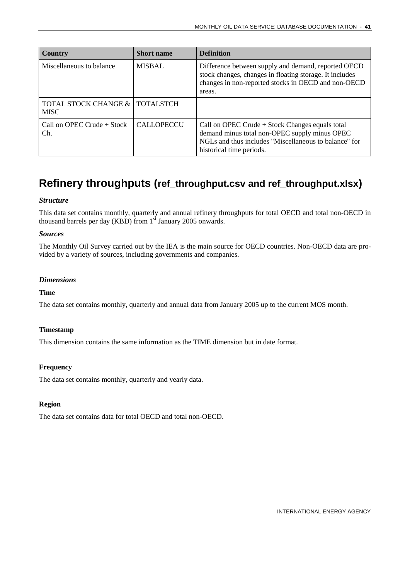| <b>Country</b>                                  | <b>Short name</b> | <b>Definition</b>                                                                                                                                                                       |
|-------------------------------------------------|-------------------|-----------------------------------------------------------------------------------------------------------------------------------------------------------------------------------------|
| Miscellaneous to balance                        | <b>MISBAL</b>     | Difference between supply and demand, reported OECD<br>stock changes, changes in floating storage. It includes<br>changes in non-reported stocks in OECD and non-OECD<br>areas.         |
| TOTAL STOCK CHANGE &   TOTALSTCH<br><b>MISC</b> |                   |                                                                                                                                                                                         |
| Call on OPEC Crude $+$ Stock<br>Ch.             | <b>CALLOPECCU</b> | Call on OPEC Crude $+$ Stock Changes equals total<br>demand minus total non-OPEC supply minus OPEC<br>NGLs and thus includes "Miscellaneous to balance" for<br>historical time periods. |

### <span id="page-40-0"></span>**Refinery throughputs (ref\_throughput.csv and ref\_throughput.xlsx)**

#### *Structure*

This data set contains monthly, quarterly and annual refinery throughputs for total OECD and total non-OECD in thousand barrels per day (KBD) from  $1<sup>st</sup>$  January 2005 onwards.

#### *Sources*

The Monthly Oil Survey carried out by the IEA is the main source for OECD countries. Non-OECD data are provided by a variety of sources, including governments and companies.

#### *Dimensions*

#### **Time**

The data set contains monthly, quarterly and annual data from January 2005 up to the current MOS month.

#### **Timestamp**

This dimension contains the same information as the TIME dimension but in date format.

#### **Frequency**

The data set contains monthly, quarterly and yearly data.

#### **Region**

The data set contains data for total OECD and total non-OECD.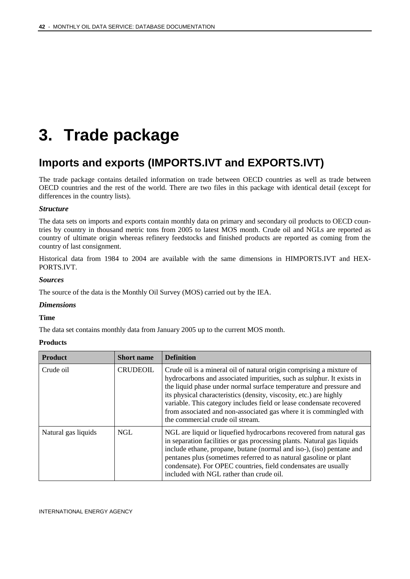## <span id="page-41-0"></span>**3. Trade package**

### <span id="page-41-1"></span>**Imports and exports (IMPORTS.IVT and EXPORTS.IVT)**

The trade package contains detailed information on trade between OECD countries as well as trade between OECD countries and the rest of the world. There are two files in this package with identical detail (except for differences in the country lists).

#### *Structure*

The data sets on imports and exports contain monthly data on primary and secondary oil products to OECD countries by country in thousand metric tons from 2005 to latest MOS month. Crude oil and NGLs are reported as country of ultimate origin whereas refinery feedstocks and finished products are reported as coming from the country of last consignment.

Historical data from 1984 to 2004 are available with the same dimensions in HIMPORTS.IVT and HEX-PORTS.IVT.

#### *Sources*

The source of the data is the Monthly Oil Survey (MOS) carried out by the IEA.

#### *Dimensions*

#### **Time**

The data set contains monthly data from January 2005 up to the current MOS month.

#### **Products**

| <b>Product</b>      | <b>Short name</b> | <b>Definition</b>                                                                                                                                                                                                                                                                                                                                                                                                                                                           |
|---------------------|-------------------|-----------------------------------------------------------------------------------------------------------------------------------------------------------------------------------------------------------------------------------------------------------------------------------------------------------------------------------------------------------------------------------------------------------------------------------------------------------------------------|
| Crude oil           | <b>CRUDEOIL</b>   | Crude oil is a mineral oil of natural origin comprising a mixture of<br>hydrocarbons and associated impurities, such as sulphur. It exists in<br>the liquid phase under normal surface temperature and pressure and<br>its physical characteristics (density, viscosity, etc.) are highly<br>variable. This category includes field or lease condensate recovered<br>from associated and non-associated gas where it is commingled with<br>the commercial crude oil stream. |
| Natural gas liquids | NGL               | NGL are liquid or liquefied hydrocarbons recovered from natural gas<br>in separation facilities or gas processing plants. Natural gas liquids<br>include ethane, propane, butane (normal and iso-), (iso) pentane and<br>pentanes plus (sometimes referred to as natural gasoline or plant<br>condensate). For OPEC countries, field condensates are usually<br>included with NGL rather than crude oil.                                                                    |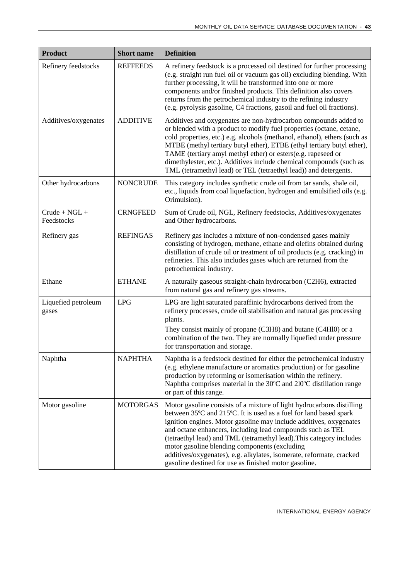| <b>Product</b>                | <b>Short name</b> | <b>Definition</b>                                                                                                                                                                                                                                                                                                                                                                                                                                                                                                                        |
|-------------------------------|-------------------|------------------------------------------------------------------------------------------------------------------------------------------------------------------------------------------------------------------------------------------------------------------------------------------------------------------------------------------------------------------------------------------------------------------------------------------------------------------------------------------------------------------------------------------|
| Refinery feedstocks           | <b>REFFEEDS</b>   | A refinery feedstock is a processed oil destined for further processing<br>(e.g. straight run fuel oil or vacuum gas oil) excluding blending. With<br>further processing, it will be transformed into one or more<br>components and/or finished products. This definition also covers<br>returns from the petrochemical industry to the refining industry<br>(e.g. pyrolysis gasoline, C4 fractions, gasoil and fuel oil fractions).                                                                                                     |
| Additives/oxygenates          | <b>ADDITIVE</b>   | Additives and oxygenates are non-hydrocarbon compounds added to<br>or blended with a product to modify fuel properties (octane, cetane,<br>cold properties, etc.) e.g. alcohols (methanol, ethanol), ethers (such as<br>MTBE (methyl tertiary butyl ether), ETBE (ethyl tertiary butyl ether),<br>TAME (tertiary amyl methyl ether) or esters(e.g. rapeseed or<br>dimethylester, etc.). Additives include chemical compounds (such as<br>TML (tetramethyl lead) or TEL (tetraethyl lead)) and detergents.                                |
| Other hydrocarbons            | <b>NONCRUDE</b>   | This category includes synthetic crude oil from tar sands, shale oil,<br>etc., liquids from coal liquefaction, hydrogen and emulsified oils (e.g.<br>Orimulsion).                                                                                                                                                                                                                                                                                                                                                                        |
| $Crude + NGL +$<br>Feedstocks | <b>CRNGFEED</b>   | Sum of Crude oil, NGL, Refinery feedstocks, Additives/oxygenates<br>and Other hydrocarbons.                                                                                                                                                                                                                                                                                                                                                                                                                                              |
| Refinery gas                  | <b>REFINGAS</b>   | Refinery gas includes a mixture of non-condensed gases mainly<br>consisting of hydrogen, methane, ethane and olefins obtained during<br>distillation of crude oil or treatment of oil products (e.g. cracking) in<br>refineries. This also includes gases which are returned from the<br>petrochemical industry.                                                                                                                                                                                                                         |
| Ethane                        | <b>ETHANE</b>     | A naturally gaseous straight-chain hydrocarbon (C2H6), extracted<br>from natural gas and refinery gas streams.                                                                                                                                                                                                                                                                                                                                                                                                                           |
| Liquefied petroleum<br>gases  | <b>LPG</b>        | LPG are light saturated paraffinic hydrocarbons derived from the<br>refinery processes, crude oil stabilisation and natural gas processing<br>plants.<br>They consist mainly of propane (C3H8) and butane (C4Hl0) or a<br>combination of the two. They are normally liquefied under pressure<br>for transportation and storage.                                                                                                                                                                                                          |
| Naphtha                       | <b>NAPHTHA</b>    | Naphtha is a feedstock destined for either the petrochemical industry<br>(e.g. ethylene manufacture or aromatics production) or for gasoline<br>production by reforming or isomerisation within the refinery.<br>Naphtha comprises material in the 30°C and 210°C distillation range<br>or part of this range.                                                                                                                                                                                                                           |
| Motor gasoline                | <b>MOTORGAS</b>   | Motor gasoline consists of a mixture of light hydrocarbons distilling<br>between 35°C and 215°C. It is used as a fuel for land based spark<br>ignition engines. Motor gasoline may include additives, oxygenates<br>and octane enhancers, including lead compounds such as TEL<br>(tetraethyl lead) and TML (tetramethyl lead). This category includes<br>motor gasoline blending components (excluding<br>additives/oxygenates), e.g. alkylates, isomerate, reformate, cracked<br>gasoline destined for use as finished motor gasoline. |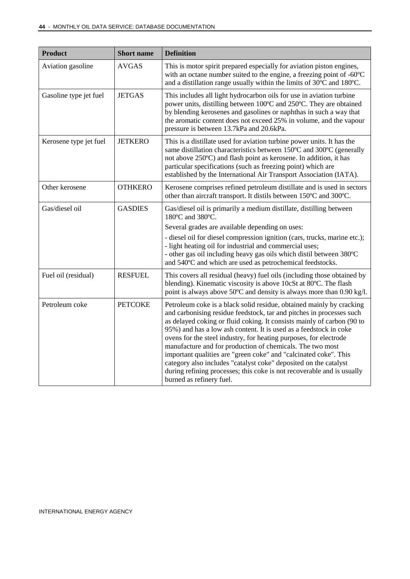| <b>Product</b>         | <b>Short name</b> | <b>Definition</b>                                                                                                                                                                                                                                                                                                                                                                                                                                                                                                                                                                                                                                                           |  |
|------------------------|-------------------|-----------------------------------------------------------------------------------------------------------------------------------------------------------------------------------------------------------------------------------------------------------------------------------------------------------------------------------------------------------------------------------------------------------------------------------------------------------------------------------------------------------------------------------------------------------------------------------------------------------------------------------------------------------------------------|--|
| Aviation gasoline      | <b>AVGAS</b>      | This is motor spirit prepared especially for aviation piston engines,<br>with an octane number suited to the engine, a freezing point of -60°C<br>and a distillation range usually within the limits of 30°C and 180°C.                                                                                                                                                                                                                                                                                                                                                                                                                                                     |  |
| Gasoline type jet fuel | <b>JETGAS</b>     | This includes all light hydrocarbon oils for use in aviation turbine<br>power units, distilling between 100°C and 250°C. They are obtained<br>by blending kerosenes and gasolines or naphthas in such a way that<br>the aromatic content does not exceed 25% in volume, and the vapour<br>pressure is between 13.7kPa and 20.6kPa.                                                                                                                                                                                                                                                                                                                                          |  |
| Kerosene type jet fuel | <b>JETKERO</b>    | This is a distillate used for aviation turbine power units. It has the<br>same distillation characteristics between 150°C and 300°C (generally<br>not above 250°C) and flash point as kerosene. In addition, it has<br>particular specifications (such as freezing point) which are<br>established by the International Air Transport Association (IATA).                                                                                                                                                                                                                                                                                                                   |  |
| Other kerosene         | <b>OTHKERO</b>    | Kerosene comprises refined petroleum distillate and is used in sectors<br>other than aircraft transport. It distils between 150°C and 300°C.                                                                                                                                                                                                                                                                                                                                                                                                                                                                                                                                |  |
| Gas/diesel oil         | <b>GASDIES</b>    | Gas/diesel oil is primarily a medium distillate, distilling between<br>180°C and 380°C.<br>Several grades are available depending on uses:<br>- diesel oil for diesel compression ignition (cars, trucks, marine etc.);<br>- light heating oil for industrial and commercial uses;<br>- other gas oil including heavy gas oils which distil between 380°C<br>and 540°C and which are used as petrochemical feedstocks.                                                                                                                                                                                                                                                      |  |
| Fuel oil (residual)    | <b>RESFUEL</b>    | This covers all residual (heavy) fuel oils (including those obtained by<br>blending). Kinematic viscosity is above 10cSt at 80°C. The flash<br>point is always above 50°C and density is always more than 0.90 kg/l.                                                                                                                                                                                                                                                                                                                                                                                                                                                        |  |
| Petroleum coke         | <b>PETCOKE</b>    | Petroleum coke is a black solid residue, obtained mainly by cracking<br>and carbonising residue feedstock, tar and pitches in processes such<br>as delayed coking or fluid coking. It consists mainly of carbon (90 to<br>95%) and has a low ash content. It is used as a feedstock in coke<br>ovens for the steel industry, for heating purposes, for electrode<br>manufacture and for production of chemicals. The two most<br>important qualities are "green coke" and "calcinated coke". This<br>category also includes "catalyst coke" deposited on the catalyst<br>during refining processes; this coke is not recoverable and is usually<br>burned as refinery fuel. |  |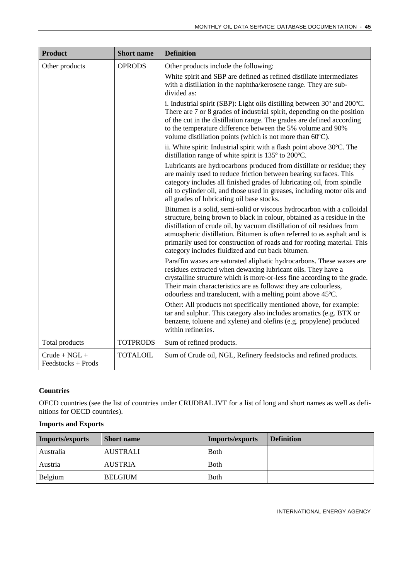| <b>Product</b>                        | <b>Short name</b> | <b>Definition</b>                                                                                                                                                                                                                                                                                                                                                                                                                       |
|---------------------------------------|-------------------|-----------------------------------------------------------------------------------------------------------------------------------------------------------------------------------------------------------------------------------------------------------------------------------------------------------------------------------------------------------------------------------------------------------------------------------------|
| Other products                        | <b>OPRODS</b>     | Other products include the following:<br>White spirit and SBP are defined as refined distillate intermediates<br>with a distillation in the naphtha/kerosene range. They are sub-<br>divided as:                                                                                                                                                                                                                                        |
|                                       |                   | i. Industrial spirit (SBP): Light oils distilling between 30° and 200°C.<br>There are 7 or 8 grades of industrial spirit, depending on the position<br>of the cut in the distillation range. The grades are defined according<br>to the temperature difference between the 5% volume and 90%<br>volume distillation points (which is not more than 60°C).                                                                               |
|                                       |                   | ii. White spirit: Industrial spirit with a flash point above 30°C. The<br>distillation range of white spirit is 135° to 200°C.                                                                                                                                                                                                                                                                                                          |
|                                       |                   | Lubricants are hydrocarbons produced from distillate or residue; they<br>are mainly used to reduce friction between bearing surfaces. This<br>category includes all finished grades of lubricating oil, from spindle<br>oil to cylinder oil, and those used in greases, including motor oils and<br>all grades of lubricating oil base stocks.                                                                                          |
|                                       |                   | Bitumen is a solid, semi-solid or viscous hydrocarbon with a colloidal<br>structure, being brown to black in colour, obtained as a residue in the<br>distillation of crude oil, by vacuum distillation of oil residues from<br>atmospheric distillation. Bitumen is often referred to as asphalt and is<br>primarily used for construction of roads and for roofing material. This<br>category includes fluidized and cut back bitumen. |
|                                       |                   | Paraffin waxes are saturated aliphatic hydrocarbons. These waxes are<br>residues extracted when dewaxing lubricant oils. They have a<br>crystalline structure which is more-or-less fine according to the grade.<br>Their main characteristics are as follows: they are colourless,<br>odourless and translucent, with a melting point above 45°C.                                                                                      |
|                                       |                   | Other: All products not specifically mentioned above, for example:<br>tar and sulphur. This category also includes aromatics (e.g. BTX or<br>benzene, toluene and xylene) and olefins (e.g. propylene) produced<br>within refineries.                                                                                                                                                                                                   |
| Total products                        | <b>TOTPRODS</b>   | Sum of refined products.                                                                                                                                                                                                                                                                                                                                                                                                                |
| $Crude + NGL +$<br>Feedstocks + Prods | <b>TOTALOIL</b>   | Sum of Crude oil, NGL, Refinery feedstocks and refined products.                                                                                                                                                                                                                                                                                                                                                                        |

#### **Countries**

OECD countries (see the list of countries under CRUDBAL.IVT for a list of long and short names as well as definitions for OECD countries).

#### **Imports and Exports**

| Imports/exports | <b>Short</b> name | <b>Imports/exports</b> | <b>Definition</b> |
|-----------------|-------------------|------------------------|-------------------|
| Australia       | <b>AUSTRALI</b>   | <b>B</b> oth           |                   |
| Austria         | <b>AUSTRIA</b>    | <b>B</b> oth           |                   |
| Belgium         | <b>BELGIUM</b>    | <b>B</b> oth           |                   |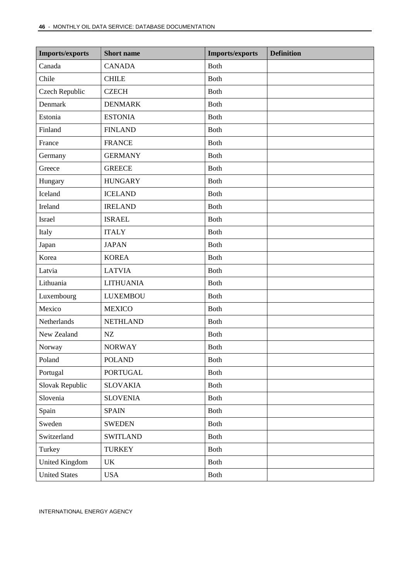| <b>Imports/exports</b> | <b>Short</b> name | <b>Imports/exports</b> | <b>Definition</b> |
|------------------------|-------------------|------------------------|-------------------|
| Canada                 | <b>CANADA</b>     | Both                   |                   |
| Chile                  | <b>CHILE</b>      | Both                   |                   |
| <b>Czech Republic</b>  | <b>CZECH</b>      | <b>Both</b>            |                   |
| Denmark                | <b>DENMARK</b>    | <b>Both</b>            |                   |
| Estonia                | <b>ESTONIA</b>    | <b>Both</b>            |                   |
| Finland                | <b>FINLAND</b>    | <b>Both</b>            |                   |
| France                 | <b>FRANCE</b>     | <b>Both</b>            |                   |
| Germany                | <b>GERMANY</b>    | <b>Both</b>            |                   |
| Greece                 | <b>GREECE</b>     | <b>Both</b>            |                   |
| Hungary                | <b>HUNGARY</b>    | Both                   |                   |
| Iceland                | <b>ICELAND</b>    | Both                   |                   |
| Ireland                | <b>IRELAND</b>    | Both                   |                   |
| <b>Israel</b>          | <b>ISRAEL</b>     | <b>Both</b>            |                   |
| Italy                  | <b>ITALY</b>      | <b>Both</b>            |                   |
| Japan                  | <b>JAPAN</b>      | <b>Both</b>            |                   |
| Korea                  | <b>KOREA</b>      | <b>Both</b>            |                   |
| Latvia                 | <b>LATVIA</b>     | <b>Both</b>            |                   |
| Lithuania              | <b>LITHUANIA</b>  | <b>Both</b>            |                   |
| Luxembourg             | <b>LUXEMBOU</b>   | <b>Both</b>            |                   |
| Mexico                 | <b>MEXICO</b>     | Both                   |                   |
| Netherlands            | <b>NETHLAND</b>   | Both                   |                   |
| New Zealand            | NZ                | Both                   |                   |
| Norway                 | <b>NORWAY</b>     | <b>Both</b>            |                   |
| Poland                 | <b>POLAND</b>     | Both                   |                   |
| Portugal               | <b>PORTUGAL</b>   | <b>Both</b>            |                   |
| Slovak Republic        | <b>SLOVAKIA</b>   | Both                   |                   |
| Slovenia               | <b>SLOVENIA</b>   | Both                   |                   |
| Spain                  | <b>SPAIN</b>      | Both                   |                   |
| Sweden                 | <b>SWEDEN</b>     | <b>Both</b>            |                   |
| Switzerland            | <b>SWITLAND</b>   | Both                   |                   |
| Turkey                 | <b>TURKEY</b>     | Both                   |                   |
| <b>United Kingdom</b>  | UK                | Both                   |                   |
| <b>United States</b>   | <b>USA</b>        | Both                   |                   |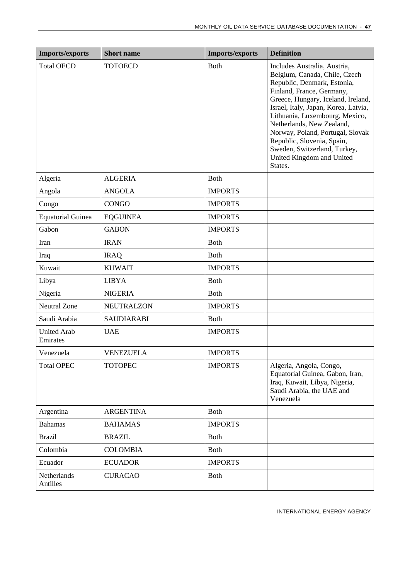| <b>Imports/exports</b>         | <b>Short name</b> | <b>Imports/exports</b> | <b>Definition</b>                                                                                                                                                                                                                                                                                                                                                                                                |
|--------------------------------|-------------------|------------------------|------------------------------------------------------------------------------------------------------------------------------------------------------------------------------------------------------------------------------------------------------------------------------------------------------------------------------------------------------------------------------------------------------------------|
| <b>Total OECD</b>              | <b>TOTOECD</b>    | <b>Both</b>            | Includes Australia, Austria,<br>Belgium, Canada, Chile, Czech<br>Republic, Denmark, Estonia,<br>Finland, France, Germany,<br>Greece, Hungary, Iceland, Ireland,<br>Israel, Italy, Japan, Korea, Latvia,<br>Lithuania, Luxembourg, Mexico,<br>Netherlands, New Zealand,<br>Norway, Poland, Portugal, Slovak<br>Republic, Slovenia, Spain,<br>Sweden, Switzerland, Turkey,<br>United Kingdom and United<br>States. |
| Algeria                        | <b>ALGERIA</b>    | <b>Both</b>            |                                                                                                                                                                                                                                                                                                                                                                                                                  |
| Angola                         | <b>ANGOLA</b>     | <b>IMPORTS</b>         |                                                                                                                                                                                                                                                                                                                                                                                                                  |
| Congo                          | <b>CONGO</b>      | <b>IMPORTS</b>         |                                                                                                                                                                                                                                                                                                                                                                                                                  |
| <b>Equatorial Guinea</b>       | <b>EQGUINEA</b>   | <b>IMPORTS</b>         |                                                                                                                                                                                                                                                                                                                                                                                                                  |
| Gabon                          | <b>GABON</b>      | <b>IMPORTS</b>         |                                                                                                                                                                                                                                                                                                                                                                                                                  |
| Iran                           | <b>IRAN</b>       | <b>Both</b>            |                                                                                                                                                                                                                                                                                                                                                                                                                  |
| Iraq                           | <b>IRAQ</b>       | <b>Both</b>            |                                                                                                                                                                                                                                                                                                                                                                                                                  |
| Kuwait                         | <b>KUWAIT</b>     | <b>IMPORTS</b>         |                                                                                                                                                                                                                                                                                                                                                                                                                  |
| Libya                          | <b>LIBYA</b>      | <b>Both</b>            |                                                                                                                                                                                                                                                                                                                                                                                                                  |
| Nigeria                        | <b>NIGERIA</b>    | <b>Both</b>            |                                                                                                                                                                                                                                                                                                                                                                                                                  |
| <b>Neutral Zone</b>            | <b>NEUTRALZON</b> | <b>IMPORTS</b>         |                                                                                                                                                                                                                                                                                                                                                                                                                  |
| Saudi Arabia                   | <b>SAUDIARABI</b> | <b>Both</b>            |                                                                                                                                                                                                                                                                                                                                                                                                                  |
| <b>United Arab</b><br>Emirates | <b>UAE</b>        | <b>IMPORTS</b>         |                                                                                                                                                                                                                                                                                                                                                                                                                  |
| Venezuela                      | VENEZUELA         | <b>IMPORTS</b>         |                                                                                                                                                                                                                                                                                                                                                                                                                  |
| <b>Total OPEC</b>              | <b>TOTOPEC</b>    | <b>IMPORTS</b>         | Algeria, Angola, Congo,<br>Equatorial Guinea, Gabon, Iran,<br>Iraq, Kuwait, Libya, Nigeria,<br>Saudi Arabia, the UAE and<br>Venezuela                                                                                                                                                                                                                                                                            |
| Argentina                      | <b>ARGENTINA</b>  | <b>Both</b>            |                                                                                                                                                                                                                                                                                                                                                                                                                  |
| <b>Bahamas</b>                 | <b>BAHAMAS</b>    | <b>IMPORTS</b>         |                                                                                                                                                                                                                                                                                                                                                                                                                  |
| <b>Brazil</b>                  | <b>BRAZIL</b>     | <b>Both</b>            |                                                                                                                                                                                                                                                                                                                                                                                                                  |
| Colombia                       | <b>COLOMBIA</b>   | Both                   |                                                                                                                                                                                                                                                                                                                                                                                                                  |
| Ecuador                        | <b>ECUADOR</b>    | <b>IMPORTS</b>         |                                                                                                                                                                                                                                                                                                                                                                                                                  |
| Netherlands<br>Antilles        | <b>CURACAO</b>    | <b>Both</b>            |                                                                                                                                                                                                                                                                                                                                                                                                                  |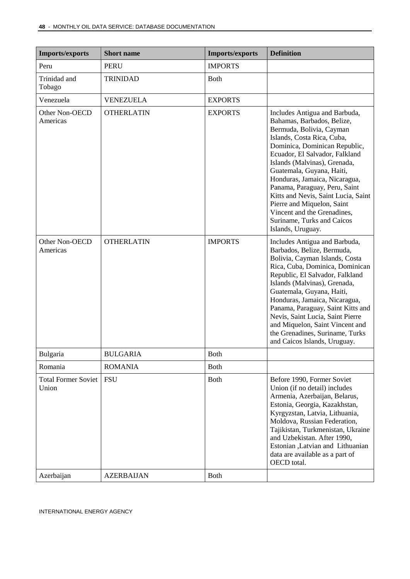| <b>Imports/exports</b>              | <b>Short name</b> | <b>Imports/exports</b> | <b>Definition</b>                                                                                                                                                                                                                                                                                                                                                                                                                                                              |
|-------------------------------------|-------------------|------------------------|--------------------------------------------------------------------------------------------------------------------------------------------------------------------------------------------------------------------------------------------------------------------------------------------------------------------------------------------------------------------------------------------------------------------------------------------------------------------------------|
| Peru                                | <b>PERU</b>       | <b>IMPORTS</b>         |                                                                                                                                                                                                                                                                                                                                                                                                                                                                                |
| Trinidad and<br>Tobago              | <b>TRINIDAD</b>   | <b>Both</b>            |                                                                                                                                                                                                                                                                                                                                                                                                                                                                                |
| Venezuela                           | <b>VENEZUELA</b>  | <b>EXPORTS</b>         |                                                                                                                                                                                                                                                                                                                                                                                                                                                                                |
| Other Non-OECD<br>Americas          | <b>OTHERLATIN</b> | <b>EXPORTS</b>         | Includes Antigua and Barbuda,<br>Bahamas, Barbados, Belize,<br>Bermuda, Bolivia, Cayman<br>Islands, Costa Rica, Cuba,<br>Dominica, Dominican Republic,<br>Ecuador, El Salvador, Falkland<br>Islands (Malvinas), Grenada,<br>Guatemala, Guyana, Haiti,<br>Honduras, Jamaica, Nicaragua,<br>Panama, Paraguay, Peru, Saint<br>Kitts and Nevis, Saint Lucia, Saint<br>Pierre and Miquelon, Saint<br>Vincent and the Grenadines,<br>Suriname, Turks and Caicos<br>Islands, Uruguay. |
| Other Non-OECD<br>Americas          | <b>OTHERLATIN</b> | <b>IMPORTS</b>         | Includes Antigua and Barbuda,<br>Barbados, Belize, Bermuda,<br>Bolivia, Cayman Islands, Costa<br>Rica, Cuba, Dominica, Dominican<br>Republic, El Salvador, Falkland<br>Islands (Malvinas), Grenada,<br>Guatemala, Guyana, Haiti,<br>Honduras, Jamaica, Nicaragua,<br>Panama, Paraguay, Saint Kitts and<br>Nevis, Saint Lucia, Saint Pierre<br>and Miquelon, Saint Vincent and<br>the Grenadines, Suriname, Turks<br>and Caicos Islands, Uruguay.                               |
| Bulgaria                            | <b>BULGARIA</b>   | <b>Both</b>            |                                                                                                                                                                                                                                                                                                                                                                                                                                                                                |
| Romania                             | <b>ROMANIA</b>    | <b>Both</b>            |                                                                                                                                                                                                                                                                                                                                                                                                                                                                                |
| <b>Total Former Soviet</b><br>Union | <b>FSU</b>        | Both                   | Before 1990, Former Soviet<br>Union (if no detail) includes<br>Armenia, Azerbaijan, Belarus,<br>Estonia, Georgia, Kazakhstan,<br>Kyrgyzstan, Latvia, Lithuania,<br>Moldova, Russian Federation,<br>Tajikistan, Turkmenistan, Ukraine<br>and Uzbekistan. After 1990,<br>Estonian ,Latvian and Lithuanian<br>data are available as a part of<br>OECD total.                                                                                                                      |
| Azerbaijan                          | <b>AZERBAIJAN</b> | <b>Both</b>            |                                                                                                                                                                                                                                                                                                                                                                                                                                                                                |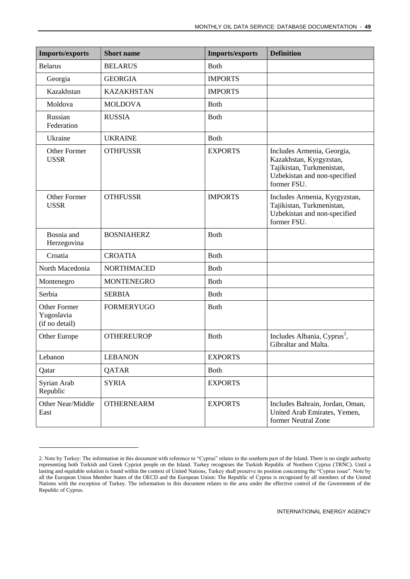| <b>Imports/exports</b>                              | <b>Short name</b> | <b>Imports/exports</b> | <b>Definition</b>                                                                                                                 |
|-----------------------------------------------------|-------------------|------------------------|-----------------------------------------------------------------------------------------------------------------------------------|
| <b>Belarus</b>                                      | <b>BELARUS</b>    | <b>Both</b>            |                                                                                                                                   |
| Georgia                                             | <b>GEORGIA</b>    | <b>IMPORTS</b>         |                                                                                                                                   |
| Kazakhstan                                          | <b>KAZAKHSTAN</b> | <b>IMPORTS</b>         |                                                                                                                                   |
| Moldova                                             | <b>MOLDOVA</b>    | <b>Both</b>            |                                                                                                                                   |
| Russian<br>Federation                               | <b>RUSSIA</b>     | <b>Both</b>            |                                                                                                                                   |
| Ukraine                                             | <b>UKRAINE</b>    | <b>Both</b>            |                                                                                                                                   |
| Other Former<br><b>USSR</b>                         | <b>OTHFUSSR</b>   | <b>EXPORTS</b>         | Includes Armenia, Georgia,<br>Kazakhstan, Kyrgyzstan,<br>Tajikistan, Turkmenistan,<br>Uzbekistan and non-specified<br>former FSU. |
| Other Former<br><b>USSR</b>                         | <b>OTHFUSSR</b>   | <b>IMPORTS</b>         | Includes Armenia, Kyrgyzstan,<br>Tajikistan, Turkmenistan,<br>Uzbekistan and non-specified<br>former FSU.                         |
| Bosnia and<br>Herzegovina                           | <b>BOSNIAHERZ</b> | <b>Both</b>            |                                                                                                                                   |
| Croatia                                             | <b>CROATIA</b>    | <b>Both</b>            |                                                                                                                                   |
| North Macedonia                                     | <b>NORTHMACED</b> | <b>Both</b>            |                                                                                                                                   |
| Montenegro                                          | <b>MONTENEGRO</b> | <b>Both</b>            |                                                                                                                                   |
| Serbia                                              | <b>SERBIA</b>     | Both                   |                                                                                                                                   |
| <b>Other Former</b><br>Yugoslavia<br>(if no detail) | <b>FORMERYUGO</b> | <b>Both</b>            |                                                                                                                                   |
| Other Europe                                        | <b>OTHEREUROP</b> | <b>Both</b>            | Includes Albania, Cyprus <sup>2</sup> ,<br>Gibraltar and Malta.                                                                   |
| Lebanon                                             | <b>LEBANON</b>    | <b>EXPORTS</b>         |                                                                                                                                   |
| Qatar                                               | QATAR             | Both                   |                                                                                                                                   |
| Syrian Arab<br>Republic                             | <b>SYRIA</b>      | <b>EXPORTS</b>         |                                                                                                                                   |
| Other Near/Middle<br>East                           | <b>OTHERNEARM</b> | <b>EXPORTS</b>         | Includes Bahrain, Jordan, Oman,<br>United Arab Emirates, Yemen,<br>former Neutral Zone                                            |

<sup>2.</sup> Note by Turkey: The information in this document with reference to "Cyprus" relates to the southern part of the Island. There is no single authority representing both Turkish and Greek Cypriot people on the Island. Turkey recognises the Turkish Republic of Northern Cyprus (TRNC). Until a lasting and equitable solution is found within the context of United Nations, Turkey shall preserve its position concerning the "Cyprus issue". Note by all the European Union Member States of the OECD and the European Union: The Republic of Cyprus is recognised by all members of the United Nations with the exception of Turkey. The information in this document relates to the area under the effective control of the Government of the Republic of Cyprus.

-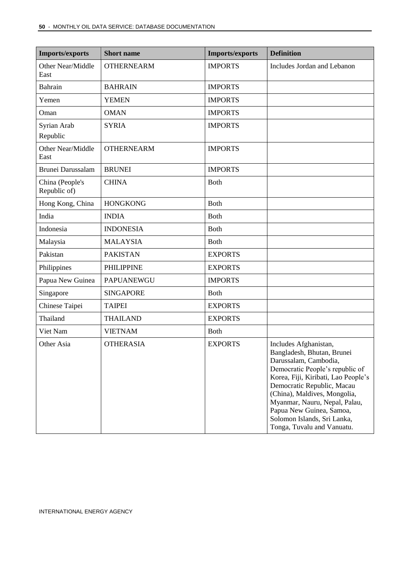| <b>Imports/exports</b>          | <b>Short name</b> | <b>Imports/exports</b> | <b>Definition</b>                                                                                                                                                                                                                                                                                                                              |
|---------------------------------|-------------------|------------------------|------------------------------------------------------------------------------------------------------------------------------------------------------------------------------------------------------------------------------------------------------------------------------------------------------------------------------------------------|
| Other Near/Middle<br>East       | <b>OTHERNEARM</b> | <b>IMPORTS</b>         | Includes Jordan and Lebanon                                                                                                                                                                                                                                                                                                                    |
| <b>Bahrain</b>                  | <b>BAHRAIN</b>    | <b>IMPORTS</b>         |                                                                                                                                                                                                                                                                                                                                                |
| Yemen                           | <b>YEMEN</b>      | <b>IMPORTS</b>         |                                                                                                                                                                                                                                                                                                                                                |
| Oman                            | <b>OMAN</b>       | <b>IMPORTS</b>         |                                                                                                                                                                                                                                                                                                                                                |
| Syrian Arab<br>Republic         | <b>SYRIA</b>      | <b>IMPORTS</b>         |                                                                                                                                                                                                                                                                                                                                                |
| Other Near/Middle<br>East       | <b>OTHERNEARM</b> | <b>IMPORTS</b>         |                                                                                                                                                                                                                                                                                                                                                |
| <b>Brunei Darussalam</b>        | <b>BRUNEI</b>     | <b>IMPORTS</b>         |                                                                                                                                                                                                                                                                                                                                                |
| China (People's<br>Republic of) | <b>CHINA</b>      | <b>Both</b>            |                                                                                                                                                                                                                                                                                                                                                |
| Hong Kong, China                | <b>HONGKONG</b>   | <b>Both</b>            |                                                                                                                                                                                                                                                                                                                                                |
| India                           | <b>INDIA</b>      | <b>Both</b>            |                                                                                                                                                                                                                                                                                                                                                |
| Indonesia                       | <b>INDONESIA</b>  | <b>Both</b>            |                                                                                                                                                                                                                                                                                                                                                |
| Malaysia                        | <b>MALAYSIA</b>   | <b>Both</b>            |                                                                                                                                                                                                                                                                                                                                                |
| Pakistan                        | <b>PAKISTAN</b>   | <b>EXPORTS</b>         |                                                                                                                                                                                                                                                                                                                                                |
| Philippines                     | <b>PHILIPPINE</b> | <b>EXPORTS</b>         |                                                                                                                                                                                                                                                                                                                                                |
| Papua New Guinea                | <b>PAPUANEWGU</b> | <b>IMPORTS</b>         |                                                                                                                                                                                                                                                                                                                                                |
| Singapore                       | <b>SINGAPORE</b>  | <b>Both</b>            |                                                                                                                                                                                                                                                                                                                                                |
| Chinese Taipei                  | <b>TAIPEI</b>     | <b>EXPORTS</b>         |                                                                                                                                                                                                                                                                                                                                                |
| Thailand                        | <b>THAILAND</b>   | <b>EXPORTS</b>         |                                                                                                                                                                                                                                                                                                                                                |
| Viet Nam                        | <b>VIETNAM</b>    | <b>Both</b>            |                                                                                                                                                                                                                                                                                                                                                |
| Other Asia                      | <b>OTHERASIA</b>  | <b>EXPORTS</b>         | Includes Afghanistan,<br>Bangladesh, Bhutan, Brunei<br>Darussalam, Cambodia,<br>Democratic People's republic of<br>Korea, Fiji, Kiribati, Lao People's<br>Democratic Republic, Macau<br>(China), Maldives, Mongolia,<br>Myanmar, Nauru, Nepal, Palau,<br>Papua New Guinea, Samoa,<br>Solomon Islands, Sri Lanka,<br>Tonga, Tuvalu and Vanuatu. |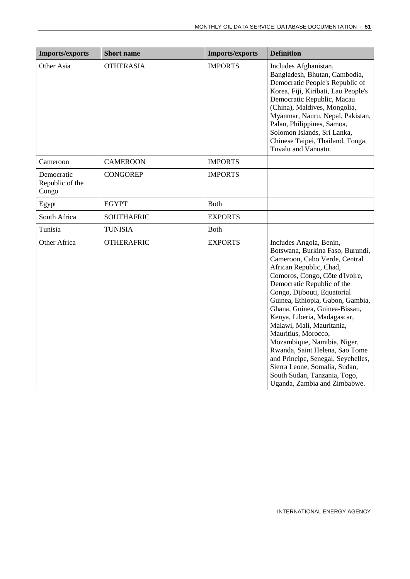| <b>Imports/exports</b>                 | <b>Short name</b> | <b>Imports/exports</b> | <b>Definition</b>                                                                                                                                                                                                                                                                                                                                                                                                                                                                                                                                                                      |
|----------------------------------------|-------------------|------------------------|----------------------------------------------------------------------------------------------------------------------------------------------------------------------------------------------------------------------------------------------------------------------------------------------------------------------------------------------------------------------------------------------------------------------------------------------------------------------------------------------------------------------------------------------------------------------------------------|
| Other Asia                             | <b>OTHERASIA</b>  | <b>IMPORTS</b>         | Includes Afghanistan,<br>Bangladesh, Bhutan, Cambodia,<br>Democratic People's Republic of<br>Korea, Fiji, Kiribati, Lao People's<br>Democratic Republic, Macau<br>(China), Maldives, Mongolia,<br>Myanmar, Nauru, Nepal, Pakistan,<br>Palau, Philippines, Samoa,<br>Solomon Islands, Sri Lanka,<br>Chinese Taipei, Thailand, Tonga,<br>Tuvalu and Vanuatu.                                                                                                                                                                                                                             |
| Cameroon                               | <b>CAMEROON</b>   | <b>IMPORTS</b>         |                                                                                                                                                                                                                                                                                                                                                                                                                                                                                                                                                                                        |
| Democratic<br>Republic of the<br>Congo | <b>CONGOREP</b>   | <b>IMPORTS</b>         |                                                                                                                                                                                                                                                                                                                                                                                                                                                                                                                                                                                        |
| Egypt                                  | <b>EGYPT</b>      | <b>B</b> oth           |                                                                                                                                                                                                                                                                                                                                                                                                                                                                                                                                                                                        |
| South Africa                           | <b>SOUTHAFRIC</b> | <b>EXPORTS</b>         |                                                                                                                                                                                                                                                                                                                                                                                                                                                                                                                                                                                        |
| Tunisia                                | <b>TUNISIA</b>    | <b>Both</b>            |                                                                                                                                                                                                                                                                                                                                                                                                                                                                                                                                                                                        |
| Other Africa                           | <b>OTHERAFRIC</b> | <b>EXPORTS</b>         | Includes Angola, Benin,<br>Botswana, Burkina Faso, Burundi,<br>Cameroon, Cabo Verde, Central<br>African Republic, Chad,<br>Comoros, Congo, Côte d'Ivoire,<br>Democratic Republic of the<br>Congo, Djibouti, Equatorial<br>Guinea, Ethiopia, Gabon, Gambia,<br>Ghana, Guinea, Guinea-Bissau,<br>Kenya, Liberia, Madagascar,<br>Malawi, Mali, Mauritania,<br>Mauritius, Morocco,<br>Mozambique, Namibia, Niger,<br>Rwanda, Saint Helena, Sao Tome<br>and Principe, Senegal, Seychelles,<br>Sierra Leone, Somalia, Sudan,<br>South Sudan, Tanzania, Togo,<br>Uganda, Zambia and Zimbabwe. |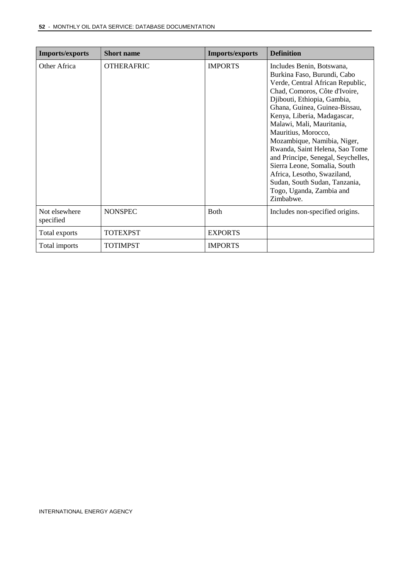| <b>Imports/exports</b>     | <b>Short name</b> | <b>Imports/exports</b> | <b>Definition</b>                                                                                                                                                                                                                                                                                                                                                                                                                                                                                                                |
|----------------------------|-------------------|------------------------|----------------------------------------------------------------------------------------------------------------------------------------------------------------------------------------------------------------------------------------------------------------------------------------------------------------------------------------------------------------------------------------------------------------------------------------------------------------------------------------------------------------------------------|
| Other Africa               | <b>OTHERAFRIC</b> | <b>IMPORTS</b>         | Includes Benin, Botswana,<br>Burkina Faso, Burundi, Cabo<br>Verde, Central African Republic,<br>Chad, Comoros, Côte d'Ivoire,<br>Djibouti, Ethiopia, Gambia,<br>Ghana, Guinea, Guinea-Bissau,<br>Kenya, Liberia, Madagascar,<br>Malawi, Mali, Mauritania,<br>Mauritius, Morocco,<br>Mozambique, Namibia, Niger,<br>Rwanda, Saint Helena, Sao Tome<br>and Principe, Senegal, Seychelles,<br>Sierra Leone, Somalia, South<br>Africa, Lesotho, Swaziland,<br>Sudan, South Sudan, Tanzania,<br>Togo, Uganda, Zambia and<br>Zimbabwe. |
| Not elsewhere<br>specified | <b>NONSPEC</b>    | <b>Both</b>            | Includes non-specified origins.                                                                                                                                                                                                                                                                                                                                                                                                                                                                                                  |
| Total exports              | <b>TOTEXPST</b>   | <b>EXPORTS</b>         |                                                                                                                                                                                                                                                                                                                                                                                                                                                                                                                                  |
| Total imports              | <b>TOTIMPST</b>   | <b>IMPORTS</b>         |                                                                                                                                                                                                                                                                                                                                                                                                                                                                                                                                  |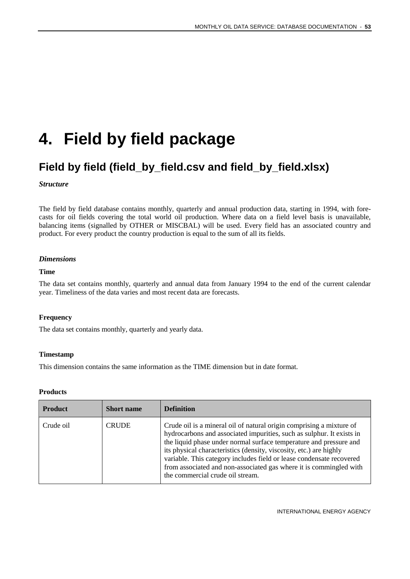## <span id="page-52-0"></span>**4. Field by field package**

### <span id="page-52-1"></span>**Field by field (field\_by\_field.csv and field\_by\_field.xlsx)**

#### *Structure*

The field by field database contains monthly, quarterly and annual production data, starting in 1994, with forecasts for oil fields covering the total world oil production. Where data on a field level basis is unavailable, balancing items (signalled by OTHER or MISCBAL) will be used. Every field has an associated country and product. For every product the country production is equal to the sum of all its fields.

#### *Dimensions*

#### **Time**

The data set contains monthly, quarterly and annual data from January 1994 to the end of the current calendar year. Timeliness of the data varies and most recent data are forecasts.

#### **Frequency**

The data set contains monthly, quarterly and yearly data.

#### **Timestamp**

This dimension contains the same information as the TIME dimension but in date format.

#### **Products**

| <b>Product</b> | <b>Short name</b> | <b>Definition</b>                                                                                                                                                                                                                                                                                                                                                                                                                                                           |
|----------------|-------------------|-----------------------------------------------------------------------------------------------------------------------------------------------------------------------------------------------------------------------------------------------------------------------------------------------------------------------------------------------------------------------------------------------------------------------------------------------------------------------------|
| Crude oil      | <b>CRUDE</b>      | Crude oil is a mineral oil of natural origin comprising a mixture of<br>hydrocarbons and associated impurities, such as sulphur. It exists in<br>the liquid phase under normal surface temperature and pressure and<br>its physical characteristics (density, viscosity, etc.) are highly<br>variable. This category includes field or lease condensate recovered<br>from associated and non-associated gas where it is commingled with<br>the commercial crude oil stream. |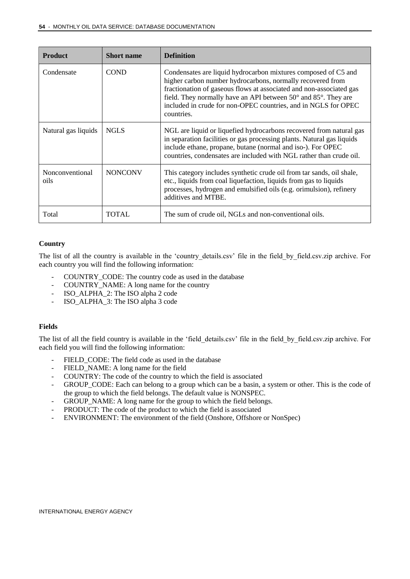| <b>Product</b>          | <b>Short name</b> | <b>Definition</b>                                                                                                                                                                                                                                                                                                                                                        |
|-------------------------|-------------------|--------------------------------------------------------------------------------------------------------------------------------------------------------------------------------------------------------------------------------------------------------------------------------------------------------------------------------------------------------------------------|
| Condensate              | <b>COND</b>       | Condensates are liquid hydrocarbon mixtures composed of C5 and<br>higher carbon number hydrocarbons, normally recovered from<br>fractionation of gaseous flows at associated and non-associated gas<br>field. They normally have an API between $50^{\circ}$ and $85^{\circ}$ . They are<br>included in crude for non-OPEC countries, and in NGLS for OPEC<br>countries. |
| Natural gas liquids     | <b>NGLS</b>       | NGL are liquid or liquefied hydrocarbons recovered from natural gas<br>in separation facilities or gas processing plants. Natural gas liquids<br>include ethane, propane, butane (normal and iso-). For OPEC<br>countries, condensates are included with NGL rather than crude oil.                                                                                      |
| Nonconventional<br>oils | <b>NONCONV</b>    | This category includes synthetic crude oil from tar sands, oil shale,<br>etc., liquids from coal liquefaction, liquids from gas to liquids<br>processes, hydrogen and emulsified oils (e.g. orimulsion), refinery<br>additives and MTBE.                                                                                                                                 |
| Total                   | <b>TOTAL</b>      | The sum of crude oil, NGLs and non-conventional oils.                                                                                                                                                                                                                                                                                                                    |

#### **Country**

The list of all the country is available in the 'country details.csv' file in the field by field.csv.zip archive. For each country you will find the following information:

- COUNTRY\_CODE: The country code as used in the database
- COUNTRY\_NAME: A long name for the country
- ISO\_ALPHA\_2: The ISO alpha 2 code
- ISO\_ALPHA\_3: The ISO alpha 3 code

#### **Fields**

The list of all the field country is available in the 'field\_details.csv' file in the field\_by\_field.csv.zip archive. For each field you will find the following information:

- FIELD\_CODE: The field code as used in the database
- FIELD NAME: A long name for the field
- COUNTRY: The code of the country to which the field is associated
- GROUP\_CODE: Each can belong to a group which can be a basin, a system or other. This is the code of the group to which the field belongs. The default value is NONSPEC.
- GROUP\_NAME: A long name for the group to which the field belongs.
- PRODUCT: The code of the product to which the field is associated
- ENVIRONMENT: The environment of the field (Onshore, Offshore or NonSpec)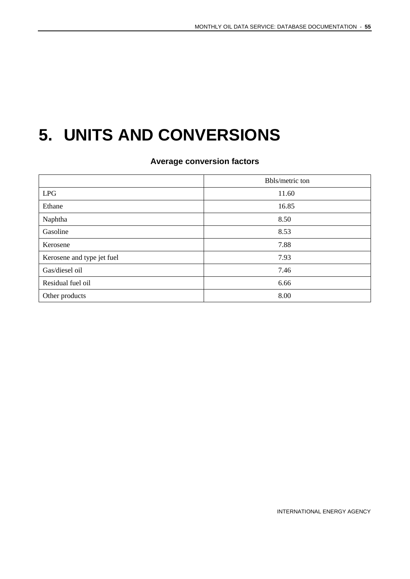## <span id="page-54-0"></span>**5. UNITS AND CONVERSIONS**

**Average conversion factors**

|                            | Bbls/metric ton |
|----------------------------|-----------------|
| <b>LPG</b>                 | 11.60           |
| Ethane                     | 16.85           |
| Naphtha                    | 8.50            |
| Gasoline                   | 8.53            |
| Kerosene                   | 7.88            |
| Kerosene and type jet fuel | 7.93            |
| Gas/diesel oil             | 7.46            |
| Residual fuel oil          | 6.66            |
| Other products             | 8.00            |